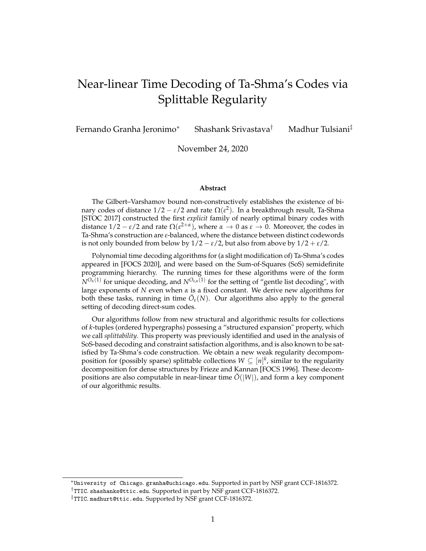# <span id="page-0-0"></span>Near-linear Time Decoding of Ta-Shma's Codes via Splittable Regularity

Fernando Granha Jeronimo<sup>∗</sup> Shashank Srivastava† Madhur Tulsiani‡

November 24, 2020

### **Abstract**

The Gilbert–Varshamov bound non-constructively establishes the existence of binary codes of distance  $1/2 - ε/2$  and rate  $Ω(ε<sup>2</sup>)$ . In a breakthrough result, Ta-Shma [STOC 2017] constructed the first *explicit* family of nearly optimal binary codes with distance  $1/2 - \varepsilon/2$  and rate  $\Omega(\varepsilon^{2+\alpha})$ , where  $\alpha \to 0$  as  $\varepsilon \to 0$ . Moreover, the codes in Ta-Shma's construction are *ε*-balanced, where the distance between distinct codewords is not only bounded from below by  $1/2 - \varepsilon/2$ , but also from above by  $1/2 + \varepsilon/2$ .

Polynomial time decoding algorithms for (a slight modification of) Ta-Shma's codes appeared in [FOCS 2020], and were based on the Sum-of-Squares (SoS) semidefinite programming hierarchy. The running times for these algorithms were of the form *NOα*(1) for unique decoding, and *NOε*,*α*(1) for the setting of "gentle list decoding", with large exponents of *N* even when *α* is a fixed constant. We derive new algorithms for both these tasks, running in time  $\tilde{O}_{\varepsilon}(N)$ . Our algorithms also apply to the general setting of decoding direct-sum codes.

Our algorithms follow from new structural and algorithmic results for collections of *k*-tuples (ordered hypergraphs) possesing a "structured expansion" property, which we call *splittability*. This property was previously identified and used in the analysis of SoS-based decoding and constraint satisfaction algorithms, and is also known to be satisfied by Ta-Shma's code construction. We obtain a new weak regularity decompomposition for (possibly sparse) splittable collections  $W \subseteq [n]^k$ , similar to the regularity decomposition for dense structures by Frieze and Kannan [FOCS 1996]. These decompositions are also computable in near-linear time  $\tilde{O}(|W|)$ , and form a key component of our algorithmic results.

<sup>∗</sup>University of Chicago. granha@uchicago.edu. Supported in part by NSF grant CCF-1816372.

<sup>†</sup>TTIC. shashanks@ttic.edu. Supported in part by NSF grant CCF-1816372.

<sup>‡</sup>TTIC. madhurt@ttic.edu. Supported by NSF grant CCF-1816372.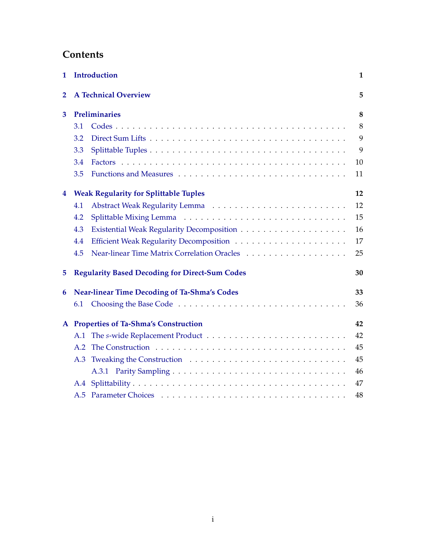# **Contents**

| 1              |                                                     | Introduction                                          | $\mathbf{1}$ |
|----------------|-----------------------------------------------------|-------------------------------------------------------|--------------|
| $\overline{2}$ |                                                     | <b>A Technical Overview</b>                           | 5            |
| 3              | Preliminaries                                       |                                                       | 8            |
|                | 3.1                                                 |                                                       | 8            |
|                | 3.2                                                 |                                                       | 9            |
|                | 3.3                                                 |                                                       | 9            |
|                | 3.4                                                 |                                                       | 10           |
|                | 3.5                                                 |                                                       | 11           |
| 4              | <b>Weak Regularity for Splittable Tuples</b>        |                                                       | 12           |
|                | 4.1                                                 |                                                       | 12           |
|                | 4.2                                                 |                                                       | 15           |
|                | 4.3                                                 |                                                       | 16           |
|                | 4.4                                                 |                                                       | 17           |
|                | 4.5                                                 |                                                       | 25           |
| 5              |                                                     | <b>Regularity Based Decoding for Direct-Sum Codes</b> | 30           |
| 6              | <b>Near-linear Time Decoding of Ta-Shma's Codes</b> |                                                       | 33           |
|                | 6.1                                                 |                                                       | 36           |
|                | A Properties of Ta-Shma's Construction              |                                                       | 42           |
|                | A.1                                                 |                                                       | 42           |
|                | A.2                                                 |                                                       | 45           |
|                | A.3                                                 |                                                       | 45           |
|                |                                                     |                                                       | 46           |
|                |                                                     |                                                       | 47           |
|                |                                                     |                                                       | 48           |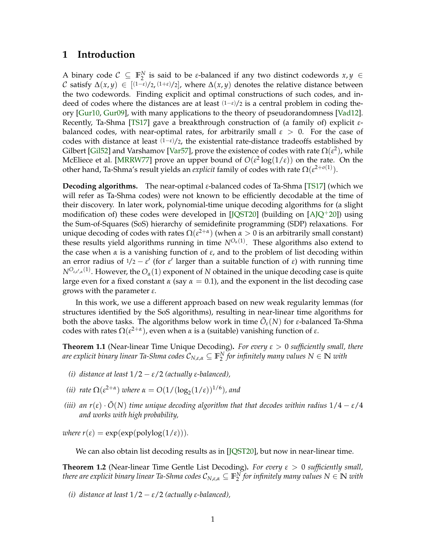### <span id="page-2-0"></span>**1 Introduction**

A binary code  $C \subseteq \mathbb{F}_2^N$  is said to be *ε*-balanced if any two distinct codewords  $x, y \in$  $\mathcal C$  satisfy  $\Delta(x,y)\,\in\,$   $[(1-\varepsilon)/2,(1+\varepsilon)/2]$ , where  $\Delta(x,y)$  denotes the relative distance between the two codewords. Finding explicit and optimal constructions of such codes, and indeed of codes where the distances are at least (1−*ε*)/<sup>2</sup> is a central problem in coding theory [\[Gur10,](#page-41-0) [Gur09\]](#page-41-1), with many applications to the theory of pseudorandomness [\[Vad12\]](#page-42-0). Recently, Ta-Shma [\[TS17\]](#page-42-1) gave a breakthrough construction of (a family of) explicit *ε*balanced codes, with near-optimal rates, for arbitrarily small *ε* > 0. For the case of codes with distance at least (1−*ε*)/2, the existential rate-distance tradeoffs established by Gilbert [\[Gil52\]](#page-41-2) and Varshamov [\[Var57\]](#page-42-2), prove the existence of codes with rate  $\Omega(\mathcal{E}^2)$ , while McEliece et al. [\[MRRW77\]](#page-42-3) prove an upper bound of  $O(\epsilon^2 \log(1/\epsilon))$  on the rate. On the other hand, Ta-Shma's result yields an *explicit* family of codes with rate  $\Omega(\epsilon^{2+o(1)}).$ 

**Decoding algorithms.** The near-optimal *ε*-balanced codes of Ta-Shma [\[TS17\]](#page-42-1) (which we will refer as Ta-Shma codes) were not known to be efficiently decodable at the time of their discovery. In later work, polynomial-time unique decoding algorithms for (a slight modification of) these codes were developed in [\[JQST20\]](#page-41-3) (building on  $[A]Q^+20]$ ) using the Sum-of-Squares (SoS) hierarchy of semidefinite programming (SDP) relaxations. For unique decoding of codes with rates  $\Omega(\epsilon^{2+\alpha})$  (when  $\alpha > 0$  is an arbitrarily small constant) these results yield algorithms running in time  $N^{O_{\alpha}(1)}$ . These algorithms also extend to the case when *α* is a vanishing function of *ε*, and to the problem of list decoding within an error radius of  $1/2 - \varepsilon'$  (for  $\varepsilon'$  larger than a suitable function of  $\varepsilon$ ) with running time  $N^{O_{\varepsilon,\varepsilon',\alpha}(1)}.$  However, the  $O_\alpha(1)$  exponent of  $N$  obtained in the unique decoding case is quite large even for a fixed constant  $\alpha$  (say  $\alpha = 0.1$ ), and the exponent in the list decoding case grows with the parameter *ε*.

In this work, we use a different approach based on new weak regularity lemmas (for structures identified by the SoS algorithms), resulting in near-linear time algorithms for both the above tasks. The algorithms below work in time  $\tilde{O}_{\varepsilon}(N)$  for *ε*-balanced Ta-Shma codes with rates  $\Omega(\varepsilon^{2+\alpha})$ , even when *α* is a (suitable) vanishing function of  $\varepsilon$ .

<span id="page-2-2"></span>**Theorem 1.1** (Near-linear Time Unique Decoding)**.** *For every ε* > 0 *sufficiently small, there are explicit binary linear Ta-Shma codes* C*N*,*ε*,*<sup>α</sup>* ⊆ **F** *N* 2 *for infinitely many values N* ∈ **N** *with*

- *(i) distance at least* 1/2 − *ε*/2 *(actually ε-balanced),*
- *(ii) rate*  $\Omega(\varepsilon^{2+\alpha})$  *where*  $\alpha = O(1/(\log_2(1/\varepsilon))^{1/6})$ *, and*
- *(iii)* an  $r(\varepsilon) \cdot \tilde{O}(N)$  *time unique decoding algorithm that that decodes within radius*  $1/4 \varepsilon/4$ *and works with high probability,*

*where*  $r(\varepsilon) = \exp(\exp(\text{polylog}(1/\varepsilon)))$ .

We can also obtain list decoding results as in [\[JQST20\]](#page-41-3), but now in near-linear time.

<span id="page-2-1"></span>**Theorem 1.2** (Near-linear Time Gentle List Decoding)**.** *For every ε* > 0 *sufficiently small,*  $t$ here are explicit binary linear Ta-Shma codes  $\mathcal{C}_{N,\varepsilon,\alpha}\subseteq \mathbb{F}_2^N$  for infinitely many values  $N\in\mathbb{N}$  with

*(i) distance at least* 1/2 − *ε*/2 *(actually ε-balanced),*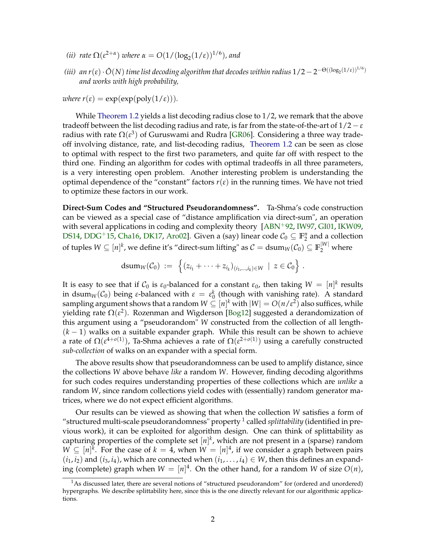- <span id="page-3-1"></span>*(ii) rate*  $\Omega(\varepsilon^{2+\alpha})$  *where*  $\alpha = O(1/(\log_2(1/\varepsilon))^{1/6})$ *, and*
- *(iii)* an r(ε) ·  $\tilde{O}(N)$  time list decoding algorithm that decodes within radius 1/2  $-$  2<sup>−Θ((log<sub>2</sub>(1/ε))<sup>1/6</sup>)</sup> *and works with high probability,*

*where*  $r(\varepsilon) = \exp(\exp(\text{poly}(1/\varepsilon)))$ *.* 

While [Theorem 1.2](#page-2-1) yields a list decoding radius close to  $1/2$ , we remark that the above tradeoff between the list decoding radius and rate, is far from the state-of-the-art of  $1/2 - \varepsilon$ radius with rate Ω(*ε* 3 ) of Guruswami and Rudra [\[GR06\]](#page-41-4). Considering a three way tradeoff involving distance, rate, and list-decoding radius, [Theorem 1.2](#page-2-1) can be seen as close to optimal with respect to the first two parameters, and quite far off with respect to the third one. Finding an algorithm for codes with optimal tradeoffs in all three parameters, is a very interesting open problem. Another interesting problem is understanding the optimal dependence of the "constant" factors  $r(\varepsilon)$  in the running times. We have not tried to optimize these factors in our work.

**Direct-Sum Codes and "Structured Pseudorandomness".** Ta-Shma's code construction can be viewed as a special case of "distance amplification via direct-sum", an operation with several applications in coding and complexity theory  $[ABN<sup>+</sup>92, IW97, GI01, IKW09,$  $[ABN<sup>+</sup>92, IW97, GI01, IKW09,$  $[ABN<sup>+</sup>92, IW97, GI01, IKW09,$  $[ABN<sup>+</sup>92, IW97, GI01, IKW09,$  $[ABN<sup>+</sup>92, IW97, GI01, IKW09,$  $[ABN<sup>+</sup>92, IW97, GI01, IKW09,$  $[ABN<sup>+</sup>92, IW97, GI01, IKW09,$ [DS14,](#page-40-0) [DDG](#page-40-1)<sup>+</sup>15, [Cha16,](#page-40-2) [DK17,](#page-40-3) [Aro02\]](#page-39-2). Given a (say) linear code  $C_0 \subseteq \mathbb{F}_2^n$  and a collection of tuples  $W\subseteq [n]^k$ , we define it's "direct-sum lifting" as  $\mathcal{C}=\mathrm{dsum}_W(\mathcal{C}_0)\subseteq \mathbb{F}_2^{|W|}$  where

$$
dsum_W(\mathcal{C}_0) := \left\{ (z_{i_1} + \cdots + z_{i_k})_{(i_1,\ldots,i_k) \in W} \mid z \in \mathcal{C}_0 \right\}.
$$

It is easy to see that if  $\mathcal{C}_0$  is  $\varepsilon_0$ -balanced for a constant  $\varepsilon_0$ , then taking  $W~=~[n]^k$  results in dsum<sub>*W*</sub>( $C_0$ ) being *ε*-balanced with  $\varepsilon = \varepsilon_0^k$  (though with vanishing rate). A standard sampling argument shows that a random  $W \subseteq [n]^k$  with  $|W| = O(n/\varepsilon^2)$  also suffices, while yielding rate  $\Omega(\varepsilon^2)$ . Rozenman and Wigderson [\[Bog12\]](#page-40-4) suggested a derandomization of this argument using a "pseudorandom" *W* constructed from the collection of all length- (*k* − 1) walks on a suitable expander graph. While this result can be shown to achieve a rate of Ω(*ε* 4+*o*(1) ), Ta-Shma achieves a rate of Ω(*ε* 2+*o*(1) ) using a carefully constructed *sub-collection* of walks on an expander with a special form.

The above results show that pseudorandomness can be used to amplify distance, since the collections *W* above behave *like* a random *W*. However, finding decoding algorithms for such codes requires understanding properties of these collections which are *unlike* a random *W*, since random collections yield codes with (essentially) random generator matrices, where we do not expect efficient algorithms.

Our results can be viewed as showing that when the collection *W* satisfies a form of "structured multi-scale pseudorandomness" property [1](#page-3-0) called *splittability* (identified in previous work), it can be exploited for algorithm design. One can think of splittability as capturing properties of the complete set  $[n]^k$ , which are not present in a (sparse) random  $W \subseteq [n]^k$ . For the case of  $k = 4$ , when  $W = [n]^4$ , if we consider a graph between pairs  $(i_1, i_2)$  and  $(i_3, i_4)$ , which are connected when  $(i_1, \ldots, i_4) \in W$ , then this defines an expanding (complete) graph when  $W = [n]^4$ . On the other hand, for a random *W* of size  $O(n)$ ,

<span id="page-3-0"></span><sup>&</sup>lt;sup>1</sup>As discussed later, there are several notions of "structured pseudorandom" for (ordered and unordered) hypergraphs. We describe splittability here, since this is the one directly relevant for our algorithmic applications.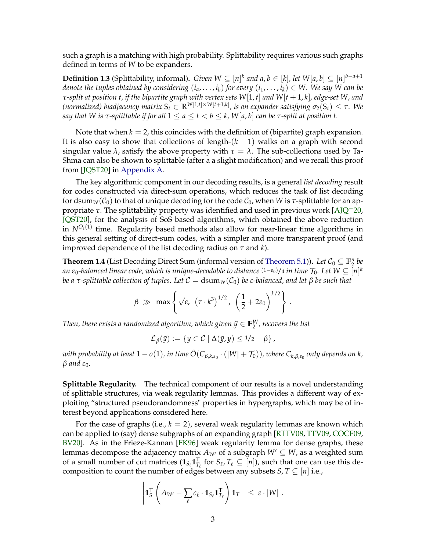<span id="page-4-0"></span>such a graph is a matching with high probability. Splittability requires various such graphs defined in terms of *W* to be expanders.

**Definition 1.3** (Splittability, informal). *Given*  $W ⊆ [n]^k$  and a,  $b ∈ [k]$ , let  $W[a, b] ⊆ [n]^{b-a+1}$ *denote the tuples obtained by considering*  $(i_a, \ldots, i_b)$  *for every*  $(i_1, \ldots, i_k) \in W$ . We say W can be *τ-split at position t, if the bipartite graph with vertex sets W*[1, *t*] *and W*[*t* + 1, *k*]*, edge-set W, and (normalized) biadjacency matrix* S*<sup>t</sup>* ∈ **R***W*[1,*t*]×*W*[*t*+1,*k*] *, is an expander satisfying σ*2(S*t*) ≤ *τ. We say that W is*  $\tau$ *-splittable if for all*  $1 \le a \le t < b \le k$ ,  $W[a, b]$  *can be*  $\tau$ *-split at position t.* 

Note that when  $k = 2$ , this coincides with the definition of (bipartite) graph expansion. It is also easy to show that collections of length- $(k - 1)$  walks on a graph with second singular value  $\lambda$ , satisfy the above property with  $\tau = \lambda$ . The sub-collections used by Ta-Shma can also be shown to splittable (after a a slight modification) and we recall this proof from [\[JQST20\]](#page-41-3) in [Appendix A.](#page-43-0)

The key algorithmic component in our decoding results, is a general *list decoding* result for codes constructed via direct-sum operations, which reduces the task of list decoding for dsum<sub>*W*</sub>( $C_0$ ) to that of unique decoding for the code  $C_0$ , when *W* is *τ*-splittable for an appropriate  $\tau$ . The splittability property was identified and used in previous work  $[A]Q^+20$ , [JQST20\]](#page-41-3), for the analysis of SoS based algorithms, which obtained the above reduction in  $N^{O_{\varepsilon}(1)}$  time. Regularity based methods also allow for near-linear time algorithms in this general setting of direct-sum codes, with a simpler and more transparent proof (and improved dependence of the list decoding radius on *τ* and *k*).

**Theorem 1.4** (List Decoding Direct Sum (informal version of [Theorem 5.1\)](#page-31-1)). Let  $C_0 \subseteq \mathbb{F}_2^n$  be  $a$ n  $\varepsilon_0$ -balanced linear code, which is unique-decodable to distance (1– $\varepsilon_0$ )/4 in time  $\mathcal{T}_0$ . Let  $W\subseteq [n]^k$ *be a τ*-splittable collection of tuples. Let  $C = \text{dsum}_W(C_0)$  *be ε*-balanced, and let β *be* such that

$$
\beta \gg \max \left\{ \sqrt{\varepsilon}, \ (\tau \cdot k^3)^{1/2}, \ \left( \frac{1}{2} + 2\varepsilon_0 \right)^{k/2} \right\}.
$$

Then, there exists a randomized algorithm, which given  $\tilde{y} \in \mathbb{F}_2^W$ , recovers the list

$$
\mathcal{L}_{\beta}(\tilde{y}) := \{ y \in C \mid \Delta(\tilde{y}, y) \leq 1/2 - \beta \},
$$

 $w$ ith probability at least  $1-o(1)$ , in time  $\tilde{O}(C_{\beta,k,\varepsilon_0}\cdot(|W|+\mathcal{T}_0))$ , where  $C_{k,\beta,\varepsilon_0}$  only depends on  $k$ ,  $β$  *and*  $ε_0$ *.* 

**Splittable Regularity.** The technical component of our results is a novel understanding of splittable structures, via weak regularity lemmas. This provides a different way of exploiting "structured pseudorandomness" properties in hypergraphs, which may be of interest beyond applications considered here.

For the case of graphs (i.e.,  $k = 2$ ), several weak regularity lemmas are known which can be applied to (say) dense subgraphs of an expanding graph [\[RTTV08,](#page-42-4) [TTV09,](#page-42-5) [COCF09,](#page-40-5) [BV20\]](#page-40-6). As in the Frieze-Kannan [\[FK96\]](#page-40-7) weak regularity lemma for dense graphs, these lemmas decompose the adjacency matrix  $A_{W}$  of a subgraph  $W' \subseteq W$ , as a weighted sum of a small number of cut matrices  $(\mathbf{1}_{S_\ell} \mathbf{1}_{T_\ell}^T$  for  $S_\ell, T_\ell \subseteq [n])$ , such that one can use this decomposition to count the number of edges between any subsets *S*, *T*  $\subseteq$  [*n*] i.e.,

$$
\left| \mathbf{1}_S^{\mathsf{T}} \left( A_{W'} - \sum_{\ell} c_{\ell} \cdot \mathbf{1}_{S_{\ell}} \mathbf{1}_{T_{\ell}}^{\mathsf{T}} \right) \mathbf{1}_T \right| \leq \epsilon \cdot |W| \; .
$$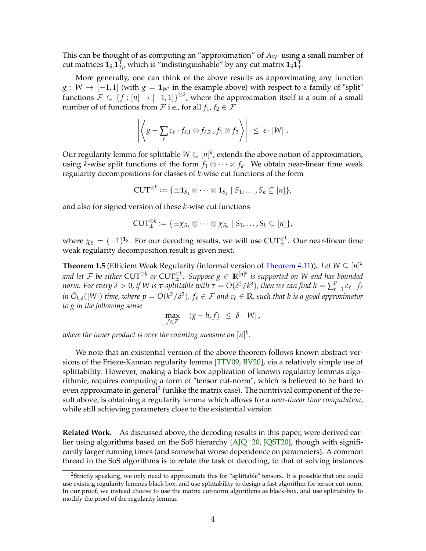<span id="page-5-1"></span>This can be thought of as computing an "approximation" of  $A_{W'}$  using a small number of cut matrices  $\mathbf{1}_{S_j}\mathbf{1}_{T_j}^{\mathsf{T}}$ , which is "indistinguishable" by any cut matrix  $\mathbf{1}_S\mathbf{1}_T^{\mathsf{T}}$ .

More generally, one can think of the above results as approximating any function *g* : *W* → [−1,1] (with  $g = 1<sub>W'</sub>$  in the example above) with respect to a family of "split" functions  $\mathcal{F} \subseteq \{f : [n] \to [-1,1]\}^{\otimes 2}$ , where the approximation itself is a sum of a small number of of functions from  $\mathcal F$  i.e., for all  $f_1, f_2 \in \mathcal F$ 

$$
\left|\left\langle g-\sum_{\ell}c_{\ell}\cdot f_{\ell,1}\otimes f_{\ell,2}\right\rangle f_1\otimes f_2\right\rangle\right| \leq \varepsilon\cdot|W|.
$$

Our regularity lemma for splittable  $W \subseteq [n]^k$ , extends the above notion of approximation, using *k*-wise split functions of the form  $f_1 \otimes \cdots \otimes f_k$ . We obtain near-linear time weak regularity decompositions for classes of *k*-wise cut functions of the form

$$
\mathrm{CUT}^{\otimes k}:=\{\pm\mathbf{1}_{S_1}\otimes\cdots\otimes\mathbf{1}_{S_k}\mid S_1,\ldots,S_k\subseteq [n]\},
$$

and also for signed version of these *k*-wise cut functions

$$
\mathrm{CUT}_\pm^{\otimes k}\coloneqq\{\pm\chi_{S_1}\otimes\cdots\otimes\chi_{S_k}\mid S_1,\ldots,S_k\subseteq [n]\},
$$

where  $\chi_S = (-1)^{1_S}$ . For our decoding results, we will use CUT $_{\pm}^{\otimes k}$ . Our near-linear time weak regularity decomposition result is given next.

**Theorem 1.5** (Efficient Weak Regularity (informal version of [Theorem 4.11\)](#page-18-1)). *Let W*  $\subseteq$   $[n]^k$ and let  $\mathcal F$  be either  $\text{CUT}^{\otimes k}$  or  $\text{CUT}^{\otimes k}_\pm$ . Suppose  $g\in\mathbb R^{[n]^k}$  is supported on W and has bounded *norm. For every*  $δ > 0$ , if W is τ-splittable with  $τ = O(δ² / k³)$ , then we can find  $h = \sum_{\ell}^{p}$  $\frac{p}{\ell=1} c_{\ell} \cdot f_{\ell}$ *in*  $O_{k,\delta}(|W|)$  *time, where*  $p = O(k^2/\delta^2)$ *,*  $f_\ell \in \mathcal{F}$  *and*  $c_\ell \in \mathbb{R}$ *, such that h is a good approximator to g in the following sense*

$$
\max_{f \in \mathcal{F}} \quad \langle g - h, f \rangle \leq \delta \cdot |W|,
$$

where the inner product is over the counting measure on  $[n]^k.$ 

We note that an existential version of the above theorem follows known abstract versions of the Frieze-Kannan regularity lemma [\[TTV09,](#page-42-5) [BV20\]](#page-40-6), via a relatively simple use of splittability. However, making a black-box application of known regularity lemmas algorithmic, requires computing a form of "tensor cut-norm", which is believed to be hard to even approximate in general<sup>[2](#page-5-0)</sup> (unlike the matrix case). The nontrivial component of the result above, is obtaining a regularity lemma which allows for a *near-linear time computation*, while still achieving parameters close to the existential version.

**Related Work.** As discussed above, the decoding results in this paper, were derived earlier using algorithms based on the SoS hierarchy  $[A]Q^+20$ , [JQST20\]](#page-41-3), though with significantly larger running times (and somewhat worse dependence on parameters). A common thread in the SoS algorithms is to relate the task of decoding, to that of solving instances

<span id="page-5-0"></span><sup>2</sup>Strictly speaking, we only need to approximate this for "splittable" tensors. It is possible that one could use existing regularity lemmas black box, and use splittability to design a fast algorithm for tensor cut-norm. In our proof, we instead choose to use the matrix cut-norm algorithms as black-box, and use splittability to modify the proof of the regularity lemma.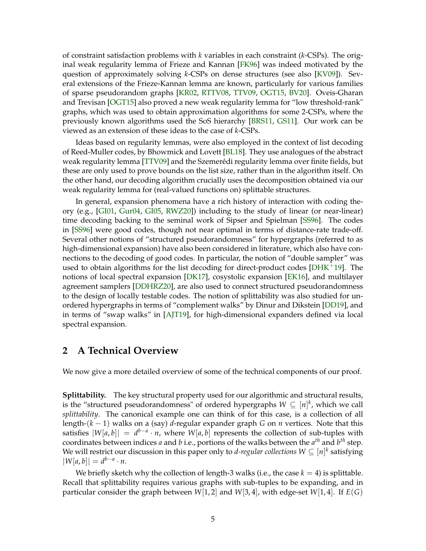<span id="page-6-1"></span>of constraint satisfaction problems with *k* variables in each constraint (*k*-CSPs). The original weak regularity lemma of Frieze and Kannan [\[FK96\]](#page-40-7) was indeed motivated by the question of approximately solving *k*-CSPs on dense structures (see also [\[KV09\]](#page-42-6)). Several extensions of the Frieze-Kannan lemma are known, particularly for various families of sparse pseudorandom graphs [\[KR02,](#page-41-8) [RTTV08,](#page-42-4) [TTV09,](#page-42-5) [OGT15,](#page-42-7) [BV20\]](#page-40-6). Oveis-Gharan and Trevisan [\[OGT15\]](#page-42-7) also proved a new weak regularity lemma for "low threshold-rank" graphs, which was used to obtain approximation algorithms for some 2-CSPs, where the previously known algorithms used the SoS hierarchy [\[BRS11,](#page-40-8) [GS11\]](#page-41-9). Our work can be viewed as an extension of these ideas to the case of *k*-CSPs.

Ideas based on regularity lemmas, were also employed in the context of list decoding of Reed-Muller codes, by Bhowmick and Lovett [\[BL18\]](#page-39-3). They use analogues of the abstract weak regularity lemma [\[TTV09\]](#page-42-5) and the Szemerédi regularity lemma over finite fields, but these are only used to prove bounds on the list size, rather than in the algorithm itself. On the other hand, our decoding algorithm crucially uses the decomposition obtained via our weak regularity lemma for (real-valued functions on) splittable structures.

In general, expansion phenomena have a rich history of interaction with coding theory (e.g., [\[GI01,](#page-41-6) [Gur04,](#page-41-10) [GI05,](#page-41-11) [RWZ20\]](#page-42-8)) including to the study of linear (or near-linear) time decoding backing to the seminal work of Sipser and Spielman [\[SS96\]](#page-42-9). The codes in [\[SS96\]](#page-42-9) were good codes, though not near optimal in terms of distance-rate trade-off. Several other notions of "structured pseudorandomness" for hypergraphs (referred to as high-dimensional expansion) have also been considered in literature, which also have connections to the decoding of good codes. In particular, the notion of "double sampler" was used to obtain algorithms for the list decoding for direct-product codes [ $DHK^+19$ ]. The notions of local spectral expansion [\[DK17\]](#page-40-3), cosystolic expansion [\[EK16\]](#page-40-10), and multilayer agreement samplers [\[DDHRZ20\]](#page-40-11), are also used to connect structured pseudorandomness to the design of locally testable codes. The notion of splittability was also studied for unordered hypergraphs in terms of "complement walks" by Dinur and Dikstein [\[DD19\]](#page-40-12), and in terms of "swap walks" in [\[AJT19\]](#page-39-4), for high-dimensional expanders defined via local spectral expansion.

### <span id="page-6-0"></span>**2 A Technical Overview**

We now give a more detailed overview of some of the technical components of our proof.

**Splittability.** The key structural property used for our algorithmic and structural results, is the "structured pseudorandomness" of ordered hypergraphs  $W \subseteq [n]^k$ , which we call *splittability*. The canonical example one can think of for this case, is a collection of all length-(*k* − 1) walks on a (say) *d*-regular expander graph *G* on *n* vertices. Note that this satisfies  $|W[a, b]| = d^{b-a} \cdot n$ , where  $W[a, b]$  represents the collection of sub-tuples with coordinates between indices *a* and *b* i.e., portions of the walks between the *a th* and *b th* step. We will restrict our discussion in this paper only to *d-regular collections W*  $\subseteq$   $[n]^k$  satisfying  $|W[a, b]| = d^{b-a} \cdot n$ .

We briefly sketch why the collection of length-3 walks (i.e., the case  $k = 4$ ) is splittable. Recall that splittability requires various graphs with sub-tuples to be expanding, and in particular consider the graph between *W*[1, 2] and *W*[3, 4], with edge-set *W*[1, 4]. If *E*(*G*)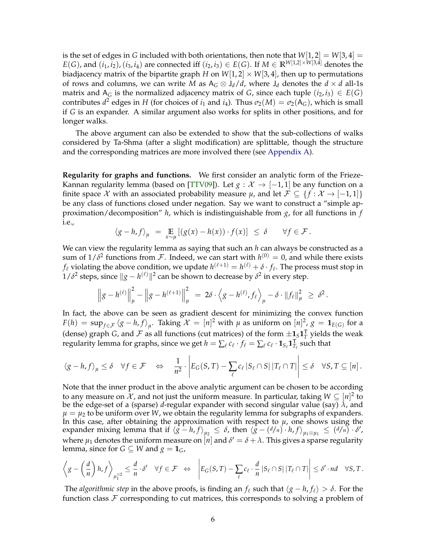<span id="page-7-0"></span>is the set of edges in *G* included with both orientations, then note that  $W[1,2] = W[3,4] =$ *E*(*G*), and  $(i_1, i_2)$ ,  $(i_3, i_4)$  are connected iff  $(i_2, i_3) \in E(G)$ . If  $M \in \mathbb{R}^{W[1,2] \times W[3,4]}$  denotes the biadjacency matrix of the bipartite graph *H* on  $W[1, 2] \times W[3, 4]$ , then up to permutations of rows and columns, we can write *M* as  $A_G \otimes J_d/d$ , where  $J_d$  denotes the  $d \times d$  all-1s matrix and  $A_G$  is the normalized adjacency matrix of *G*, since each tuple  $(i_2, i_3) \in E(G)$ contributes  $d^2$  edges in *H* (for choices of  $i_1$  and  $i_4$ ). Thus  $\sigma_2(M) = \sigma_2(\mathsf{A}_G)$ , which is small if *G* is an expander. A similar argument also works for splits in other positions, and for longer walks.

The above argument can also be extended to show that the sub-collections of walks considered by Ta-Shma (after a slight modification) are splittable, though the structure and the corresponding matrices are more involved there (see [Appendix A\)](#page-43-0).

**Regularity for graphs and functions.** We first consider an analytic form of the Frieze-Kannan regularity lemma (based on [\[TTV09\]](#page-42-5)). Let  $g : \mathcal{X} \to [-1,1]$  be any function on a finite space X with an associated probability measure  $\mu$ , and let  $\mathcal{F} \subseteq \{f : \mathcal{X} \to [-1,1]\}$ be any class of functions closed under negation. Say we want to construct a "simple approximation/decomposition" *h*, which is indistinguishable from *g*, for all functions in *f* i.e.,

$$
\langle g - h, f \rangle_{\mu} = \mathop{\mathbb{E}}_{x \sim \mu} [(g(x) - h(x)) \cdot f(x)] \leq \delta \quad \forall f \in \mathcal{F}.
$$

We can view the regularity lemma as saying that such an *h* can always be constructed as a sum of  $1/\delta^2$  functions from  $\mathcal F$ . Indeed, we can start with  $h^{(0)}=0$ , and while there exists  $f_\ell$  violating the above condition, we update  $h^{(\ell+1)} = h^{(\ell)} + \delta \cdot f_\ell.$  The process must stop in  $1/\delta^2$  steps, since  $\|g-h^{(\ell)}\|^2$  can be shown to decrease by  $\delta^2$  in every step.

$$
\left\|g - h^{(\ell)}\right\|_{\mu}^{2} - \left\|g - h^{(\ell+1)}\right\|_{\mu}^{2} = 2\delta \cdot \left\langle g - h^{(\ell)}, f_{\ell} \right\rangle_{\mu} - \delta \cdot \left\|f_{\ell}\right\|_{\mu}^{2} \geq \delta^{2}.
$$

In fact, the above can be seen as gradient descent for minimizing the convex function  $F(h) = \sup_{f \in \mathcal{F}} \langle g - h, f \rangle_{\mu}.$  Taking  $\mathcal{X} = [n]^2$  with  $\mu$  as uniform on  $[n]^2$ ,  $g = \mathbf{1}_{E(G)}$  for a (dense) graph *G*, and  $\mathcal F$  as all functions (cut matrices) of the form  $\pm \mathbf{1}_\mathcal S \mathbf{1}_T^\mathsf{T}$  yields the weak regularity lemma for graphs, since we get  $h = \sum_\ell c_\ell \cdot f_\ell = \sum_\ell c_\ell \cdot \mathbf{1}_{S_\ell} \mathbf{1}_{T_\ell}^{\sf T}$  such that

$$
\langle g - h, f \rangle_{\mu} \leq \delta \quad \forall f \in \mathcal{F} \quad \Leftrightarrow \quad \frac{1}{n^2} \cdot \left| E_G(S, T) - \sum_{\ell} c_{\ell} \left| S_{\ell} \cap S \right| \left| T_{\ell} \cap T \right| \right| \leq \delta \quad \forall S, T \subseteq [n].
$$

Note that the inner product in the above analytic argument can be chosen to be according to any measure on  $\mathcal X$ , and not just the uniform measure. In particular, taking  $W \subseteq [n]^2$  to be the edge-set of a (sparse) *d*-regular expander with second singular value (say) *λ*, and  $\mu = \mu_2$  to be uniform over *W*, we obtain the regularity lemma for subgraphs of expanders. In this case, after obtaining the approximation with respect to  $\mu$ , one shows using the expander mixing lemma that if  $\langle g - h, f \rangle_{\mu_2} \le \delta$ , then  $\langle g - (d/n) \cdot h, f \rangle_{\mu_1 \otimes \mu_1} \le (d/n) \cdot \delta'$ , where  $\mu_1$  denotes the uniform measure on  $[n]$  and  $\delta' = \delta + \lambda$ . This gives a sparse regularity lemma, since for *G*  $\subseteq$  *W* and *g* = **1***G*,

$$
\left\langle g - \left(\frac{d}{n}\right)h, f\right\rangle_{\mu_1^{\otimes 2}} \leq \frac{d}{n} \cdot \delta' \quad \forall f \in \mathcal{F} \quad \Leftrightarrow \quad \left|E_G(S,T) - \sum_{\ell} c_{\ell} \cdot \frac{d}{n} |S_{\ell} \cap S| \, |T_{\ell} \cap T|\right| \leq \delta' \cdot nd \quad \forall S, T.
$$

The *algorithmic step* in the above proofs, is finding an  $f_\ell$  such that  $\langle g - h, f_\ell \rangle > \delta$ . For the function class  $F$  corresponding to cut matrices, this corresponds to solving a problem of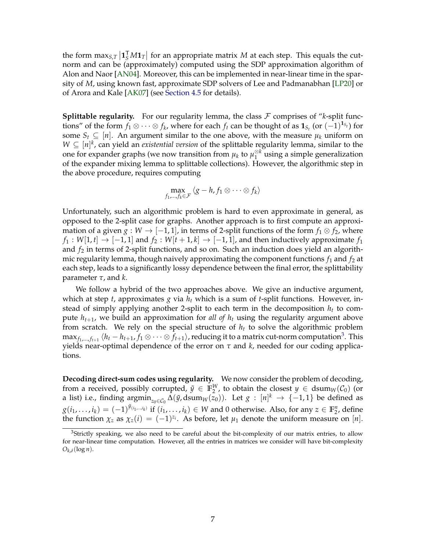<span id="page-8-1"></span>the form  $\max_{S,T} |\mathbf{1}_S^T M \mathbf{1}_T|$  for an appropriate matrix *M* at each step. This equals the cutnorm and can be (approximately) computed using the SDP approximation algorithm of Alon and Naor [\[AN04\]](#page-39-5). Moreover, this can be implemented in near-linear time in the sparsity of *M*, using known fast, approximate SDP solvers of Lee and Padmanabhan [\[LP20\]](#page-42-10) or of Arora and Kale [\[AK07\]](#page-39-6) (see [Section 4.5](#page-26-0) for details).

**Splittable regularity.** For our regularity lemma, the class  $\mathcal F$  comprises of "*k*-split functions" of the form  $f_1 \otimes \cdots \otimes f_k$ , where for each  $f_t$  can be thought of as  $\mathbf{1}_{S_t}$  (or  $(-1)^{\mathbf{1}_{S_t}}$ ) for some  $S_t \subseteq [n]$ . An argument similar to the one above, with the measure  $\mu_k$  uniform on  $W \subseteq [n]^k$ , can yield an *existential version* of the splittable regularity lemma, similar to the one for expander graphs (we now transition from  $\mu_k$  to  $\mu_1^{\otimes k}$  $_1^{\otimes k}$  using a simple generalization of the expander mixing lemma to splittable collections). However, the algorithmic step in the above procedure, requires computing

$$
\max_{f_1,\ldots,f_k\in\mathcal{F}}\langle g-h,f_1\otimes\cdots\otimes f_k\rangle
$$

Unfortunately, such an algorithmic problem is hard to even approximate in general, as opposed to the 2-split case for graphs. Another approach is to first compute an approximation of a given *g* : *W*  $\rightarrow$  [−1, 1], in terms of 2-split functions of the form  $f_1 \otimes f_2$ , where  $f_1: W[1, t] \rightarrow [-1, 1]$  and  $f_2: W[t+1, k] \rightarrow [-1, 1]$ , and then inductively approximate  $f_1$ and  $f_2$  in terms of 2-split functions, and so on. Such an induction does yield an algorithmic regularity lemma, though naively approximating the component functions  $f_1$  and  $f_2$  at each step, leads to a significantly lossy dependence between the final error, the splittability parameter *τ*, and *k*.

We follow a hybrid of the two approaches above. We give an inductive argument, which at step *t*, approximates *g* via *h<sup>t</sup>* which is a sum of *t*-split functions. However, instead of simply applying another 2-split to each term in the decomposition *h<sup>t</sup>* to compute  $h_{t+1}$ , we build an approximation for *all of*  $h_t$  using the regularity argument above from scratch. We rely on the special structure of  $h_t$  to solve the algorithmic problem  $\max_{f_1,...,f_{t+1}}\langle h_t-h_{t+1}, f_1\otimes\cdots\otimes f_{t+1}\rangle$ , reducing it to a matrix cut-norm computation<sup>[3](#page-8-0)</sup>. This yields near-optimal dependence of the error on *τ* and *k*, needed for our coding applications.

**Decoding direct-sum codes using regularity.** We now consider the problem of decoding, from a received, possibly corrupted,  $\tilde{y} \in \mathbb{F}_2^W$ , to obtain the closest  $y \in \text{dsum}_W(\mathcal{C}_0)$  (or a list) i.e., finding  $\operatorname{argmin}_{z_0 \in C_0} \Delta(\tilde{y}, \operatorname{dsum}_W(z_0)).$  Let  $g : [n]^k \to \{-1, 1\}$  be defined as  $g(i_1,\ldots,i_k) = (-1)^{\tilde{y}_{(i_1,\ldots,i_k)}}$  if  $(i_1,\ldots,i_k) \in W$  and 0 otherwise. Also, for any  $z \in \mathbb{F}_2^n$ , define the function  $\chi_z$  as  $\chi_z(i) = (-1)^{z_i}$ . As before, let  $\mu_1$  denote the uniform measure on [*n*].

<span id="page-8-0"></span><sup>&</sup>lt;sup>3</sup>Strictly speaking, we also need to be careful about the bit-complexity of our matrix entries, to allow for near-linear time computation. However, all the entries in matrices we consider will have bit-complexity  $O_{k,\delta}(\log n)$ .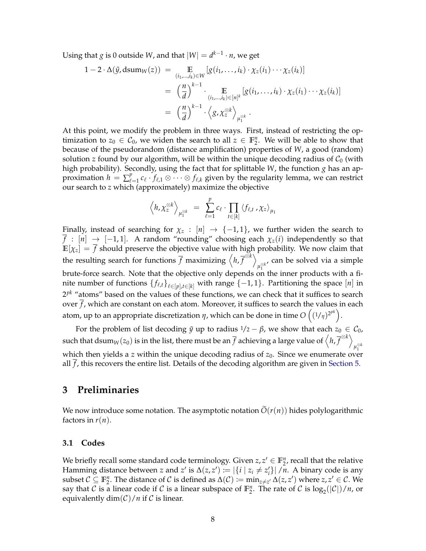Using that  $g$  is 0 outside  $W$ , and that  $|W| = d^{k-1} \cdot n$ , we get

$$
1 - 2 \cdot \Delta(\tilde{y}, \text{dsum}_W(z)) = \mathop{\mathbb{E}}_{(i_1, \dots, i_k) \in W} [g(i_1, \dots, i_k) \cdot \chi_z(i_1) \cdots \chi_z(i_k)]
$$
  

$$
= \left(\frac{n}{d}\right)^{k-1} \cdot \mathop{\mathbb{E}}_{(i_1, \dots, i_k) \in [n]^k} [g(i_1, \dots, i_k) \cdot \chi_z(i_1) \cdots \chi_z(i_k)]
$$
  

$$
= \left(\frac{n}{d}\right)^{k-1} \cdot \left\langle g, \chi_z^{\otimes k} \right\rangle_{\mu_1^{\otimes k}}.
$$

At this point, we modify the problem in three ways. First, instead of restricting the optimization to  $z_0 \in C_0$ , we widen the search to all  $z \in \mathbb{F}_2^n$ . We will be able to show that because of the pseudorandom (distance amplification) properties of *W*, a good (random) solution *z* found by our algorithm, will be within the unique decoding radius of  $C_0$  (with high probability). Secondly, using the fact that for splittable *W*, the function *g* has an approximation  $h = \sum_{\ell}^{p}$  $e_{\ell=1}^p$   $c_{\ell}$  ·  $f_{\ell,1}$  ⊗ · · · ⊗  $f_{\ell,k}$  given by the regularity lemma, we can restrict our search to *z* which (approximately) maximize the objective

$$
\left\langle h, \chi_z^{\otimes k} \right\rangle_{\mu_1^{\otimes k}} = \sum_{\ell=1}^p c_\ell \cdot \prod_{t \in [k]} \left\langle f_{\ell,t} \cdot \chi_z \right\rangle_{\mu_1}
$$

Finally, instead of searching for  $\chi_z : [n] \rightarrow \{-1,1\}$ , we further widen the search to  $\overline{f}$  :  $[n] \rightarrow [-1,1]$ . A random "rounding" choosing each  $\chi_z(i)$  independently so that  $\mathbb{E}[\chi_z] = \overline{f}$  should preserve the objective value with high probability. We now claim that the resulting search for functions  $\overline{f}$  maximizing  $\left\langle h,\overline{f}^{\otimes k}\right\rangle$ *µ* ⊗*k* , can be solved via a simple brute-force search. Note that the objective only depends on the inner products with a finite number of functions  $\{f_{\ell,t}\}_{\ell \in [p], t \in [k]}$  with range  $\{-1, 1\}$ . Partitioning the space  $[n]$  in 2 *pk* "atoms" based on the values of these functions, we can check that it suffices to search over  $\overline{f}$ , which are constant on each atom. Moreover, it suffices to search the values in each atom, up to an appropriate discretization  $\eta$ , which can be done in time  $O\left((\frac{1}{\eta})^{2^{pk}}\right)$ .

For the problem of list decoding  $\tilde{y}$  up to radius  $1/2 - \beta$ , we show that each  $z_0 \in C_0$ , such that  $\text{dsum}_W(z_0)$  is in the list, there must be an  $\overline{f}$  achieving a large value of  $\left\langle h,\overline{f}^{\otimes k}\right\rangle$  $\mu_1^{\otimes k}$ which then yields a *z* within the unique decoding radius of  $z_0$ . Since we enumerate over all *f* , this recovers the entire list. Details of the decoding algorithm are given in [Section 5.](#page-31-0)

### <span id="page-9-0"></span>**3 Preliminaries**

We now introduce some notation. The asymptotic notation  $\tilde{O}(r(n))$  hides polylogarithmic factors in  $r(n)$ .

#### <span id="page-9-1"></span>**3.1 Codes**

We briefly recall some standard code terminology. Given  $z, z' \in \mathbb{F}_2^n$ , recall that the relative Hamming distance between *z* and *z'* is  $\Delta(z, z') := |\{i \mid z_i \neq z'_i\}| / n$ . A binary code is any subset  $C \subseteq \mathbb{F}_2^n$ . The distance of C is defined as  $\Delta(C) := \min_{z \neq z'} \Delta(z, z')$  where  $z, z' \in C$ . We say that  $C$  is a linear code if  $C$  is a linear subspace of  $\mathbb{F}_2^n$ . The rate of  $C$  is  $\log_2(|C|)/n$ , or equivalently  $\dim(\mathcal{C})/n$  if C is linear.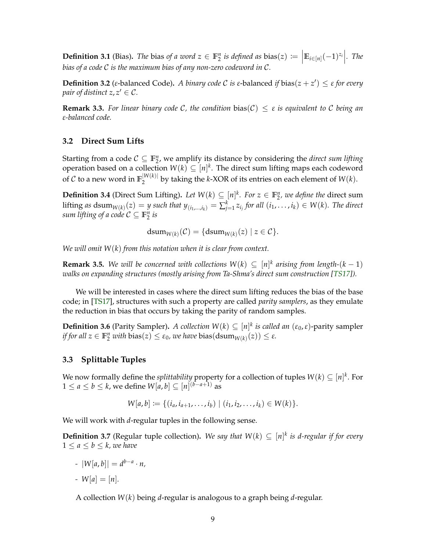<span id="page-10-2"></span>**Definition 3.1** (Bias). The bias of a word  $z \in \mathbb{F}_2^n$  is defined as bias( $z$ )  $:= \left| \mathbb{E}_{i \in [n]} (-1)^{z_i} \right|$ . The *bias of a code* C *is the maximum bias of any non-zero codeword in* C*.*

**Definition 3.2** (*ε*-balanced Code). *A binary code C is ε*-balanced *if* bias( $z + z'$ )  $\leq$  *ε for every pair of distinct*  $z, z' \in \mathcal{C}$ *.* 

**Remark 3.3.** *For linear binary code* C*, the condition* bias(C) ≤ *ε is equivalent to* C *being an ε-balanced code.*

#### <span id="page-10-0"></span>**3.2 Direct Sum Lifts**

Starting from a code  $C \subseteq \mathbb{F}_2^n$ , we amplify its distance by considering the *direct sum lifting* operation based on a collection  $W(k) \subseteq [n]^k$ . The direct sum lifting maps each codeword of  $\mathcal C$  to a new word in  $\mathbb F_2^{|W(k)|}$  $\frac{2}{2}$ <sup>*W*(*k*)<sup>*l*</sup> by taking the *k*-XOR of its entries on each element of *W*(*k*).</sup>

**Definition 3.4** (Direct Sum Lifting). Let  $W(k) \subseteq [n]^k$ . For  $z \in \mathbb{F}_2^n$ , we define the direct sum lifting as  $dsum_{W(k)}(z) = y$  such that  $y_{(i_1,...,i_k)} = \sum_{j=1}^k z_{i_j}$  for all  $(i_1,...,i_k) \in W(k)$ . The direct sum lifting of a code  $C \subseteq \mathbb{F}_2^n$  is

$$
dsum_{W(k)}(\mathcal{C}) = \{dsum_{W(k)}(z) \mid z \in \mathcal{C}\}.
$$

*We will omit W*(*k*) *from this notation when it is clear from context.*

**Remark 3.5.** We will be concerned with collections  $W(k) \subseteq [n]^k$  arising from length- $(k-1)$ *walks on expanding structures (mostly arising from Ta-Shma's direct sum construction [\[TS17\]](#page-42-1)*).

We will be interested in cases where the direct sum lifting reduces the bias of the base code; in [\[TS17\]](#page-42-1), structures with such a property are called *parity samplers*, as they emulate the reduction in bias that occurs by taking the parity of random samples.

**Definition 3.6** (Parity Sampler). *A collection*  $W(k) \subseteq [n]^k$  *is called an*  $(\varepsilon_0, \varepsilon)$ -parity sampler *if for all*  $z \in \mathbb{F}_2^n$  *with*  $bias(z) \leq \varepsilon_0$ *, we have*  $bias(dsum_{W(k)}(z)) \leq \varepsilon$ *.* 

#### <span id="page-10-1"></span>**3.3 Splittable Tuples**

We now formally define the *splittability* property for a collection of tuples  $W(k) \subseteq [n]^k$ . For 1 ≤ *a* ≤ *b* ≤ *k*, we define  $W[a, b]$  ⊆  $[n]^{(b-a+1)}$  as

$$
W[a,b] := \{(i_a, i_{a+1}, \ldots, i_b) \mid (i_1, i_2, \ldots, i_k) \in W(k)\}.
$$

We will work with *d*-regular tuples in the following sense.

**Definition 3.7** (Regular tuple collection). We say that  $W(k) \subseteq [n]^k$  is d-regular if for every  $1 \leq a \leq b \leq k$ , we have

*-* |*W*[*a*, *b*]| = *d b*−*a* · *n,*

*-*  $W[a] = [n]$ .

A collection *W*(*k*) being *d*-regular is analogous to a graph being *d*-regular.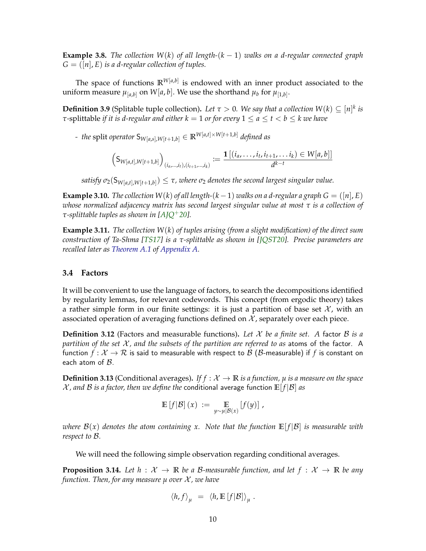<span id="page-11-3"></span>**Example 3.8.** *The collection W*(*k*) *of all length-*(*k* − 1) *walks on a d-regular connected graph*  $G = ([n], E)$  *is a d-regular collection of tuples.* 

The space of functions **R***W*[*a*,*b*] is endowed with an inner product associated to the uniform measure  $\mu_{[a,b]}$  on  $W[a,b]$ . We use the shorthand  $\mu_b$  for  $\mu_{[1,b]}$ .

<span id="page-11-1"></span>**Definition 3.9** (Splitable tuple collection). *Let*  $\tau > 0$ . *We say that a collection W*(*k*)  $\subseteq [n]^k$  *is τ*-splittable *if it is d-regular and either*  $k = 1$  *or for every*  $1 \le a \le t < b \le k$  *we have* 

*- the* split *operator* S*W*[*a*,*s*],*W*[*t*+1,*b*] ∈ **R***W*[*a*,*t*]×*W*[*t*+1,*b*] *defined as*

$$
\left(S_{W[a,t],W[t+1,b]}\right)_{(i_a,...,i_t),(i_{t+1},...,i_k)} := \frac{\mathbf{1}\left[(i_a,...,i_t,i_{t+1},...,i_k)\in W[a,b]\right]}{d^{k-t}}
$$

 $satisfy$   $\sigma_2(\mathsf{S}_{W[a,t],W[t+1,b]}) \leq \tau$ , where  $\sigma_2$  denotes the second largest singular value.

**Example 3.10.** *The collection*  $W(k)$  *of all length-*( $k - 1$ ) *walks on a d-regular a graph*  $G = (\lceil n \rceil, E)$ *whose normalized adjacency matrix has second largest singular value at most τ is a collection of τ-splittable tuples as shown in [\[AJQ](#page-39-0)*+*20].*

**Example 3.11.** *The collection W*(*k*) *of tuples arising (from a slight modification) of the direct sum construction of Ta-Shma [\[TS17\]](#page-42-1) is a τ-splittable as shown in [\[JQST20\]](#page-41-3). Precise parameters are recalled later as [Theorem A.1](#page-43-2) of [Appendix A.](#page-43-0)*

#### <span id="page-11-0"></span>**3.4 Factors**

It will be convenient to use the language of factors, to search the decompositions identified by regularity lemmas, for relevant codewords. This concept (from ergodic theory) takes a rather simple form in our finite settings: it is just a partition of base set  $\mathcal{X}$ , with an associated operation of averaging functions defined on  $X$ , separately over each piece.

**Definition 3.12** (Factors and measurable functions). Let  $X$  be a finite set. A factor  $B$  is a *partition of the set* X *, and the subsets of the partition are referred to as* atoms of the factor. A function  $f: \mathcal{X} \to \mathcal{R}$  is said to measurable with respect to  $\mathcal{B}$  ( $\mathcal{B}$ -measurable) if f is constant on each atom of  $B$ .

**Definition 3.13** (Conditional averages). *If*  $f : \mathcal{X} \to \mathbb{R}$  *is a function,*  $\mu$  *is a measure on the space*  $X$ , and B is a factor, then we define the conditional average function  $E[f|\mathcal{B}]$  as

$$
\mathbb{E}[f|\mathcal{B}](x) := \mathop{\mathbb{E}}_{y \sim \mu|\mathcal{B}(x)} [f(y)],
$$

*where*  $B(x)$  *denotes the atom containing x.* Note that the function  $E[f|B]$  is measurable with *respect to* B*.*

We will need the following simple observation regarding conditional averages.

<span id="page-11-2"></span>**Proposition 3.14.** Let  $h : \mathcal{X} \to \mathbb{R}$  be a B-measurable function, and let  $f : \mathcal{X} \to \mathbb{R}$  be any *function. Then, for any measure*  $\mu$  *over*  $\mathcal{X}$ *, we have* 

$$
\langle h, f \rangle_{\mu} = \langle h, \mathbb{E} [f|B] \rangle_{\mu} .
$$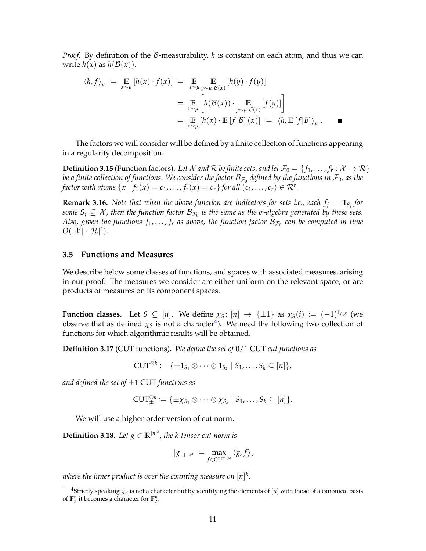*Proof.* By definition of the B-measurability, *h* is constant on each atom, and thus we can write  $h(x)$  as  $h(\mathcal{B}(x))$ .

$$
\langle h, f \rangle_{\mu} = \mathop{\mathbb{E}}_{x \sim \mu} [h(x) \cdot f(x)] = \mathop{\mathbb{E}}_{x \sim \mu} \mathop{\mathbb{E}}_{y \sim \mu | \mathcal{B}(x)} [h(y) \cdot f(y)]
$$
  
\n
$$
= \mathop{\mathbb{E}}_{x \sim \mu} \left[ h(\mathcal{B}(x)) \cdot \mathop{\mathbb{E}}_{y \sim \mu | \mathcal{B}(x)} [f(y)] \right]
$$
  
\n
$$
= \mathop{\mathbb{E}}_{x \sim \mu} [h(x) \cdot \mathop{\mathbb{E}} [f|\mathcal{B}](x)] = \langle h, \mathop{\mathbb{E}} [f|\mathcal{B}] \rangle_{\mu}.
$$

The factors we will consider will be defined by a finite collection of functions appearing in a regularity decomposition.

 $\bf{Definition 3.15}$  (Function factors). Let  $\mathcal X$  and  $\mathcal R$  be finite sets, and let  $\mathcal F_0=\{f_1,\ldots,f_r:\mathcal X\to \mathcal R\}$ be a finite collection of functions. We consider the factor  $\mathcal{B}_{\mathcal{F}_0}$  defined by the functions in  $\mathcal{F}_0$ , as the *factor with atoms*  $\{x \mid f_1(x) = c_1, \ldots, f_r(x) = c_r\}$  *for all*  $(c_1, \ldots, c_r) \in \mathcal{R}^r$ .

<span id="page-12-3"></span>**Remark 3.16.** *Note that when the above function are indicators for sets i.e., each*  $f_j = \mathbf{1}_{S_j}$  *for*  $s$ ome  $S_j \subseteq \mathcal{X}$ , then the function factor  $\mathcal{B}_{\mathcal{F}_0}$  is the same as the  $\sigma$ -algebra generated by these sets. Also, given the functions  $f_1, \ldots, f_r$  as above, the function factor  ${\cal B}_{{\cal F}_0}$  can be computed in time  $O(|\mathcal{X}|\cdot |\mathcal{R}|^r)$ .

#### <span id="page-12-0"></span>**3.5 Functions and Measures**

We describe below some classes of functions, and spaces with associated measures, arising in our proof. The measures we consider are either uniform on the relevant space, or are products of measures on its component spaces.

**Function classes.** Let  $S \subseteq [n]$ . We define  $\chi_S : [n] \to \{\pm 1\}$  as  $\chi_S(i) := (-1)^{1_{i \in S}}$  (we observe that as defined  $\chi_S$  is not a character<sup>[4](#page-12-1)</sup>). We need the following two collection of functions for which algorithmic results will be obtained.

**Definition 3.17** (CUT functions)**.** *We define the set of* 0/1 CUT *cut functions as*

$$
\mathrm{CUT}^{\otimes k} \coloneqq \{ \pm \mathbf{1}_{S_1} \otimes \cdots \otimes \mathbf{1}_{S_k} \mid S_1, \ldots, S_k \subseteq [n] \},
$$

*and defined the set of* ±1 CUT *functions as*

$$
\mathrm{CUT}^{\otimes k}_{\pm} := \{ \pm \chi_{S_1} \otimes \cdots \otimes \chi_{S_k} \mid S_1, \ldots, S_k \subseteq [n] \}.
$$

We will use a higher-order version of cut norm.

<span id="page-12-2"></span>**Definition 3.18.** Let  $g \in \mathbb{R}^{[n]^k}$ , the k-tensor cut norm is

$$
\|g\|_{\Box^{\otimes k}} := \max_{f \in \text{CUT}^{\otimes k}} \langle g, f \rangle,
$$

where the inner product is over the counting measure on  $[n]^k$ .

<span id="page-12-1"></span><sup>&</sup>lt;sup>4</sup>Strictly speaking  $\chi_S$  is not a character but by identifying the elements of  $[n]$  with those of a canonical basis of  $\mathbb{F}_2^n$  it becomes a character for  $\mathbb{F}_2^n$ .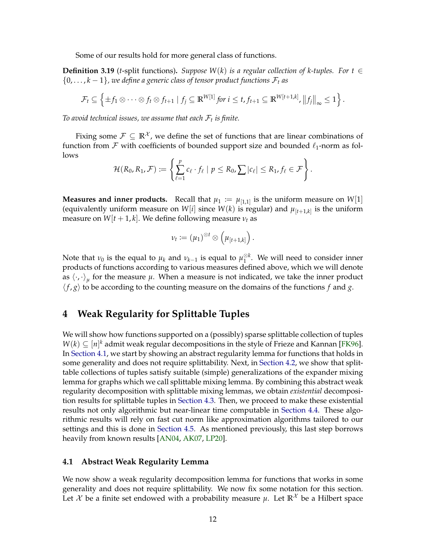<span id="page-13-3"></span>Some of our results hold for more general class of functions.

<span id="page-13-2"></span>**Definition 3.19** (*t*-split functions). *Suppose*  $W(k)$  *is a regular collection of k-tuples. For*  $t \in$  $\{0,\ldots,k-1\}$ , we define a generic class of tensor product functions  $\mathcal{F}_t$  as

$$
\mathcal{F}_t \subseteq \left\{\pm f_1 \otimes \cdots \otimes f_t \otimes f_{t+1} \mid f_j \subseteq \mathbb{R}^{W[1]} \text{ for } i \leq t, f_{t+1} \subseteq \mathbb{R}^{W[t+1,k]}, ||f_j||_{\infty} \leq 1 \right\}.
$$

*To avoid technical issues, we assume that each* F*<sup>t</sup> is finite.*

Fixing some  $\mathcal{F} \subseteq \mathbb{R}^{\mathcal{X}}$ , we define the set of functions that are linear combinations of function from  $\mathcal F$  with coefficients of bounded support size and bounded  $\ell_1$ -norm as follows

$$
\mathcal{H}(R_0,R_1,\mathcal{F}) \coloneqq \left\{ \sum_{\ell=1}^p c_\ell \cdot f_\ell \mid p \leq R_0, \sum |c_\ell| \leq R_1, f_\ell \in \mathcal{F} \right\}.
$$

**Measures and inner products.** Recall that  $\mu_1 := \mu_{[1,1]}$  is the uniform measure on  $W[1]$ (equivalently uniform measure on  $W[i]$  since  $W(k)$  is regular) and  $\mu_{[t+1,k]}$  is the uniform measure on  $W[t + 1, k]$ . We define following measure  $v_t$  as

$$
\nu_t \coloneqq \left(\mu_1\right)^{\otimes t} \otimes \left(\mu_{[t+1,k]}\right).
$$

Note that  $\nu_0$  is the equal to  $\mu_k$  and  $\nu_{k-1}$  is equal to  $\mu_1^{\otimes k}$  $\int_1^{\otimes \kappa}$ . We will need to consider inner products of functions according to various measures defined above, which we will denote as  $\langle \cdot, \cdot \rangle_{\mu}$  for the measure  $\mu$ . When a measure is not indicated, we take the inner product  $\langle f, g \rangle$  to be according to the counting measure on the domains of the functions *f* and *g*.

# <span id="page-13-0"></span>**4 Weak Regularity for Splittable Tuples**

We will show how functions supported on a (possibly) sparse splittable collection of tuples *W*(*k*) ⊆ [*n*]<sup>*k*</sup> admit weak regular decompositions in the style of Frieze and Kannan [\[FK96\]](#page-40-7). In [Section 4.1,](#page-13-1) we start by showing an abstract regularity lemma for functions that holds in some generality and does not require splittability. Next, in [Section 4.2,](#page-16-0) we show that splittable collections of tuples satisfy suitable (simple) generalizations of the expander mixing lemma for graphs which we call splittable mixing lemma. By combining this abstract weak regularity decomposition with splittable mixing lemmas, we obtain *existential* decomposition results for splittable tuples in [Section 4.3.](#page-17-0) Then, we proceed to make these existential results not only algorithmic but near-linear time computable in [Section 4.4.](#page-18-0) These algorithmic results will rely on fast cut norm like approximation algorithms tailored to our settings and this is done in [Section 4.5.](#page-26-0) As mentioned previously, this last step borrows heavily from known results [\[AN04,](#page-39-5) [AK07,](#page-39-6) [LP20\]](#page-42-10).

#### <span id="page-13-1"></span>**4.1 Abstract Weak Regularity Lemma**

We now show a weak regularity decomposition lemma for functions that works in some generality and does not require splittability. We now fix some notation for this section. Let  $\mathcal{X}$  be a finite set endowed with a probability measure  $\mu$ . Let  $\mathbb{R}^{\mathcal{X}}$  be a Hilbert space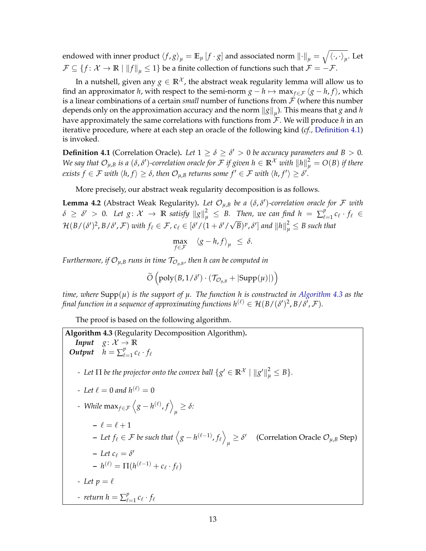endowed with inner product  $\braket{f, g}_\mu = \mathbb{E}_\mu\left[f\cdot g\right]$  and associated norm  $\left\|\cdot\right\|_\mu = \sqrt{\braket{\cdot,\cdot}_\mu}.$  Let  $\mathcal{F} \subseteq \{f: \mathcal{X} \to \mathbb{R} \mid ||f||_{u} \leq 1\}$  be a finite collection of functions such that  $\mathcal{F} = -\mathcal{F}$ .

In a nutshell, given any  $g \in \mathbb{R}^{\mathcal{X}}$ , the abstract weak regularity lemma will allow us to find an approximator *h*, with respect to the semi-norm  $g - h \mapsto \max_{f \in \mathcal{F}} \langle g - h, f \rangle$ , which is a linear combinations of a certain *small* number of functions from  $\mathcal F$  (where this number depends only on the approximation accuracy and the norm  $\left\|g\right\|_{\mu}$ ). This means that  $g$  and  $h$ have approximately the same correlations with functions from  $\mathcal{F}$ . We will produce h in an iterative procedure, where at each step an oracle of the following kind (*cf.,* [Definition 4.1\)](#page-14-0) is invoked.

<span id="page-14-0"></span>**Definition 4.1** (Correlation Oracle). Let  $1 \ge \delta \ge \delta' > 0$  be accuracy parameters and  $B > 0$ . *We say that*  $\mathcal{O}_{\mu,B}$  *is a (δ,δ'*)-correlation oracle for  $\mathcal F$  if given  $h\in\mathbb R^\mathcal X$  with  $\|h\|_\mu^2=O(B)$  if there  $e$ xists  $f \in \mathcal{F}$  with  $\langle h,f \rangle \geq \delta$ , then  $\mathcal{O}_{\mu,\mathcal{B}}$  returns some  $f' \in \mathcal{F}$  with  $\langle h,f' \rangle \geq \delta'.$ 

More precisely, our abstract weak regularity decomposition is as follows.

<span id="page-14-2"></span>**Lemma 4.2** (Abstract Weak Regularity). Let  $\mathcal{O}_{\mu,B}$  be a ( $\delta, \delta'$ )-correlation oracle for F with  $\delta \geq \delta' > 0$ . Let  $g \colon \mathcal{X} \to \mathbb{R}$  satisfy  $\|g\|_{\mu}^2 \leq B$ . Then, we can find  $h = \sum_{\ell=1}^p \ell(\ell)$  $\int_{\ell=1}^{\rho} c_{\ell} \cdot f_{\ell} \in$  $\mathcal{H}(B/(\delta')^2, B/\delta', \mathcal{F})$  *with*  $f_\ell \in \mathcal{F}$ ,  $c_\ell \in [\delta'/(1 + \delta'/\sqrt{\delta'})]$  $(\overline{B})^p$  ,  $\delta'$ ] and  $\|h\|_\mu^2 \leq B$  such that

$$
\max_{f \in \mathcal{F}} \quad \langle g - h, f \rangle_{\mu} \leq \delta.
$$

Furthermore, if  $\mathcal{O}_{\mu,B}$  runs in time  $\mathcal{T}_{\mathcal{O}_{\mu,B}}$ , then h can be computed in

$$
\widetilde{O}\left(\text{poly}(B,1/\delta')\cdot(\mathcal{T}_{\mathcal{O}_{\mu,B}}+|\text{Supp}(\mu)|)\right)
$$

*time, where* Supp(*µ*) *is the support of µ. The function h is constructed in [Algorithm 4.3](#page-14-1) as the* final function in a sequence of approximating functions  $h^{(\ell)} \in \mathcal{H}(B/(\delta')^2,B/\delta',\mathcal{F}).$ 

The proof is based on the following algorithm.

<span id="page-14-1"></span>Algorithm 4.3 (Regularity Decomposition Algorithm).  
\nInput g: X → ℝ  
\nOutput h = 
$$
\sum_{\ell=1}^{p} c_{\ell} \cdot f_{\ell}
$$
  
\n- Let Π be the projector onto the convex ball  $\{g' \in \mathbb{R}^X \mid ||g'||_{\mu}^2 \le B\}$ .  
\n- Let  $\ell = 0$  and  $h^{(\ell)} = 0$   
\n- While  $\max_{f \in \mathcal{F}} \langle g - h^{(\ell)}, f \rangle_{\mu} \ge \delta$ :  
\n-  $\ell = \ell + 1$   
\n- Let  $f_{\ell} \in \mathcal{F}$  be such that  $\langle g - h^{(\ell-1)}, f_{\ell} \rangle_{\mu} \ge \delta'$  (Correlation Oracle  $O_{\mu,B}$  Step)  
\n- Let  $c_{\ell} = \delta'$   
\n-  $h^{(\ell)} = \Pi(h^{(\ell-1)} + c_{\ell} \cdot f_{\ell})$   
\n- Let  $p = \ell$   
\n- return  $h = \sum_{\ell=1}^{p} c_{\ell} \cdot f_{\ell}$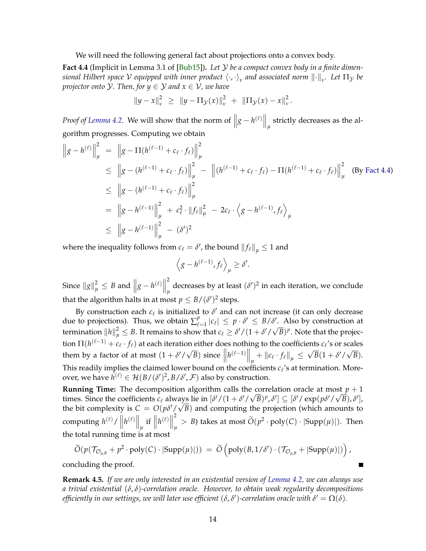<span id="page-15-1"></span>We will need the following general fact about projections onto a convex body.

<span id="page-15-0"></span>**Fact 4.4** (Implicit in Lemma 3.1 of [\[Bub15\]](#page-40-13))**.** *Let* Y *be a compact convex body in a finite dimen* $s$ ional Hilbert space  $\cal V$  equipped with inner product  $\langle\cdot,\cdot\rangle_{\nu}$  and associated norm  $\|\cdot\|_{\nu}$ . Let  $\Pi_{\cal Y}$  be *projector onto* Y*. Then, for y* ∈ Y *and x* ∈ V*, we have*

$$
||y-x||_{\nu}^{2} \geq ||y-\Pi_{\mathcal{Y}}(x)||_{\nu}^{2} + ||\Pi_{\mathcal{Y}}(x)-x||_{\nu}^{2}.
$$

*Proof of Lemma* 4.2. We will show that the norm of  $||g - h^{(\ell)}||_{\mu}$  strictly decreases as the algorithm progresses. Computing we obtain

$$
\|g - h^{(\ell)}\|_{\mu}^{2} = \|g - \Pi(h^{(\ell-1)} + c_{\ell} \cdot f_{\ell})\|_{\mu}^{2}
$$
  
\n
$$
\leq \|g - (h^{(\ell-1)} + c_{\ell} \cdot f_{\ell})\|_{\mu}^{2} - \|(h^{(\ell-1)} + c_{\ell} \cdot f_{\ell}) - \Pi(h^{(\ell-1)} + c_{\ell} \cdot f_{\ell})\|_{\mu}^{2}
$$
 (By Fact 4.4)  
\n
$$
\leq \|g - (h^{(\ell-1)} + c_{\ell} \cdot f_{\ell})\|_{\mu}^{2}
$$
  
\n
$$
= \|g - h^{(\ell-1)}\|_{\mu}^{2} + c_{\ell}^{2} \cdot \|f_{\ell}\|_{\mu}^{2} - 2c_{\ell} \cdot \left\langle g - h^{(\ell-1)}, f_{\ell} \right\rangle_{\mu}
$$
  
\n
$$
\leq \|g - h^{(\ell-1)}\|_{\mu}^{2} - (\delta')^{2}
$$

where the inequality follows from  $c_{\ell} = \delta'$ , the bound  $||f_{\ell}||_{\mu} \leq 1$  and

$$
\left\langle g - h^{(\ell-1)}, f_\ell \right\rangle_\mu \ge \delta'.
$$

Since  $||g||_{\mu}^2 \leq B$  and  $||g - h^{(\ell)}||$ 2 decreases by at least  $(\delta')^2$  in each iteration, we conclude that the algorithm halts in at most  $p \leq B/(\delta')^2$  steps.

By construction each  $c_\ell$  is initialized to  $\delta'$  and can not increase (it can only decrease due to projections). Thus, we obtain  $\sum_{\ell=1}^{p}$  $|e_{\ell}| \leq p \cdot \delta' \leq B/\delta'$ . Also by construction at termination  $\|h\|_\mu^2 \leq B$ . It remains to show that  $c_\ell \geq \delta'/(1+\delta'/\sqrt{B})^p$ . Note that the projection  $\Pi(h^{(\ell-1)}+c_\ell\cdot f_\ell)$  at each iteration either does nothing to the coefficients  $c_\ell$ 's or scales them by a factor of at most  $(1 + \delta'/\sqrt{\delta})$  $\overline{B}$ ) since  $\left\| h^{(\ell-1)} \right\|_{\mu} + \left\| c_{\ell} \cdot f_{\ell} \right\|_{\mu} \leq$ √  $\overline{B}(1 + \delta'/\sqrt{2})$ *B*). This readily implies the claimed lower bound on the coefficients  $c_{\ell}$ 's at termination. Moreover, we have  $h^{(\ell)} \in \mathcal{H}(B/(\delta')^2, B/\delta', \mathcal{F})$  also by construction.

**Running Time:** The decomposition algorithm calls the correlation oracle at most  $p + 1$ times. Since the coefficients  $c_{\ell}$  always lie in  $[\delta'/(1 + \delta'/\sqrt{B})^p, \delta'] \subseteq [\delta'/\exp(p\delta'/\sqrt{B}), \delta'],$ the bit complexity is  $C = O(p\delta'/\sqrt{B})$  and computing the projection (which amounts to computing  $h^{(\ell)}/||h^{(\ell)}||_{\mu}$  if  $||h^{(\ell)}||$ 2  $\frac{1}{\mu}$  > *B*) takes at most  $\tilde{O}(p^2 \cdot \text{poly}(C) \cdot |\text{Supp}(\mu)|)$ . Then the total running time is at most

$$
\widetilde{O}(p(\mathcal{T}_{\mathcal{O}_{\mu,B}}+p^2\cdot \text{poly}(C)\cdot |\text{Supp}(\mu)|)) = \widetilde{O}\left(\text{poly}(B,1/\delta')\cdot (\mathcal{T}_{\mathcal{O}_{\mu,B}}+|\text{Supp}(\mu)|)\right),
$$

concluding the proof.

**Remark 4.5.** *If we are only interested in an existential version of [Lemma 4.2,](#page-14-2) we can always use a trivial existential* (*δ*, *δ*)*-correlation oracle. However, to obtain weak regularity decompositions efficiently in our settings, we will later use efficient*  $(\delta, \delta')$ *-correlation oracle with*  $\delta' = \Omega(\delta)$ *.*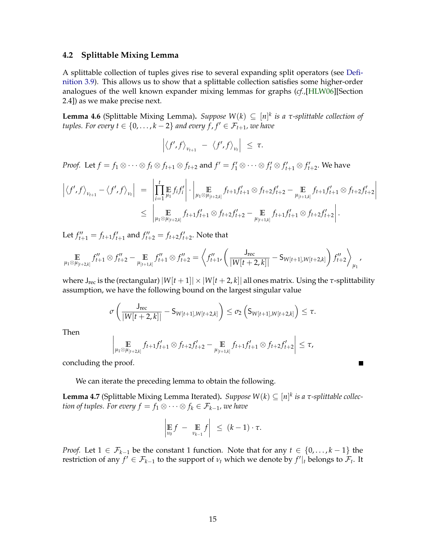#### <span id="page-16-3"></span><span id="page-16-0"></span>**4.2 Splittable Mixing Lemma**

A splittable collection of tuples gives rise to several expanding split operators (see [Defi](#page-11-1)[nition 3.9\)](#page-11-1). This allows us to show that a splittable collection satisfies some higher-order analogues of the well known expander mixing lemmas for graphs (*cf.,*[\[HLW06\]](#page-41-12)[Section 2.4]) as we make precise next.

<span id="page-16-1"></span>**Lemma 4.6** (Splittable Mixing Lemma). *Suppose*  $W(k) \subseteq [n]^k$  *is a τ*-*splittable collection of tuples. For every*  $t \in \{0, \ldots, k-2\}$  *and every*  $\hat{f}, f' \in \mathcal{F}_{t+1}$ *, we have* 

$$
\left| \left\langle f', f \right\rangle_{v_{t+1}} - \left\langle f', f \right\rangle_{v_t} \right| \leq \tau.
$$

*Proof.* Let  $f = f_1 \otimes \cdots \otimes f_t \otimes f_{t+1} \otimes f_{t+2}$  and  $f' = f'_1 \otimes \cdots \otimes f'_t \otimes f'_{t+1} \otimes f'_{t+2}$ . We have

$$
\left| \langle f', f \rangle_{\nu_{t+1}} - \langle f', f \rangle_{\nu_t} \right| = \left| \prod_{i=1}^t \mathbb{E}_{\mu_i} f_i f'_i \right| \cdot \left| \mathbb{E}_{\mu_1 \otimes \mu_{[t+2,k]}} f_{t+1} f'_{t+1} \otimes f_{t+2} f'_{t+2} - \mathbb{E}_{\mu_{[t+1,k]}} f_{t+1} f'_{t+1} \otimes f_{t+2} f'_{t+2} \right|
$$
  
 
$$
\leq \left| \mathbb{E}_{\mu_1 \otimes \mu_{[t+2,k]}} f_{t+1} f'_{t+1} \otimes f_{t+2} f'_{t+2} - \mathbb{E}_{\mu_{[t+1,k]}} f_{t+1} f'_{t+1} \otimes f_{t+2} f'_{t+2} \right|.
$$

Let  $f''_{t+1} = f_{t+1} f'_{t+1}$  and  $f''_{t+2} = f_{t+2} f'_{t+2}$ . Note that

$$
\mathop{\mathbb{E}}_{\mu_1 \otimes \mu_{[t+2,k]}} f''_{t+1} \otimes f''_{t+2} - \mathop{\mathbb{E}}_{\mu_{[t+1,k]}} f''_{t+1} \otimes f''_{t+2} = \left\langle f''_{t+1}, \left( \frac{J_{\text{rec}}}{|W[t+2,k]|} - S_{W[t+1],W[t+2,k]} \right) f''_{t+2} \right\rangle_{\mu_1},
$$

where  $J_{rec}$  is the (rectangular)  $|W[t+1]| \times |W[t+2,k]|$  all ones matrix. Using the  $\tau$ -splittability assumption, we have the following bound on the largest singular value

$$
\sigma\left(\frac{J_{\text{rec}}}{|W[t+2,k]|}-S_{W[t+1],W[t+2,k]}\right)\leq \sigma_2\left(S_{W[t+1],W[t+2,k]}\right)\leq \tau.
$$

Then

$$
\mathop{\mathbb{E}}_{\mu_1 \otimes \mu_{[t+2,k]}} f_{t+1} f'_{t+1} \otimes f_{t+2} f'_{t+2} - \mathop{\mathbb{E}}_{\mu_{[t+1,k]}} f_{t+1} f'_{t+1} \otimes f_{t+2} f'_{t+2}\bigg| \leq \tau,
$$

 $\blacksquare$ 

concluding the proof.

 $\overline{\phantom{a}}$  $\overline{\phantom{a}}$ I  $\mid$ 

We can iterate the preceding lemma to obtain the following.

<span id="page-16-2"></span>**Lemma 4.7** (Splittable Mixing Lemma Iterated). *Suppose W*( $k$ )  $\subseteq$  [n]<sup>k</sup> is a  $\tau$ -splittable collec*tion of tuples. For every*  $f = f_1 \otimes \cdots \otimes f_k \in \mathcal{F}_{k-1}$ *, we have* 

$$
\left|\mathop{\mathbb{E}}_{\nu_0} f - \mathop{\mathbb{E}}_{\nu_{k-1}} f\right| \leq (k-1) \cdot \tau.
$$

*Proof.* Let  $1 \in \mathcal{F}_{k-1}$  be the constant 1 function. Note that for any  $t \in \{0, \ldots, k-1\}$  the restriction of any  $f' \in \mathcal{F}_{k-1}$  to the support of  $v_t$  which we denote by  $f'|_t$  belongs to  $\mathcal{F}_t$ . It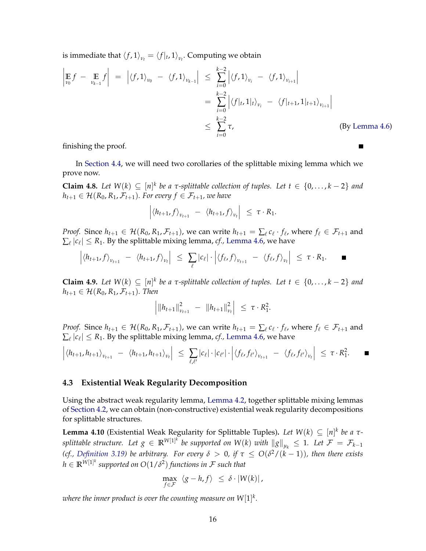is immediate that  $\langle f, 1 \rangle_{\nu_t} = \langle f|_t, 1 \rangle_{\nu_t}$ . Computing we obtain

$$
\left| \mathop{\mathbb{E}}_{\nu_0} f - \mathop{\mathbb{E}}_{\nu_{k-1}} f \right| = \left| \langle f, 1 \rangle_{\nu_0} - \langle f, 1 \rangle_{\nu_{k-1}} \right| \leq \sum_{i=0}^{k-2} \left| \langle f, 1 \rangle_{\nu_i} - \langle f, 1 \rangle_{\nu_{i+1}} \right|
$$
  
\n
$$
= \sum_{i=0}^{k-2} \left| \langle f |_{t}, 1 |_{t} \rangle_{\nu_{i}} - \langle f |_{t+1}, 1 |_{t+1} \rangle_{\nu_{i+1}} \right|
$$
  
\n
$$
\leq \sum_{i=0}^{k-2} \tau,
$$
 (By Lemma 4.6)

П

finishing the proof.

In [Section 4.4,](#page-18-0) we will need two corollaries of the splittable mixing lemma which we prove now.

<span id="page-17-2"></span>**Claim 4.8.** Let  $W(k) \subseteq [n]^k$  be a  $\tau$ -splittable collection of tuples. Let  $t \in \{0, \ldots, k-2\}$  and  $h_{t+1} \in \mathcal{H}(R_0, R_1, \mathcal{F}_{t+1})$ *. For every*  $f \in \mathcal{F}_{t+1}$ *, we have* 

$$
\left| \langle h_{t+1}, f \rangle_{\nu_{t+1}} - \langle h_{t+1}, f \rangle_{\nu_t} \right| \leq \tau \cdot R_1.
$$

*Proof.* Since  $h_{t+1} \in \mathcal{H}(R_0, R_1, \mathcal{F}_{t+1})$ , we can write  $h_{t+1} = \sum_{\ell} c_{\ell} \cdot f_{\ell}$ , where  $f_{\ell} \in \mathcal{F}_{t+1}$  and  $\sum_{\ell} |c_{\ell}| \leq R_1$ . By the splittable mixing lemma, *cf.*, [Lemma 4.6,](#page-16-1) we have

$$
\left|\langle h_{t+1},f\rangle_{v_{t+1}} - \langle h_{t+1},f\rangle_{v_t}\right| \leq \sum_{\ell} |c_{\ell}| \cdot \left|\langle f_{\ell},f\rangle_{v_{t+1}} - \langle f_{\ell},f\rangle_{v_t}\right| \leq \tau \cdot R_1.
$$

<span id="page-17-3"></span>**Claim 4.9.** Let  $W(k) \subseteq [n]^k$  be a  $\tau$ -splittable collection of tuples. Let  $t \in \{0, \ldots, k-2\}$  and  $h_{t+1} \in \mathcal{H}(R_0, R_1, \mathcal{F}_{t+1})$ *. Then* 

$$
\left| \|h_{t+1}\|_{\nu_{t+1}}^2 - \|h_{t+1}\|_{\nu_t}^2 \right| \leq \tau \cdot R_1^2.
$$

*Proof.* Since  $h_{t+1} \in \mathcal{H}(R_0, R_1, \mathcal{F}_{t+1})$ , we can write  $h_{t+1} = \sum_{\ell} c_{\ell} \cdot f_{\ell}$ , where  $f_{\ell} \in \mathcal{F}_{t+1}$  and  $\sum_{\ell} |c_{\ell}| \leq R_1$ . By the splittable mixing lemma, *cf.*, [Lemma 4.6,](#page-16-1) we have

$$
\left|\langle h_{t+1}, h_{t+1} \rangle_{\nu_{t+1}} - \langle h_{t+1}, h_{t+1} \rangle_{\nu_t} \right| \leq \sum_{\ell, \ell'} |c_{\ell}| \cdot |c_{\ell'}| \cdot \left| \langle f_{\ell}, f_{\ell'} \rangle_{\nu_{t+1}} - \langle f_{\ell}, f_{\ell'} \rangle_{\nu_t} \right| \leq \tau \cdot R_1^2.
$$

#### <span id="page-17-0"></span>**4.3 Existential Weak Regularity Decomposition**

Using the abstract weak regularity lemma, [Lemma 4.2,](#page-14-2) together splittable mixing lemmas of [Section 4.2,](#page-16-0) we can obtain (non-constructive) existential weak regularity decompositions for splittable structures.

<span id="page-17-1"></span>**Lemma 4.10** (Existential Weak Regularity for Splittable Tuples). Let  $W(k) \subseteq [n]^k$  be a  $\tau$ *splittable structure. Let*  $g \in \mathbb{R}^{W[1]^k}$  *be supported on W*(*k*) *with*  $\|g\|_{\mu_k} \leq 1$ *. Let*  $\mathcal{F} = \mathcal{F}_{k-1}$ *(cf., [Definition 3.19\)](#page-13-2) be arbitrary. For every*  $\delta > 0$ , if  $\tau \le O(\delta^2/(k-1))$ , then there exists  $h \in \mathbb{R}^{W[1]^k}$  supported on  $O(1/\delta^2)$  functions in  ${\mathcal F}$  such that

$$
\max_{f \in \mathcal{F}} \langle g - h, f \rangle \leq \delta \cdot |W(k)|,
$$

where the inner product is over the counting measure on  $W[1]^k.$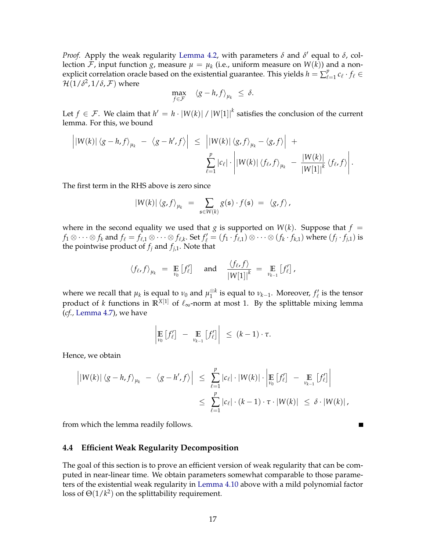*Proof.* Apply the weak regularity [Lemma 4.2,](#page-14-2) with parameters  $\delta$  and  $\delta'$  equal to  $\delta$ , collection  ${\cal F}$ , input function  $g$ , measure  $\mu = \mu_k$  (i.e., uniform measure on  $W(k)$ ) and a nonexplicit correlation oracle based on the existential guarantee. This yields  $h = \sum_{\ell}^{p}$  $e_{\ell=1}^p c_\ell \cdot f_\ell \in$  $\mathcal{H}(1/\delta^2,1/\delta,\mathcal{F})$  where

$$
\max_{f \in \mathcal{F}} \quad \langle g - h, f \rangle_{\mu_k} \leq \delta.
$$

Let  $f \in \mathcal{F}$ . We claim that  $h' = h \cdot |W(k)| / |W[1]|^k$  satisfies the conclusion of the current lemma. For this, we bound

$$
\left| |W(k)| \langle g-h,f \rangle_{\mu_k} - \langle g-h',f \rangle \right| \leq \left| |W(k)| \langle g,f \rangle_{\mu_k} - \langle g,f \rangle \right| +
$$
  

$$
\sum_{\ell=1}^p |c_{\ell}| \cdot \left| |W(k)| \langle f_{\ell},f \rangle_{\mu_k} - \frac{|W(k)|}{|W[1]|^k} \langle f_{\ell},f \rangle \right|.
$$

The first term in the RHS above is zero since

$$
|W(k)| \langle g, f \rangle_{\mu_k} = \sum_{\mathfrak{s} \in W(k)} g(\mathfrak{s}) \cdot f(\mathfrak{s}) = \langle g, f \rangle,
$$

where in the second equality we used that *g* is supported on  $W(k)$ . Suppose that  $f =$  $f_1\otimes\cdots\otimes f_k$  and  $f_\ell=f_{\ell,1}\otimes\cdots\otimes f_{\ell,k}$ . Set  $f'_\ell=(f_1\cdot\bar{f}_{\ell,1})\otimes\cdots\otimes(f_k\cdot f_{k,1})$  where  $(f_j\cdot f_{j,1})$  is the pointwise product of *f<sup>j</sup>* and *fj*,1. Note that

$$
\langle f_{\ell}, f \rangle_{\mu_k} = \mathop{\mathbb{E}}_{\nu_0} [f'_{\ell}]
$$
 and  $\frac{\langle f_{\ell}, f \rangle}{|W[1]|^k} = \mathop{\mathbb{E}}_{\nu_{k-1}} [f'_{\ell}]$ ,

where we recall that  $\mu_k$  is equal to  $\nu_0$  and  $\mu_1^{\otimes k}$  $\frac{\otimes k}{1}$  is equal to  $\nu_{k-1}$ . Moreover,  $f'_\ell$  is the tensor product of *k* functions in  $\mathbb{R}^{X[1]}$  of  $\ell_{\infty}$ -norm at most 1. By the splittable mixing lemma (*cf.,* [Lemma 4.7\)](#page-16-2), we have

$$
\left|\mathop{\mathbb{E}}_{\nu_0}\left[f'_\ell\right]\ -\ \mathop{\mathbb{E}}_{\nu_{k-1}}\left[f'_\ell\right]\right| \ \leq \ (k-1)\cdot \tau.
$$

Hence, we obtain

$$
\left| |W(k)| \langle g-h, f \rangle_{\mu_k} - \langle g-h', f \rangle \right| \leq \sum_{\ell=1}^p |c_\ell| \cdot |W(k)| \cdot \left| \underset{\nu_0}{\mathbb{E}} \left[ f_\ell' \right] - \underset{\nu_{k-1}}{\mathbb{E}} \left[ f_\ell' \right] \right|
$$
  

$$
\leq \sum_{\ell=1}^p |c_\ell| \cdot (k-1) \cdot \tau \cdot |W(k)| \leq \delta \cdot |W(k)|,
$$

 $\blacksquare$ 

from which the lemma readily follows.

#### <span id="page-18-0"></span>**4.4 Efficient Weak Regularity Decomposition**

<span id="page-18-1"></span>The goal of this section is to prove an efficient version of weak regularity that can be computed in near-linear time. We obtain parameters somewhat comparable to those parameters of the existential weak regularity in [Lemma 4.10](#page-17-1) above with a mild polynomial factor loss of  $\Theta(1/k^2)$  on the splittability requirement.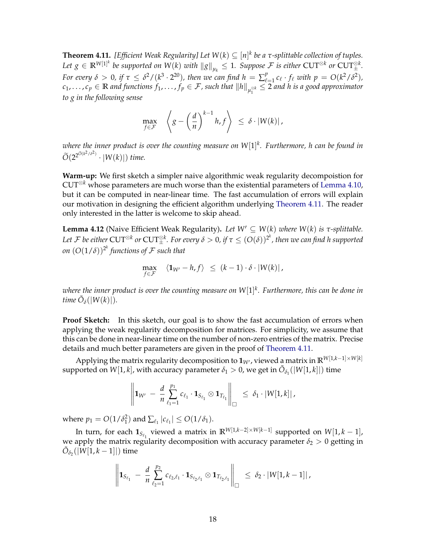**Theorem 4.11.** *[Efficient Weak Regularity] Let W*(*k*) ⊆ [*n*] *k be a τ-splittable collection of tuples.*  $Let \ g \in \mathbb{R}^{W[1]^k}$  be supported on  $W(k)$  with  $\|g\|_{\mu_k} \leq 1$ . Suppose  $\mathcal F$  is either  $\text{CUT}^{\otimes k}$  or  $\text{CUT}^{\otimes k}_\pm$ . *For every*  $\delta > 0$ , if  $\tau \leq \delta^2/(k^3 \cdot 2^{20})$ , then we can find  $h = \sum_{\ell=1}^p c_\ell \cdot f_\ell$  with  $p = O(k^2/\delta^2)$ ,  $c_1, \ldots, c_p \in \mathbb{R}$  and functions  $f_1, \ldots, f_p \in \mathcal{F}$ , such that  $||h||_{\mu_1^{g,k}} \leq 2$  and h is a good approximator *to g in the following sense*

$$
\max_{f \in \mathcal{F}} \quad \left\langle g - \left(\frac{d}{n}\right)^{k-1} h, f \right\rangle \leq \delta \cdot |W(k)|,
$$

*where the inner product is over the counting measure on W*[1] *k . Furthermore, h can be found in*  $\widetilde{O}(2^{2^{\widetilde{O}(k^2/\delta^2)}} \cdot |W(k)|)$  *time.* 

**Warm-up:** We first sketch a simpler naive algorithmic weak regularity decompoistion for CUT⊗*<sup>k</sup>* whose parameters are much worse than the existential parameters of [Lemma 4.10,](#page-17-1) but it can be computed in near-linear time. The fast accumulation of errors will explain our motivation in designing the efficient algorithm underlying [Theorem 4.11.](#page-18-1) The reader only interested in the latter is welcome to skip ahead.

**Lemma 4.12** (Naive Efficient Weak Regularity). Let  $W' ⊆ W(k)$  *where*  $W(k)$  *is*  $τ$ -*splittable.* Let  ${\cal F}$  be either  ${\rm CUT}^{\otimes k}$  or  ${\rm CUT}^{\otimes k}_\pm$  . For every  $\delta>0$ , if  $\tau\leq (O(\delta))^{2^k}$ , then we can find h supported *on*  $(O(1/\delta))^{2^k}$  functions of  ${\cal F}$  such that

$$
\max_{f \in \mathcal{F}} \quad \langle \mathbf{1}_{W'} - h, f \rangle \leq (k-1) \cdot \delta \cdot |W(k)|,
$$

*where the inner product is over the counting measure on W*[1] *k . Furthermore, this can be done in time*  $\tilde{O}_{\delta}(|W(k)|)$ .

**Proof Sketch:** In this sketch, our goal is to show the fast accumulation of errors when applying the weak regularity decomposition for matrices. For simplicity, we assume that this can be done in near-linear time on the number of non-zero entries of the matrix. Precise details and much better parameters are given in the proof of [Theorem 4.11.](#page-18-1)

Applying the matrix regularity decomposition to  $\mathbf{1}_{W'}$ , viewed a matrix in  $\mathbb{R}^{W[1,k-1]\times W[k]}$ supported on  $W[1, k]$ , with accuracy parameter  $\delta_1 > 0$ , we get in  $\tilde{O}_{\delta_1}(|W[1, k]|)$  time

$$
\left\|{\bf 1}_{W'}\,-\,\frac{d}{n}\sum_{\ell_1=1}^{p_1}c_{\ell_1}\cdot{\bf 1}_{S_{\ell_1}}\otimes{\bf 1}_{T_{\ell_1}}\right\|_\square\,\,\leq\,\delta_1\cdot|W[1,k]\,|\,,
$$

where  $p_1 = O(1/\delta_1^2)$  and  $\sum_{\ell_1} |c_{\ell_1}| \leq O(1/\delta_1)$ .

In turn, for each  $\mathbf{1}_{S_{\ell_1}}$  viewed a matrix in  $\mathbb{R}^{W[1,k-2]\times W[k-1]}$  supported on  $W[1,k-1]$ , we apply the matrix regularity decomposition with accuracy parameter  $\delta_2 > 0$  getting in  $\tilde{O}_{\delta_2}(|W[1,k-1]|)$  time

$$
\left\|{\bf 1}_{S_{\ell_1}}\,-\,\frac{d}{n}\sum_{\ell_2=1}^{p_2}c_{\ell_2,\ell_1}\cdot{\bf 1}_{S_{\ell_2,\ell_1}}\otimes{\bf 1}_{T_{\ell_2,\ell_1}}\right\|_\square\;\leq\; \delta_2\cdot |W[1,k-1]|\,,
$$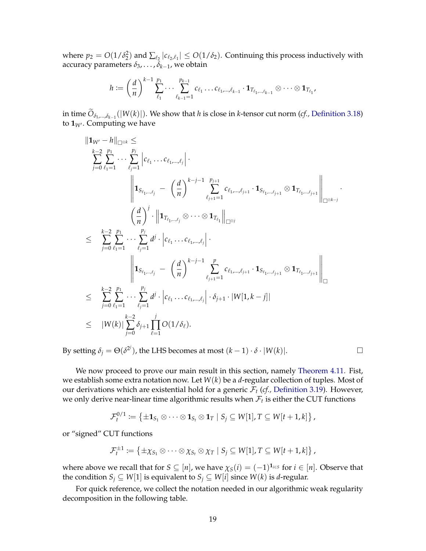where  $p_2 = O(1/\delta_2^2)$  and  $\sum_{\ell_2} |c_{\ell_2,\ell_1}| \leq O(1/\delta_2)$ . Continuing this process inductively with accuracy parameters *δ*3, . . . , *δk*−<sup>1</sup> , we obtain

$$
h := \left(\frac{d}{n}\right)^{k-1} \sum_{\ell_1}^{p_1} \cdots \sum_{\ell_{k-1}=1}^{p_{k-1}} c_{\ell_1} \ldots c_{\ell_1,\ldots,\ell_{k-1}} \cdot \mathbf{1}_{T_{\ell_1,\ldots,\ell_{k-1}}} \otimes \cdots \otimes \mathbf{1}_{T_{\ell_1}},
$$

in time  $O_{\delta_1,...,\delta_{k-1}}(|W(k)|)$ . We show that *h* is close in *k*-tensor cut norm (*cf.,* [Definition 3.18\)](#page-12-2) to  $\mathbf{1}_{W}$ . Computing we have

$$
\|1_{W'} - h\|_{\Box^{\otimes k}} \leq
$$
\n
$$
\sum_{j=0}^{k-2} \sum_{\ell_1=1}^{p_1} \cdots \sum_{\ell_j=1}^{p_j} |c_{\ell_1} \cdots c_{\ell_1, \ldots, \ell_j}|.
$$
\n
$$
\|1_{S_{\ell_1, \ldots, \ell_j}} - (\frac{d}{n})^{k-j-1} \sum_{\ell_{j+1}=1}^{p_{j+1}} c_{\ell_1, \ldots, \ell_{j+1}} \cdot 1_{S_{\ell_1, \ldots, \ell_{j+1}}} \otimes 1_{T_{\ell_1, \ldots, \ell_{j+1}}}\|_{\Box^{\otimes k-j}}.
$$
\n
$$
\leq \sum_{j=0}^{k-2} \sum_{\ell_1=1}^{p_1} \cdots \sum_{\ell_j=1}^{p_j} d^j \cdot |c_{\ell_1} \cdots c_{\ell_1, \ldots, \ell_j}|.
$$
\n
$$
\|1_{S_{\ell_1, \ldots, \ell_j}} - (\frac{d}{n})^{k-j-1} \sum_{\ell_{j+1}=1}^{p} c_{\ell_1, \ldots, \ell_{j+1}} \cdot 1_{S_{\ell_1, \ldots, \ell_{j+1}}} \otimes 1_{T_{\ell_1, \ldots, \ell_{j+1}}} \|_{\Box^{\otimes k-j}}.
$$
\n
$$
\leq \sum_{j=0}^{k-2} \sum_{\ell_1=1}^{p_1} \cdots \sum_{\ell_j=1}^{p_j} d^j \cdot |c_{\ell_1, \ldots, \ell_{\ell_1, \ldots, \ell_j}} \cdot \delta_{j+1} \cdot |W[1, k-j]|
$$
\n
$$
\leq |W(k)| \sum_{j=0}^{k-2} \delta_{j+1} \prod_{\ell=1}^{j} O(1/\delta_{\ell}).
$$

By setting  $\delta_j = \Theta(\delta^{2^j})$ , the LHS becomes at most  $(k-1) \cdot \delta \cdot |W(k)|$ .

We now proceed to prove our main result in this section, namely [Theorem 4.11.](#page-18-1) Fist, we establish some extra notation now. Let *W*(*k*) be a *d*-regular collection of tuples. Most of our derivations which are existential hold for a generic  $\mathcal{F}_t$  (*cf.*, [Definition 3.19\)](#page-13-2). However, we only derive near-linear time algorithmic results when  $\mathcal{F}_t$  is either the CUT functions

$$
\mathcal{F}_t^{0/1} \coloneqq \left\{ \pm \mathbf{1}_{S_1} \otimes \cdots \otimes \mathbf{1}_{S_t} \otimes \mathbf{1}_T \mid S_j \subseteq W[1], T \subseteq W[t+1,k] \right\},\
$$

or "signed" CUT functions

$$
\mathcal{F}_t^{\pm 1} \coloneqq \{ \pm \chi_{S_1} \otimes \cdots \otimes \chi_{S_t} \otimes \chi_T \mid S_j \subseteq W[1], T \subseteq W[t+1,k] \},\
$$

where above we recall that for  $S \subseteq [n]$ , we have  $\chi_S(i) = (-1)^{\mathbf{1}_{i \in S}}$  for  $i \in [n]$ . Observe that the condition *S*<sup>*j*</sup> ⊆ *W*[1] is equivalent to *S*<sup>*j*</sup> ⊆ *W*[*i*] since *W*(*k*) is *d*-regular.

For quick reference, we collect the notation needed in our algorithmic weak regularity decomposition in the following table.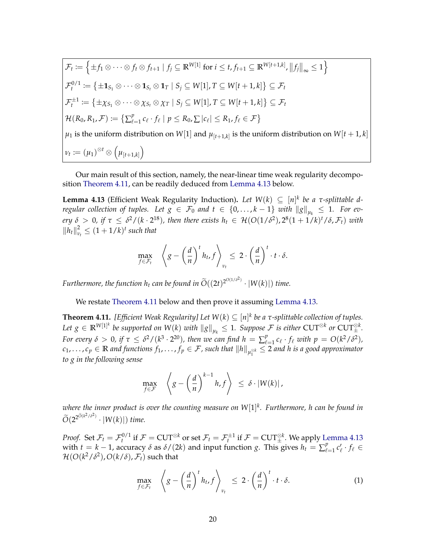$$
\mathcal{F}_t := \left\{ \pm f_1 \otimes \cdots \otimes f_t \otimes f_{t+1} \mid f_j \subseteq \mathbb{R}^{W[1]} \text{ for } i \leq t, f_{t+1} \subseteq \mathbb{R}^{W[t+1,k]}, ||f_j||_{\infty} \leq 1 \right\}
$$
\n
$$
\mathcal{F}_t^{0/1} := \left\{ \pm \mathbf{1}_{S_1} \otimes \cdots \otimes \mathbf{1}_{S_t} \otimes \mathbf{1}_T \mid S_j \subseteq W[1], T \subseteq W[t+1,k] \right\} \subseteq \mathcal{F}_t
$$
\n
$$
\mathcal{F}_t^{\pm 1} := \left\{ \pm \chi_{S_1} \otimes \cdots \otimes \chi_{S_t} \otimes \chi_T \mid S_j \subseteq W[1], T \subseteq W[t+1,k] \right\} \subseteq \mathcal{F}_t
$$
\n
$$
\mathcal{H}(R_0, R_1, \mathcal{F}) := \left\{ \sum_{\ell=1}^p c_\ell \cdot f_\ell \mid p \leq R_0, \sum |c_\ell| \leq R_1, f_\ell \in \mathcal{F} \right\}
$$
\n
$$
\mu_1 \text{ is the uniform distribution on } W[1] \text{ and } \mu_{[t+1,k]} \text{ is the uniform distribution on } W[t+1,k]
$$
\n
$$
\nu_t := (\mu_1)^{\otimes t} \otimes \left( \mu_{[t+1,k]} \right)
$$

Our main result of this section, namely, the near-linear time weak regularity decomposition [Theorem 4.11,](#page-18-1) can be readily deduced from [Lemma 4.13](#page-21-0) below.

<span id="page-21-0"></span>**Lemma 4.13** (Efficient Weak Regularity Induction). Let  $W(k) \subseteq [n]^k$  be a τ-splittable d*regular collection of tuples. Let*  $g \in \mathcal{F}_0$  *and*  $t \in \{0,\ldots,k-1\}$  *with*  $\|g\|_{\mu_k} \leq 1$ *. For every*  $\delta > 0$ , if  $\tau \leq \delta^2/(k \cdot 2^{18})$ , then there exists  $h_t \in \mathcal{H}(O(1/\delta^2), 2^8(1+1/k)^t/\delta, \mathcal{F}_t)$  with  $||h_t||_v^2$  $\frac{a}{v_t} \leq (1 + 1/k)^t$  such that

$$
\max_{f \in \mathcal{F}_t} \left\langle g - \left(\frac{d}{n}\right)^t h_t, f \right\rangle_{\nu_t} \leq 2 \cdot \left(\frac{d}{n}\right)^t \cdot t \cdot \delta.
$$

*Furthermore, the function*  $h_t$  *can be found in*  $\widetilde{O}((2t)^{2^{O(1/\delta^2)}} \cdot |W(k)|)$  *time.* 

We restate [Theorem 4.11](#page-18-1) below and then prove it assuming [Lemma 4.13.](#page-21-0)

**Theorem 4.11.** [Efficient Weak Regularity] Let  $W(k) \subseteq [n]^k$  be a  $\tau$ -splittable collection of tuples.  $Let \ g \in \mathbb{R}^{W[1]^k}$  be supported on  $W(k)$  with  $\|g\|_{\mu_k} \leq 1$ . Suppose  $\mathcal F$  is either  $\text{CUT}^{\otimes k}$  or  $\text{CUT}^{\otimes k}_\pm$ . *For every*  $\delta > 0$ , if  $\tau \leq \delta^2/(k^3 \cdot 2^{20})$ , then we can find  $h = \sum_{\ell=1}^p \ell(\ell)$  $\int_{\ell=1}^{p} c_{\ell} \cdot f_{\ell}$  *with*  $p = O(k^2/\delta^2)$ *,*  $c_1, \ldots, c_p \in \mathbb{R}$  *and functions*  $f_1, \ldots, f_p \in \mathcal{F}$ *, such that*  $\|h\|_{\mu_1^{\otimes k}} \leq 2$  *and h is a good approximator to g in the following sense*

$$
\max_{f \in \mathcal{F}} \left\langle g - \left(\frac{d}{n}\right)^{k-1} h, f \right\rangle \leq \delta \cdot |W(k)|,
$$

*where the inner product is over the counting measure on W*[1] *k . Furthermore, h can be found in*  $\widetilde{O}(2^{2^{\widetilde{O}(k^2/\delta^2)}} \cdot |W(k)|)$  *time.* 

*Proof.* Set  $\mathcal{F}_t = \mathcal{F}_t^{0/1}$  if  $\mathcal{F} = \text{CUT}^{\otimes k}$  or set  $\mathcal{F}_t = \mathcal{F}_t^{\pm 1}$  if  $\mathcal{F} = \text{CUT}^{\otimes k}_\pm$ . We apply [Lemma 4.13](#page-21-0) with  $t = k - 1$ , accuracy  $\delta$  as  $\delta/(2k)$  and input function g. This gives  $h_t = \sum_{\ell=1}^p k(\ell)$  $e_{\ell=1}^p c'_\ell \cdot f_\ell \in$  $\mathcal{H}(O(k^2/\delta^2), O(k/\delta), \mathcal{F}_t)$  such that

<span id="page-21-1"></span>
$$
\max_{f \in \mathcal{F}_t} \left\langle g - \left(\frac{d}{n}\right)^t h_t, f \right\rangle_{\nu_t} \leq 2 \cdot \left(\frac{d}{n}\right)^t \cdot t \cdot \delta. \tag{1}
$$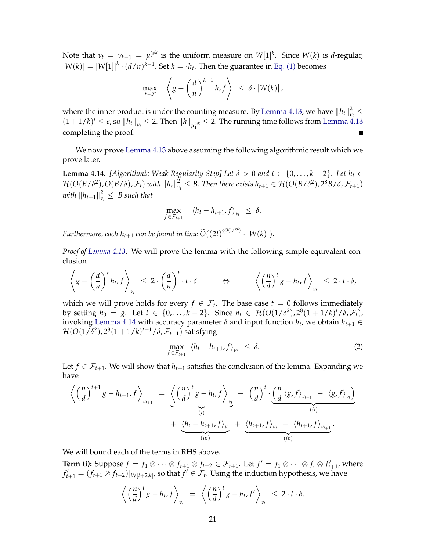Note that  $\nu_t = \nu_{k-1} = \mu_1^{\otimes k}$  $\frac{\otimes k}{1}$  is the uniform measure on  $W[1]^k$ . Since  $W(k)$  is *d*-regular,  $|W(k)| = |W[1]|^k \cdot (d/n)^{k-1}$ . Set  $h = \cdot h_t$ . Then the guarantee in [Eq. \(1\)](#page-21-1) becomes

$$
\max_{f \in \mathcal{F}} \quad \left\langle g - \left(\frac{d}{n}\right)^{k-1} h, f \right\rangle \leq \delta \cdot |W(k)|,
$$

where the inner product is under the counting measure. By Lemma 4.13*,* we have  $\left\|h_t\right\|_{\nu}^2$ *νt* ≤  $(1+1/k)^t \leq e$ , so  $\|h_t\|_{\nu_t} \leq 2$ . Then  $\|h\|_{\mu_1^{\otimes k}} \leq 2$ . The running time follows from [Lemma 4.13](#page-21-0) completing the proof.

We now prove [Lemma 4.13](#page-21-0) above assuming the following algorithmic result which we prove later.

<span id="page-22-0"></span>**Lemma 4.14.** *[Algorithmic Weak Regularity Step] Let*  $\delta > 0$  *and*  $t \in \{0, \ldots, k-2\}$ . Let  $h_t \in$  $\mathcal{H}(O(B/\delta^2), O(B/\delta), \mathcal{F}_t)$  with  $\left\|h_t\right\|_{\nu}^2$  $\mathcal{L}_{\nu_t}^2$  ≤ *B*. Then there exists  $h_{t+1}$  ∈  $\mathcal{H}(O(B/\delta^2), 2^8B/\delta, \mathcal{F}_{t+1})$  $\left\lVert \mathbf{h}_{t+1} \right\rVert^2_\nu$  $\frac{2}{v_t} \leq B$  such that

$$
\max_{f \in \mathcal{F}_{t+1}} \langle h_t - h_{t+1}, f \rangle_{v_t} \leq \delta.
$$

*Furthermore, each h*<sub>t+1</sub> *can be found in time*  $\widetilde{O}((2t)^{2^{O(1/\delta^2)}} \cdot |W(k)|)$ .

*Proof of [Lemma 4.13.](#page-21-0)* We will prove the lemma with the following simple equivalent conclusion

$$
\left\langle g - \left(\frac{d}{n}\right)^t h_{t} f \right\rangle_{\nu_t} \leq 2 \cdot \left(\frac{d}{n}\right)^t \cdot t \cdot \delta \qquad \Leftrightarrow \qquad \left\langle \left(\frac{n}{d}\right)^t g - h_{t} f \right\rangle_{\nu_t} \leq 2 \cdot t \cdot \delta,
$$

which we will prove holds for every  $f \in \mathcal{F}_t$ . The base case  $t = 0$  follows immediately **by setting**  $h_0 = g$ . Let  $t \in \{0, ..., k-2\}$ . Since  $h_t \in \mathcal{H}(O(1/\delta^2), 2^8(1+1/k)^t / δ$ ,  $\mathcal{F}_t)$ , invoking [Lemma 4.14](#page-22-0) with accuracy parameter  $\delta$  and input function  $h_t$ , we obtain  $h_{t+1} \in$  $\mathcal{H}(O(1/\delta^2), 2^8(1+1/k)^{t+1}/\delta, \mathcal{F}_{t+1})$  satisfying

<span id="page-22-1"></span>
$$
\max_{f \in \mathcal{F}_{t+1}} \langle h_t - h_{t+1}, f \rangle_{\nu_t} \leq \delta. \tag{2}
$$

Let  $f \in \mathcal{F}_{t+1}$ . We will show that  $h_{t+1}$  satisfies the conclusion of the lemma. Expanding we have

$$
\left\langle \left(\frac{n}{d}\right)^{t+1}g - h_{t+1}, f \right\rangle_{\nu_{t+1}} = \underbrace{\left\langle \left(\frac{n}{d}\right)^{t}g - h_{t}, f \right\rangle_{\nu_{t}}}_{(i)} + \underbrace{\left(\frac{n}{d}\right)^{t} \cdot \underbrace{\left(\frac{n}{d}\left\langle g, f \right\rangle_{\nu_{t+1}} - \left\langle g, f \right\rangle_{\nu_{t}}\right)}_{(ii)}}_{(iii)} + \underbrace{\left\langle h_{t-1}, f \right\rangle_{\nu_{t}} + \underbrace{\left\langle h_{t+1}, f \right\rangle_{\nu_{t}} - \left\langle h_{t+1}, f \right\rangle_{\nu_{t+1}}}_{(iv)}.
$$

We will bound each of the terms in RHS above.

**Term (i):** Suppose  $f = f_1 \otimes \cdots \otimes f_{t+1} \otimes f_{t+2} \in \mathcal{F}_{t+1}$ . Let  $f' = f_1 \otimes \cdots \otimes f_t \otimes f'_{t+1}$ , where  $f'_{t+1} = (f_{t+1} \otimes f_{t+2})|_{W[t+2,k]}$ , so that  $f' \in \mathcal{F}_t$ . Using the induction hypothesis, we have

$$
\left\langle \left(\frac{n}{d}\right)^{t} g - h_{t}, f \right\rangle_{v_{t}} = \left\langle \left(\frac{n}{d}\right)^{t} g - h_{t}, f' \right\rangle_{v_{t}} \leq 2 \cdot t \cdot \delta.
$$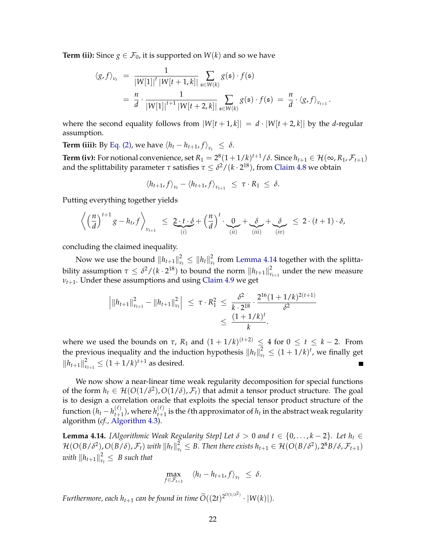**Term (ii):** Since  $g \in \mathcal{F}_0$ , it is supported on  $W(k)$  and so we have

$$
\langle g, f \rangle_{v_t} = \frac{1}{|W[1]|^t |W[t+1,k]|} \sum_{\mathfrak{s} \in W(k)} g(\mathfrak{s}) \cdot f(\mathfrak{s})
$$
  
= 
$$
\frac{n}{d} \cdot \frac{1}{|W[1]|^{t+1} |W[t+2,k]|} \sum_{\mathfrak{s} \in W(k)} g(\mathfrak{s}) \cdot f(\mathfrak{s}) = \frac{n}{d} \cdot \langle g, f \rangle_{v_{t+1}}
$$

.

where the second equality follows from  $|W[t+1,k]| = d \cdot |W[t+2,k]|$  by the *d*-regular assumption.

**Term (iii):** By [Eq. \(2\),](#page-22-1) we have  $\langle h_t - h_{t+1}, f \rangle_{v_t} \leq \delta$ .

**Term (iv):** For notional convenience, set  $R_1 = 2^8(1+1/k)^{t+1}/\delta$ . Since  $h_{t+1} \in \mathcal{H}(\infty, R_1, \mathcal{F}_{t+1})$ and the splittability parameter *τ* satisfies  $τ \leq δ²/(k \cdot 2^{18})$ , from [Claim 4.8](#page-17-2) we obtain

$$
\langle h_{t+1}, f \rangle_{v_t} - \langle h_{t+1}, f \rangle_{v_{t+1}} \leq \tau \cdot R_1 \leq \delta.
$$

Putting everything together yields

$$
\left\langle \left(\frac{n}{d}\right)^{t+1}g-h_t,f\right\rangle_{\nu_{t+1}}\leq \underbrace{2\cdot t\cdot \delta}_{(i)}+\left(\frac{n}{d}\right)^{t}\cdot\underbrace{0}_{(ii)}+\underbrace{\delta}_{(iii)}+\underbrace{\delta}_{(iv)}\leq 2\cdot (t+1)\cdot \delta,
$$

concluding the claimed inequality.

Now we use the bound  $\left\|h_{t+1}\right\|_{\nu}^2$  $\frac{2}{\nu_t} \leq \|h_t\|_{\nu}^2$ *νt* from [Lemma 4.14](#page-22-0) together with the splittability assumption  $\tau \leq \delta^2/(k \cdot 2^{18})$  to bound the norm  $\|h_{t+1}\|_v^2$  $\sum_{\nu_{t+1}}^2$  under the new measure *νt*+1. Under these assumptions and using [Claim 4.9](#page-17-3) we get

$$
\left| \|h_{t+1}\|_{\nu_{t+1}}^2 - \|h_{t+1}\|_{\nu_t}^2 \right| \leq \tau \cdot R_1^2 \leq \frac{\delta^2}{k \cdot 2^{18}} \cdot \frac{2^{16} (1 + 1/k)^{2(t+1)}}{\delta^2}
$$

$$
\leq \frac{(1 + 1/k)^t}{k}.
$$

where we used the bounds on  $\tau$ ,  $R_1$  and  $(1 + 1/k)^{(t+2)} \leq 4$  for  $0 \leq t \leq k - 2$ . From the previous inequality and the induction hypothesis  $||h_t||_v^2$  $v_t^2 \leq (1 + 1/k)^t$ , we finally get  $||h_{t+1}||_v^2$  $\frac{2}{\nu_{t+1}} \leq (1 + 1/k)^{t+1}$  as desired.

We now show a near-linear time weak regularity decomposition for special functions of the form  $h_t \in H(O(1/\delta^2), O(1/\delta), \mathcal{F}_t)$  that admit a tensor product structure. The goal is to design a correlation oracle that exploits the special tensor product structure of the function  $(h_t-h_{t+}^{(\ell)})$  $t_{t+1}^{(\ell)}$ ), where  $h_{t+1}^{(\ell)}$  $\sum_{t+1}^{(\ell)}$  is the  $\ell$ th approximator of  $h_t$  in the abstract weak regularity algorithm (*cf.,* [Algorithm 4.3\)](#page-14-1).

**Lemma 4.14.** *[Algorithmic Weak Regularity Step] Let*  $\delta > 0$  *and*  $t \in \{0, \ldots, k-2\}$ *. Let*  $h_t \in$  $\mathcal{H}(O(B/\delta^2), O(B/\delta), \mathcal{F}_t)$  with  $\left\|h_t\right\|_{\nu}^2$  $\mathcal{L}_{\nu_t}^2$  ≤ *B*. Then there exists  $h_{t+1}$  ∈  $\mathcal{H}(O(B/\delta^2), 2^8B/\delta, \mathcal{F}_{t+1})$  $\left\lVert \mathcal{h}_{t+1} \right\rVert^2_\nu$  $\frac{2}{v_t} \leq B$  such that

$$
\max_{f \in \mathcal{F}_{t+1}} \langle h_t - h_{t+1}, f \rangle_{\nu_t} \leq \delta.
$$

*Furthermore, each h*<sub>t+1</sub> *can be found in time*  $\widetilde{O}((2t)^{2^{O(1/\delta^2)}} \cdot |W(k)|)$ .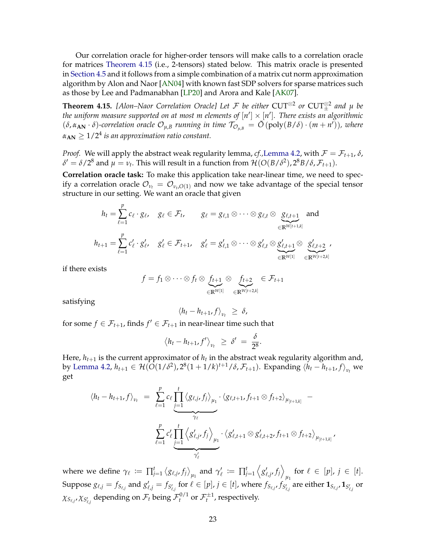<span id="page-24-0"></span>Our correlation oracle for higher-order tensors will make calls to a correlation oracle for matrices [Theorem 4.15](#page-26-1) (i.e., 2-tensors) stated below. This matrix oracle is presented in [Section 4.5](#page-26-0) and it follows from a simple combination of a matrix cut norm approximation algorithm by Alon and Naor [\[AN04\]](#page-39-5) with known fast SDP solvers for sparse matrices such as those by Lee and Padmanabhan [\[LP20\]](#page-42-10) and Arora and Kale [\[AK07\]](#page-39-6).

**Theorem 4.15.** [Alon–Naor Correlation Oracle] Let F be either  $CUT^{\otimes 2}$  or  $CUT^{\otimes 2}_{\pm}$  and  $\mu$  be the uniform measure supported on at most m elements of  $[n']\times[n']$ . There exists an algorithmic  $(\delta, \alpha_{AN} \cdot \delta)$ -correlation oracle  $\mathcal{O}_{\mu,B}$  running in time  $\mathcal{T}_{\mathcal{O}_{\mu,B}} = \tilde{O}(poly(B/\delta) \cdot (m+n'))$ , where  $\alpha_{\mathbf{AN}} \geq 1/2^4$  is an approximation ratio constant.

*Proof.* We will apply the abstract weak regularity lemma, *cf.*, [Lemma 4.2,](#page-14-2) with  $\mathcal{F} = \mathcal{F}_{t+1}$ ,  $\delta$ ,  $\delta' = \delta/2^8$  and  $\mu = \nu_t$ . This will result in a function from  $\mathcal{H}(O(B/\delta^2), 2^8B/\delta, \mathcal{F}_{t+1})$ .

**Correlation oracle task:** To make this application take near-linear time, we need to specify a correlation oracle  $\mathcal{O}_{\nu_t} = \mathcal{O}_{\nu_t, O(1)}$  and now we take advantage of the special tensor structure in our setting. We want an oracle that given

$$
h_t = \sum_{\ell=1}^r c_\ell \cdot g_\ell, \quad g_\ell \in \mathcal{F}_t, \qquad g_\ell = g_{\ell,1} \otimes \cdots \otimes g_{\ell,t} \otimes \underbrace{g_{\ell,t+1}}_{\in \mathbb{R}^{W[t+1,k]}} \text{ and}
$$
  

$$
h_{t+1} = \sum_{\ell=1}^p c'_\ell \cdot g'_{\ell}, \quad g'_\ell \in \mathcal{F}_{t+1}, \quad g'_\ell = g'_{\ell,1} \otimes \cdots \otimes g'_{\ell,t} \otimes \underbrace{g'_{\ell,t+1}}_{\in \mathbb{R}^{W[1]}} \otimes \underbrace{g'_{\ell,t+2}}_{\in \mathbb{R}^{W[t+2,k]}},
$$

if there exists

*p*

$$
f = f_1 \otimes \cdots \otimes f_t \otimes \underbrace{f_{t+1}}_{\in \mathbb{R}^{W[1]}} \otimes \underbrace{f_{t+2}}_{\in \mathbb{R}^{W[t+2,k]}} \in \mathcal{F}_{t+1}
$$

satisfying

$$
\langle h_t-h_{t+1},f\rangle_{\nu_t} \geq \delta,
$$

for some  $f \in \mathcal{F}_{t+1}$ , finds  $f' \in \mathcal{F}_{t+1}$  in near-linear time such that

$$
\langle h_t-h_{t+1},f'\rangle_{\nu_t} \geq \delta' = \frac{\delta}{2^8}.
$$

Here,  $h_{t+1}$  is the current approximator of  $h_t$  in the abstract weak regularity algorithm and, by [Lemma 4.2,](#page-14-2)  $h_{t+1} \in \mathcal{H}(O(1/\delta^2), 2^8(1+1/k)^{t+1}/\delta, \mathcal{F}_{t+1})$ . Expanding  $\langle h_t - h_{t+1}, f \rangle_{v_t}$  we get

$$
\langle h_t - h_{t+1}, f \rangle_{v_t} = \sum_{\ell=1}^p c_\ell \underbrace{\prod_{j=1}^t \langle g_{\ell,j}, f_j \rangle_{\mu_1} \cdot \langle g_{\ell,t+1}, f_{t+1} \otimes f_{t+2} \rangle_{\mu_{[t+1,k]}}}_{\gamma_\ell} - \underbrace{\sum_{j=1}^p c'_\ell \prod_{j=1}^t \langle g'_{\ell,j}, f_j \rangle_{\mu_1} \cdot \langle g'_{\ell,t+1} \otimes g'_{\ell,t+2}, f_{t+1} \otimes f_{t+2} \rangle_{\mu_{[t+1,k]}}}_{\gamma'_\ell}
$$

,

where we define  $\gamma_{\ell} \coloneqq \prod_{j=1}^{t} \left\langle g_{\ell,j}, f_{j} \right\rangle_{\mu_{1}}$  and  $\gamma'_{\ell} \coloneqq \prod_{j=1}^{t} \left\langle g'_{\ell,j}, f_{j} \right\rangle$ *µ*<sub>1</sub> for  $\ell \in [p]$ ,  $j \in [t]$ . Suppose  $g_{\ell,j}=f_{S_{\ell,j}}$  and  $g'_{\ell,j}=f_{S'_{\ell,j}}$  for  $\ell\in[p]$ ,  $j\in[t]$ , where  $f_{S_{\ell,j}},f_{S'_{\ell,j}}$  are either  $\mathbf{1}_{S_{\ell,j}},\mathbf{1}_{S'_{\ell,j}}$  or  $\chi_{S_{\ell,j'}}\chi_{S'_{\ell,j}}$  depending on  $\mathcal{F}_t$  being  $\mathcal{F}_t^{0/1}$  or  $\mathcal{F}_t^{\pm 1}$ , respectively.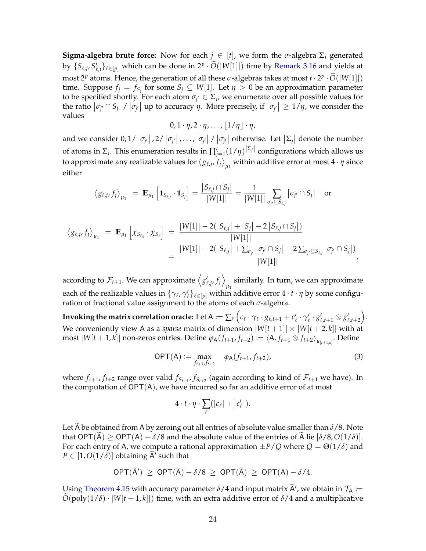**Sigma-algebra brute force:** Now for each  $j \in [t]$ , we form the  $\sigma$ -algebra  $\Sigma_j$  generated by  $\{S_{\ell,j}, S'_{\ell,j}\}_{\ell \in [p]}$  which can be done in  $2^p \cdot \widetilde{O}(|W[1]|)$  time by [Remark 3.16](#page-12-3) and yields at most  $2^p$  atoms. Hence, the generation of all these  $\sigma$ -algebras takes at most  $t \cdot 2^p \cdot \tilde{O}(|W[1]|)$ time. Suppose  $f_j = f_{S_j}$  for some  $S_j \subseteq W[1]$ . Let  $\eta > 0$  be an approximation parameter to be specified shortly. For each atom  $\sigma_{j'} \in \Sigma_j$ , we enumerate over all possible values for the ratio  $|\sigma_{j'} \cap S_j|$  /  $|\sigma_{j'}|$  up to accuracy *η*. More precisely, if  $|\sigma_{j'}| \geq 1/\eta$ , we consider the values

$$
0,1\cdot\eta,2\cdot\eta,\ldots,\lfloor1/\eta\rfloor\cdot\eta,
$$

and we consider  $0, 1/|\sigma_{j'}|$ ,  $2/|\sigma_{j'}|$ , ...,  $|\sigma_{j'}|$  /  $|\sigma_{j'}|$  otherwise. Let  $|\Sigma_j|$  denote the number of atoms in  $\Sigma_j$ . This enumeration results in  $\prod_{j=1}^t(1/\eta)^{|\Sigma_j|}$  configurations which allows us to approximate any realizable values for  $\braket{g_{\ell,j},f_j}_{\mu_1}$  within additive error at most  $4\cdot\eta$  since either

$$
\langle g_{\ell,j}, f_j \rangle_{\mu_1} = \mathbb{E}_{\mu_1} \left[ \mathbf{1}_{S_{\ell,j}} \cdot \mathbf{1}_{S_j} \right] = \frac{|S_{\ell,j} \cap S_j|}{|W[1]|} = \frac{1}{|W[1]|} \sum_{\sigma_{j'} \subseteq S_{\ell,j}} |\sigma_{j'} \cap S_j| \text{ or }
$$

$$
\langle g_{\ell,j}, f_j \rangle_{\mu_1} = \mathbb{E}_{\mu_1} \left[ \chi_{S_{\ell,j}} \cdot \chi_{S_j} \right] = \frac{|W[1]| - 2(|S_{\ell,j}| + |S_j| - 2|S_{\ell,j} \cap S_j|)}{|W[1]|} = \frac{|W[1]| - 2(|S_{\ell,j}| + \sum_{\sigma_{j'}} |\sigma_{j'} \cap S_j| - 2\sum_{\sigma_{j'} \subseteq S_{\ell,j}} |\sigma_{j'} \cap S_j|)}{|W[1]|},
$$

according to  $\mathcal{F}_{t+1}.$  We can approximate  $\left\langle g_{\ell, j'}' f_j \right\rangle$ similarly. In turn, we can approximate  $\mu_1$ each of the realizable values in  $\{\gamma_\ell,\gamma'_\ell\}_{\ell\in[p]}$  within additive error  $4\cdot t\cdot\eta$  by some configuration of fractional value assignment to the atoms of each  $\sigma$ -algebra.

 ${\bf Invoking}$  the matrix correlation oracle: Let  ${\sf A} \coloneqq \sum_\ell \Big(c_\ell \cdot \gamma_\ell \cdot g_{\ell,t+1} + c'_\ell \cdot \gamma'_\ell \cdot g'_{\ell,t+1} \otimes g'_{\ell,t+2}\Big).$ We conveniently view A as a *sparse* matrix of dimension  $|W[t+1]| \times |W[t+2,k]|$  with at  $\max |W[t+1,k]|$  non-zeros entries. Define  $\varphi_A(f_{t+1}, f_{t+2}) := \langle A, f_{t+1} \otimes f_{t+2} \rangle_{\mu_{[t+1,k]}}$ . Define

$$
OPT(A) := \max_{f_{t+1}, f_{t+2}} \varphi_A(f_{t+1}, f_{t+2}),
$$
\n(3)

where  $f_{t+1}$ ,  $f_{t+2}$  range over valid  $f_{S_{t+1}}$ ,  $f_{S_{t+2}}$  (again according to kind of  $\mathcal{F}_{t+1}$  we have). In the computation of  $\mathsf{OPT}(\mathsf{A})$ , we have incurred so far an additive error of at most

$$
4\cdot t\cdot \eta\cdot \sum_{\ell}(|c_{\ell}|+|c'_{\ell}|).
$$

Let A be obtained from A by zeroing out all entries of absolute value smaller than  $\delta/8$ . Note that  $\text{OPT}(\widetilde{A}) \ge \text{OPT}(A) - \delta/8$  and the absolute value of the entries of  $\widetilde{A}$  lie  $[\delta/8, O(1/\delta)]$ . For each entry of A, we compute a rational approximation  $\pm P/Q$  where  $Q = \Theta(1/\delta)$  and  $P \in [1, O(1/\delta)]$  obtaining  $\widetilde{A}'$  such that

$$
\mathsf{OPT}(\widetilde{\mathsf{A}}')\,\geq\,\mathsf{OPT}(\widetilde{\mathsf{A}})-\delta/8\,\geq\,\mathsf{OPT}(\widetilde{\mathsf{A}})\,\geq\,\mathsf{OPT}(\mathsf{A})-\delta/4.
$$

Using [Theorem 4.15](#page-26-1) with accuracy parameter  $\delta/4$  and input matrix  $\widetilde{A}'$ , we obtain in  $\mathcal{T}_A := \widetilde{A}'$  $\tilde{O}(\text{poly}(1/\delta) \cdot |W[t+1,k]|)$  time, with an extra additive error of  $\delta/4$  and a multiplicative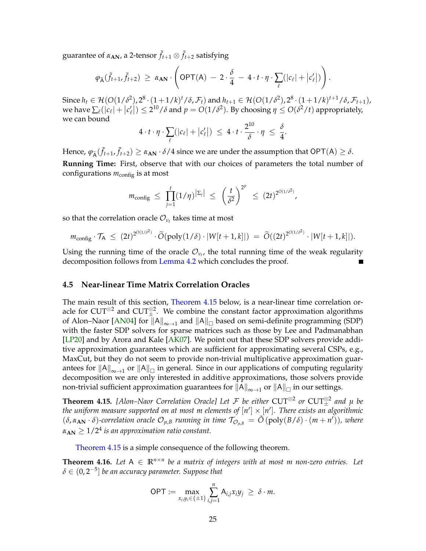<span id="page-26-3"></span>guarantee of  $\alpha_{\mathbf{AN}}$ , a 2-tensor  $\tilde{f}_{t+1}\otimes \tilde{f}_{t+2}$  satisfying

$$
\varphi_{\widetilde{A}}(\widetilde{f}_{t+1},\widetilde{f}_{t+2}) \geq \alpha_{\mathbf{AN}} \cdot \left( \mathsf{OPT}(A) \ - \ 2 \cdot \frac{\delta}{4} \ - \ 4 \cdot t \cdot \eta \cdot \sum_{\ell} (|c_{\ell}| + |c'_{\ell}|) \right).
$$

Since  $h$ <sup>*t*</sup> ∈ H(O(1/δ<sup>2</sup>), 2<sup>8</sup> · (1+1/*k*)<sup>*t*</sup>/δ,  $\mathcal{F}$ <sub>*t*</sub>)</sub> and  $h$ <sub>*t*+1</sub> ∈ H(O(1/δ<sup>2</sup>), 2<sup>8</sup> · (1+1/*k*)<sup>*t*+1</sup>/δ,  $\mathcal{F}$ <sub>*t*+1</sub>), we have  $\sum_{\ell}(|c_{\ell}|+|c'_{\ell}|) \leq 2^{10}/\delta$  and  $p = O(1/\delta^2)$ . By choosing  $\eta \leq O(\delta^2/t)$  appropriately, we can bound

$$
4 \cdot t \cdot \eta \cdot \sum_{\ell} (|c_{\ell}| + |c'_{\ell}|) \leq 4 \cdot t \cdot \frac{2^{10}}{\delta} \cdot \eta \leq \frac{\delta}{4}.
$$

Hence,  $\varphi_{\tilde{A}}(\tilde{f}_{t+1}, \tilde{f}_{t+2}) \ge \alpha_{AN} \cdot \delta/4$  since we are under the assumption that  $\mathsf{OPT}(\mathsf{A}) \ge \delta$ . **Running Time:** First, observe that with our choices of parameters the total number of configurations  $m_{\text{config}}$  is at most

$$
m_{\text{config}} \leq \prod_{j=1}^{t} (1/\eta)^{|\Sigma_j|} \leq \left(\frac{t}{\delta^2}\right)^{2^p} \leq (2t)^{2^{O(1/\delta^2)}},
$$

so that the correlation oracle  $\mathcal{O}_{\nu_t}$  takes time at most

$$
m_{\text{config}} \cdot \mathcal{T}_A \ \leq \ (2t)^{2^{O(1/\delta^2)}} \cdot \widetilde{O}(\text{poly}(1/\delta) \cdot |W[t+1,k]|) \ = \ \widetilde{O}((2t)^{2^{O(1/\delta^2)}} \cdot |W[t+1,k]|).
$$

Using the running time of the oracle  $\mathcal{O}_{\nu_t}$ , the total running time of the weak regularity decomposition follows from [Lemma 4.2](#page-14-2) which concludes the proof.

#### <span id="page-26-0"></span>**4.5 Near-linear Time Matrix Correlation Oracles**

The main result of this section, [Theorem 4.15](#page-26-1) below, is a near-linear time correlation oracle for  $\mathrm{CUT}^{\otimes 2}$  and  $\mathrm{CUT}^{\otimes 2}_\pm.$  We combine the constant factor approximation algorithms of Alon–Naor [\[AN04\]](#page-39-5) for  $\|A\|_{\infty\to 1}$  and  $\|A\|_{\Box}$  based on semi-definite programming (SDP) with the faster SDP solvers for sparse matrices such as those by Lee and Padmanabhan [\[LP20\]](#page-42-10) and by Arora and Kale [\[AK07\]](#page-39-6). We point out that these SDP solvers provide additive approximation guarantees which are sufficient for approximating several CSPs, e.g., MaxCut, but they do not seem to provide non-trivial multiplicative approximation guarantees for  $\|A\|_{\infty\to 1}$  or  $\|A\|_{\Box}$  in general. Since in our applications of computing regularity decomposition we are only interested in additive approximations, those solvers provide non-trivial sufficient approximation guarantees for  $\|A\|_{\infty\to 1}$  or  $\|A\|_{\Box}$  in our settings.

<span id="page-26-1"></span>**Theorem 4.15.** [Alon–Naor Correlation Oracle] Let F be either  $CUT^{\otimes 2}$  or  $CUT^{\otimes 2}_{\pm}$  and  $\mu$  be the uniform measure supported on at most m elements of  $[n']\times [n']$ . There exists an algorithmic  $(\delta, \alpha_{AN} \cdot \delta)$ -correlation oracle  $\mathcal{O}_{\mu,B}$  running in time  $\mathcal{T}_{\mathcal{O}_{\mu,B}} = \tilde{O}(\text{poly}(B/\delta) \cdot (m+n'))$ , where  $\alpha_{\mathbf{AN}} \geq 1/2^4$  is an approximation ratio constant.

[Theorem 4.15](#page-26-1) is a simple consequence of the following theorem.

<span id="page-26-2"></span>**Theorem 4.16.** *Let*  $A \in \mathbb{R}^{n \times n}$  *be a matrix of integers with at most m non-zero entries. Let*  $\delta \in (0, 2^{−5}]$  be an accuracy parameter. Suppose that

$$
\mathsf{OPT} := \max_{x_i, y_i \in \{\pm 1\}} \sum_{i,j=1}^n \mathsf{A}_{i,j} x_i y_j \geq \delta \cdot m.
$$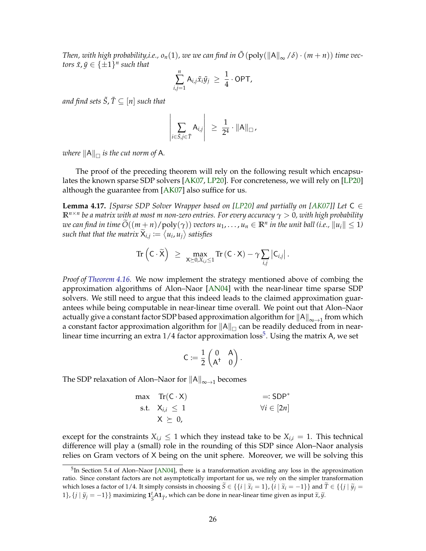<span id="page-27-2"></span>*Then, with high probability,i.e., o*<sup>n</sup>(1), we we can find in  $\tilde{O}(\text{poly}(\Vert A\Vert_{\infty}/\delta) \cdot (m+n))$  time vec $t$ *ors*  $\tilde{x}$ ,  $\tilde{y} \in \{\pm 1\}^n$  such that

$$
\sum_{i,j=1}^n A_{i,j}\tilde{x}_i\tilde{y}_j \geq \frac{1}{4} \cdot \mathsf{OPT},
$$

*and find sets*  $\tilde{S}$ ,  $\tilde{T} \subseteq [n]$  *such that* 

$$
\left|\sum_{i\in\tilde{S},j\in\tilde{T}}A_{i,j}\right| \geq \frac{1}{2^4}\cdot\|A\|_{\square},
$$

where  $\|A\|_{\Box}$  is the cut norm of  $A$ *.* 

The proof of the preceding theorem will rely on the following result which encapsulates the known sparse SDP solvers [\[AK07,](#page-39-6) [LP20\]](#page-42-10). For concreteness, we will rely on [\[LP20\]](#page-42-10) although the guarantee from [\[AK07\]](#page-39-6) also suffice for us.

<span id="page-27-1"></span>**Lemma 4.17.** *[Sparse SDP Solver Wrapper based on [\[LP20\]](#page-42-10) and partially on [\[AK07\]](#page-39-6)] Let* C ∈ **R***n*×*<sup>n</sup> be a matrix with at most m non-zero entries. For every accuracy γ* > 0*, with high probability*  $\widetilde{O}((m+n)/\text{poly}(\gamma))$  *vectors*  $u_1,\ldots,u_n\in\mathbb{R}^n$  *in the unit ball (i.e.,*  $\|u_i\|\leq 1$ )  $\mathsf{such\ that\ that\ the\ matrix\ } \mathsf{X}_{i,j} \coloneqq \big\langle \mathsf{u}_i, \mathsf{u}_j \big\rangle \ \text{satisfies}$ 

$$
\text{Tr}\left(\mathsf{C}\cdot\widetilde{\mathsf{X}}\right) \ \geq \ \max_{\mathsf{X}\succeq 0, X_{i,i}\leq 1}\text{Tr}\left(\mathsf{C}\cdot\mathsf{X}\right)-\gamma\sum_{i,j}\left|\mathsf{C}_{i,j}\right|.
$$

*Proof of [Theorem 4.16.](#page-26-2)* We now implement the strategy mentioned above of combing the approximation algorithms of Alon–Naor [\[AN04\]](#page-39-5) with the near-linear time sparse SDP solvers. We still need to argue that this indeed leads to the claimed approximation guarantees while being computable in near-linear time overall. We point out that Alon–Naor actually give a constant factor SDP based approximation algorithm for  $\|{\sf A}\|_{\infty \to 1}$  from which a constant factor approximation algorithm for  $\|{\sf A}\|_{\Box}$  can be readily deduced from in nearlinear time incurring an extra  $1/4$  factor approximation  $\mathrm{loss}^5$  $\mathrm{loss}^5$ . Using the matrix A, we set

$$
C \coloneqq \frac{1}{2} \begin{pmatrix} 0 & A \\ A^+ & 0 \end{pmatrix}.
$$

The SDP relaxation of Alon–Naor for  $\|{\mathsf{A}}\|_{\infty\to 1}$  becomes

$$
\begin{array}{ll}\n\text{max} & \text{Tr}(\text{C} \cdot \text{X}) & \text{=}:\text{SDP}^* \\
\text{s.t.} & \text{X}_{i,i} \le 1 & \forall i \in [2n] \\
& \text{X} \ge 0,\n\end{array}
$$

except for the constraints  $X_{i,i} \leq 1$  which they instead take to be  $X_{i,i} = 1$ . This technical difference will play a (small) role in the rounding of this SDP since Alon–Naor analysis relies on Gram vectors of X being on the unit sphere. Moreover, we will be solving this

<span id="page-27-0"></span><sup>&</sup>lt;sup>5</sup>In Section 5.4 of Alon–Naor [\[AN04\]](#page-39-5), there is a transformation avoiding any loss in the approximation ratio. Since constant factors are not asymptotically important for us, we rely on the simpler transformation which loses a factor of 1/4. It simply consists in choosing  $\overline{S} \in \{ \{i \mid \tilde{x}_i = 1 \}, \{i \mid \tilde{x}_i = -1 \} \}$  and  $\overline{T} \in \{ \{j \mid \tilde{y}_i = 1 \} \}$ 1},  $\{j | \tilde{y}_j = -1\}$ } maximizing  $\mathbf{1}_{\zeta}^t$  $\int \tilde{S} \mathbf{A} \mathbf{1}_{\widetilde{T}}$ , which can be done in near-linear time given as input  $\widetilde{x}$ ,  $\widetilde{y}$ .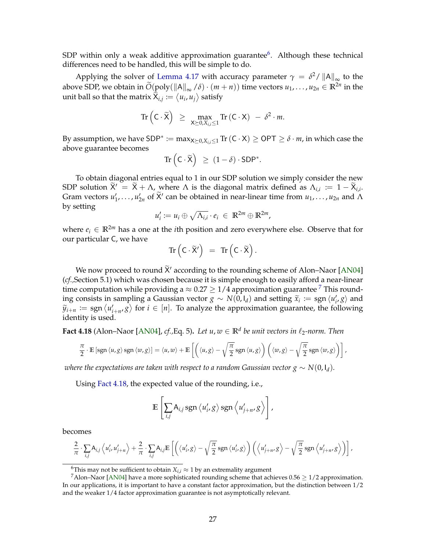<span id="page-28-3"></span>SDP within only a weak additive approximation guarantee<sup>[6](#page-28-0)</sup>. Although these technical differences need to be handled, this will be simple to do.

Applying the solver of [Lemma 4.17](#page-27-1) with accuracy parameter  $\gamma = \delta^2 / ||A||_{\infty}$  to the above SDP, we obtain in  $\widetilde{O}(\text{poly}(\Vert A \Vert_{\infty} / \delta) \cdot (m+n))$  time vectors  $u_1, \ldots, u_{2n} \in \mathbb{R}^{2n}$  in the unit ball so that the matrix  $\breve{X}_{i,j} \coloneqq \langle u_i, u_j \rangle$  satisfy

$$
\operatorname{Tr}\left(C\cdot\widetilde{X}\right) \ \geq \ \max_{X\succeq 0, X_{i,i}\leq 1} \operatorname{Tr}\left(C\cdot X\right) \ - \ \delta^2\cdot m.
$$

By assumption, we have  $SDP^* \coloneqq \max_{X \succeq 0, X_{i,i} \leq 1} \text{Tr} \, (\mathsf{C} \cdot \mathsf{X}) \geq \mathsf{OPT} \geq \delta \cdot m$ , in which case the above guarantee becomes

$$
\operatorname{Tr}\left(\mathsf{C}\cdot\widetilde{\mathsf{X}}\right) \ \geq \ (1-\delta)\cdot\mathsf{SDP}^*.
$$

To obtain diagonal entries equal to 1 in our SDP solution we simply consider the new SDP solution  $\widetilde{X}' = \widetilde{X} + \Lambda$ , where  $\Lambda$  is the diagonal matrix defined as  $\Lambda_{i,i} := 1 - \widetilde{X}_{i,i}$ . Gram vectors  $u'_1, \ldots, u'_{2n}$  of  $\widetilde{X}'$  can be obtained in near-linear time from  $u_1, \ldots, u_{2n}$  and  $\Lambda$ by setting

$$
u'_i := u_i \oplus \sqrt{\Lambda_{i,i}} \cdot e_i \in \mathbb{R}^{2m} \oplus \mathbb{R}^{2m},
$$

where  $e_i \in \mathbb{R}^{2m}$  has a one at the *i*th position and zero everywhere else. Observe that for our particular C, we have

$$
\mathrm{Tr}\left(C\cdot \widetilde{X}'\right) \ = \ \mathrm{Tr}\left(C\cdot \widetilde{X}\right).
$$

We now proceed to round  $\widetilde{X}$  according to the rounding scheme of Alon–Naor [\[AN04\]](#page-39-5) (*cf.,*Section 5.1) which was chosen because it is simple enough to easily afford a near-linear time computation while providing a  $\approx 0.27 \ge 1/4$  $\approx 0.27 \ge 1/4$  $\approx 0.27 \ge 1/4$  approximation guarantee <sup>7</sup> This rounding consists in sampling a Gaussian vector *g* ∼ *N*(0, *I<sub>d</sub>*) and setting  $\tilde{x}_i := \text{sgn} \langle u'_i, g \rangle$  and  $\tilde{y}_i := \text{sgn} \langle u'_i, g \rangle$  and  $\tilde{y}_i := \text{sgn} \langle u'_i, g \rangle$  and  $\widetilde{y}_{i+n} := \text{sgn}\left\langle u'_{i+n}, g\right\rangle$  for  $i \in [n]$ . To analyze the approximation guarantee, the following identity is used.

<span id="page-28-2"></span>**Fact 4.18** (Alon–Naor [\[AN04\]](#page-39-5), *cf.*,Eq. 5). Let  $u, w \in \mathbb{R}^d$  be unit vectors in  $\ell_2$ -norm. Then

$$
\frac{\pi}{2} \cdot \mathbb{E} \left[ \operatorname{sgn} \langle u, g \rangle \operatorname{sgn} \langle w, g \rangle \right] = \langle u, w \rangle + \mathbb{E} \left[ \left( \langle u, g \rangle - \sqrt{\frac{\pi}{2}} \operatorname{sgn} \langle u, g \rangle \right) \left( \langle w, g \rangle - \sqrt{\frac{\pi}{2}} \operatorname{sgn} \langle w, g \rangle \right) \right],
$$

*where the expectations are taken with respect to a random Gaussian vector*  $g \sim N(0, I_d)$ *.* 

Using [Fact 4.18,](#page-28-2) the expected value of the rounding, i.e.,

$$
\mathbb{E}\left[\sum_{i,j} A_{i,j} \operatorname{sgn} \langle u'_i, g \rangle \operatorname{sgn} \langle u'_{j+n}, g \rangle\right],
$$

becomes

$$
\frac{2}{\pi} \cdot \sum_{i,j} A_{i,j} \left\langle u'_i, u'_{j+n} \right\rangle + \frac{2}{\pi} \cdot \sum_{i,j} A_{i,j} \mathbb{E}\left[ \left( \left\langle u'_i, g \right\rangle - \sqrt{\frac{\pi}{2}} \operatorname{sgn} \left\langle u'_i, g \right\rangle \right) \left( \left\langle u'_{j+n}, g \right\rangle - \sqrt{\frac{\pi}{2}} \operatorname{sgn} \left\langle u'_{j+n}, g \right\rangle \right) \right],
$$

<span id="page-28-1"></span><span id="page-28-0"></span><sup>&</sup>lt;sup>6</sup>This may not be sufficient to obtain  $X_{i,i} \approx 1$  by an extremality argument

<sup>&</sup>lt;sup>7</sup>Alon–Naor [\[AN04\]](#page-39-5) have a more sophisticated rounding scheme that achieves  $0.56 \ge 1/2$  approximation. In our applications, it is important to have a constant factor approximation, but the distinction between 1/2 and the weaker 1/4 factor approximation guarantee is not asymptotically relevant.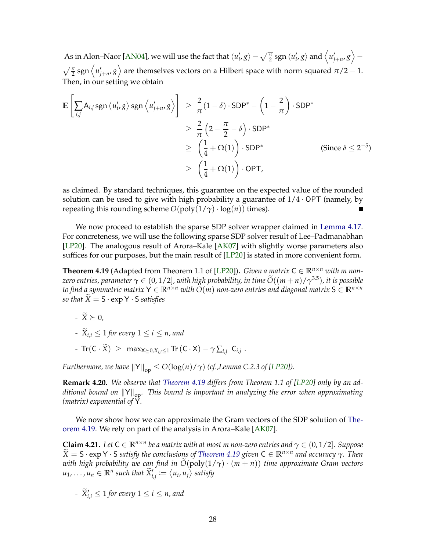<span id="page-29-2"></span>As in Alon–Naor [\[AN04\]](#page-39-5), we will use the fact that  $\langle u'_i,g\rangle-\sqrt{\frac{\pi}{2}}\operatorname{sgn}\langle u'_i,g\rangle$  and  $\left\langle u'_{j+n},g\right\rangle \sqrt{\frac{\pi}{2}}$ sgn  $\langle u'_{j+n}, g \rangle$  are themselves vectors on a Hilbert space with norm squared  $\pi/2 - 1$ . Then, in our setting we obtain

$$
\mathbb{E}\left[\sum_{i,j} A_{i,j} \operatorname{sgn} \langle u'_{i}, g \rangle \operatorname{sgn} \langle u'_{j+n}, g \rangle\right] \geq \frac{2}{\pi} (1 - \delta) \cdot \operatorname{SDP}^* - \left(1 - \frac{2}{\pi}\right) \cdot \operatorname{SDP}^* \\
\geq \frac{2}{\pi} \left(2 - \frac{\pi}{2} - \delta\right) \cdot \operatorname{SDP}^* \\
\geq \left(\frac{1}{4} + \Omega(1)\right) \cdot \operatorname{SDP}^* \qquad \text{(Since } \delta \leq 2^{-5}\text{)}
$$
\n
$$
\geq \left(\frac{1}{4} + \Omega(1)\right) \cdot \operatorname{OPT},
$$

as claimed. By standard techniques, this guarantee on the expected value of the rounded solution can be used to give with high probability a guarantee of  $1/4 \cdot OPT$  (namely, by repeating this rounding scheme  $O(poly(1/\gamma) \cdot log(n))$  times). П

We now proceed to establish the sparse SDP solver wrapper claimed in [Lemma 4.17.](#page-27-1) For concreteness, we will use the following sparse SDP solver result of Lee–Padmanabhan [\[LP20\]](#page-42-10). The analogous result of Arora–Kale [\[AK07\]](#page-39-6) with slightly worse parameters also suffices for our purposes, but the main result of [\[LP20\]](#page-42-10) is stated in more convenient form.

<span id="page-29-0"></span>**Theorem 4.19** (Adapted from Theorem 1.1 of [\[LP20\]](#page-42-10)). *Given a matrix*  $C \in \mathbb{R}^{n \times n}$  *with m nonzero entries, parameter*  $\gamma \in (0, 1/2]$ *, with high probability, in time*  $\widetilde{O}((m+n)/\gamma^{3.5})$ *, it is possible to find a symmetric matrix*  $Y \in \mathbb{R}^{n \times n}$  *with*  $O(m)$  *non-zero entries and diagonal matrix*  $S \in \mathbb{R}^{n \times n}$ *so that*  $\widetilde{X} = S \cdot expY \cdot S$  *satisfies* 

 $-\widetilde{X}\succeq 0$ *,* 

- 
$$
\widetilde{X}_{i,i} \leq 1
$$
 for every  $1 \leq i \leq n$ , and

 $- \operatorname{Tr}(\mathsf{C} \cdot \widetilde{X}) \geq \max_{\mathsf{X} \geq 0, X_{i,i} \leq 1} \operatorname{Tr}(\mathsf{C} \cdot \mathsf{X}) - \gamma \sum_{i,j} |C_{i,j}|.$ 

*Furthermore, we have*  $||Y||_{op} \le O(log(n)/\gamma)$  *(cf.,Lemma C.2.3 of [\[LP20\]](#page-42-10)).* 

**Remark 4.20.** *We observe that [Theorem 4.19](#page-29-0) differs from Theorem 1.1 of [\[LP20\]](#page-42-10) only by an additional bound on*  $||Y||_{op}$ . This bound is important in analyzing the error when approximating *(matrix) exponential of* Y*.*

We now show how we can approximate the Gram vectors of the SDP solution of [The](#page-29-0)[orem 4.19.](#page-29-0) We rely on part of the analysis in Arora–Kale [\[AK07\]](#page-39-6).

<span id="page-29-1"></span>**Claim 4.21.** Let  $C \in \mathbb{R}^{n \times n}$  be a matrix with at most m non-zero entries and  $\gamma \in (0, 1/2]$ . Suppose *<sup>X</sup>*<sup>e</sup> <sup>=</sup> <sup>S</sup> · exp <sup>Y</sup> · <sup>S</sup> *satisfy the conclusions of [Theorem 4.19](#page-29-0) given* <sup>C</sup> <sup>∈</sup> **<sup>R</sup>***n*×*<sup>n</sup> and accuracy γ. Then with high probability we can find in*  $O(poly(1/\gamma) \cdot (m + n))$  *time approximate Gram vectors*  $u_1, \ldots, u_n \in \mathbb{R}^n$  such that  $\widetilde{X}'_{i,j} := \big\langle u_i, u_j \big\rangle$  satisfy

*-*  $\widetilde{X}'_{i,i} \leq 1$  for every  $1 \leq i \leq n$ , and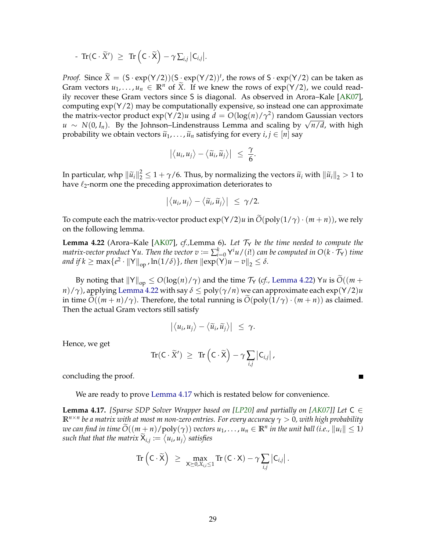<span id="page-30-1"></span>
$$
- \operatorname{Tr}(\mathsf{C} \cdot \widetilde{X}') \ \geq \ \operatorname{Tr} \left( \mathsf{C} \cdot \widetilde{\mathsf{X}} \right) - \gamma \sum_{i,j} \left| \mathsf{C}_{i,j} \right|.
$$

*Proof.* Since  $\widetilde{X} = (S \cdot \exp(Y/2))(S \cdot \exp(Y/2))^t$ , the rows of  $S \cdot \exp(Y/2)$  can be taken as Gram vectors  $u_1, \ldots, u_n \in \mathbb{R}^n$  of  $\widetilde{X}$ . If we knew the rows of  $\exp(Y/2)$ , we could readily recover these Gram vectors since S is diagonal. As observed in Arora–Kale [\[AK07\]](#page-39-6), computing  $\exp(Y/2)$  may be computationally expensive, so instead one can approximate the matrix-vector product  $\exp(Y/2)u$  using  $d = O(\log(n)/\gamma^2)$  random Gaussian vectors *u* ∼ *N*(0, *I<sub>n</sub>*). By the Johnson–Lindenstrauss Lemma and scaling by  $\sqrt{n/d}$ , with high  $\frac{1}{n}$ probability we obtain vectors  $\tilde{u}_1, \ldots, \tilde{u}_n$  satisfying for every  $i, j \in [n]$  say

$$
\left|\langle u_i, u_j\rangle - \langle \widetilde{u}_i, \widetilde{u}_j\rangle\right| \leq \frac{\gamma}{6}.
$$

In particular, whp  $\|\tilde{u}_i\|_2^2 \leq 1 + \gamma/6$ . Thus, by normalizing the vectors  $\tilde{u}_i$  with  $\|\tilde{u}_i\|_2 > 1$  to have *k*, norm and the preceding approximation deteriorates to have  $\ell_2$ -norm one the preceding approximation deteriorates to

$$
\left|\langle u_i, u_j\rangle - \langle \widetilde{u}_i, \widetilde{u}_j\rangle\right| \leq \gamma/2.
$$

To compute each the matrix-vector product  $\exp(Y/2)u$  in  $\widetilde{O}(\text{poly}(1/\gamma)\cdot(m+n))$ , we rely on the following lemma.

<span id="page-30-0"></span>**Lemma 4.22** (Arora–Kale [\[AK07\]](#page-39-6), *cf.,*Lemma 6)**.** *Let* T<sup>Y</sup> *be the time needed to compute the matrix-vector product*  $\sf Yu.$  *Then the vector*  $v\coloneqq\sum_{i=0}^k\sf Y^i u/(i!)$  *can be computed in*  $\mathrm{O}(k\cdot\mathcal{T}_{\sf Y})$  *time and if*  $k \ge \max\{e^2 \cdot \|\mathsf{Y}\|_{\text{op}}$  ,  $\ln(1/\delta)\}$ , then  $\|\exp(\mathsf{Y})u - v\|_2 \le \delta$ .

By noting that  $||Y||_{op} \le O(log(n)/\gamma)$  and the time  $\mathcal{T}_Y$  (*cf.*, [Lemma 4.22\)](#page-30-0)  $Yu$  is  $\widetilde{O}((m +$ *n*)/ $\gamma$ ), applying [Lemma 4.22](#page-30-0) with say  $\delta \leq \text{poly}(\gamma/n)$  we can approximate each exp(Y/2)*u* in time  $\tilde{O}((m+n)/\gamma)$ . Therefore, the total running is  $\tilde{O}(poly(1/\gamma) \cdot (m+n))$  as claimed. Then the actual Gram vectors still satisfy

$$
\left|\langle u_i, u_j\rangle - \langle \widetilde{u}_i, \widetilde{u}_j\rangle\right| \leq \gamma.
$$

Hence, we get

$$
\text{Tr}(\mathsf{C}\cdot \widetilde{\mathsf{X}}') \ \geq \ \text{Tr}\left(\mathsf{C}\cdot \widetilde{\mathsf{X}}\right) - \gamma \sum_{i,j} \left|\mathsf{C}_{i,j}\right|,
$$

concluding the proof.

We are ready to prove [Lemma 4.17](#page-27-1) which is restated below for convenience.

**Lemma 4.17.** *[Sparse SDP Solver Wrapper based on [\[LP20\]](#page-42-10) and partially on [\[AK07\]](#page-39-6)] Let* C ∈ **R***n*×*<sup>n</sup> be a matrix with at most m non-zero entries. For every accuracy γ* > 0*, with high probability*  $\widetilde{O}((m+n)/\mathrm{poly}(\gamma))$  *vectors*  $u_1,\ldots,u_n\in\mathbb{R}^n$  *in the unit ball (i.e.,*  $\|u_i\|\leq 1$ )  $\mathsf{such\ that\ that\ the\ matrix\ } \mathsf{X}_{i,j} \coloneqq \big\langle \mathsf{u}_i, \mathsf{u}_j \big\rangle \ \text{satisfies}$ 

$$
\text{Tr}\left(\mathsf{C}\cdot\widetilde{\mathsf{X}}\right) \ \geq \ \max_{\mathsf{X}\succeq 0, X_{i,i}\leq 1} \text{Tr}\left(\mathsf{C}\cdot\mathsf{X}\right) - \gamma \sum_{i,j} \left|\mathsf{C}_{i,j}\right|.
$$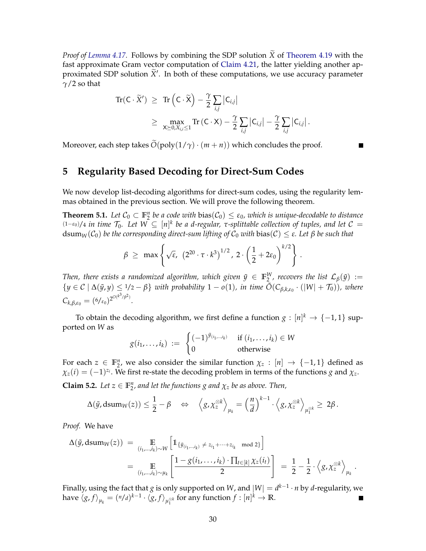*Proof of [Lemma 4.17.](#page-27-1)* Follows by combining the SDP solution  $\widetilde{X}$  of [Theorem 4.19](#page-29-0) with the fast approximate Gram vector computation of [Claim 4.21,](#page-29-1) the latter yielding another approximated SDP solution  $\widetilde{X}'$ . In both of these computations, we use accuracy parameter *γ*/2 so that

$$
\mathrm{Tr}(\mathsf{C}\cdot\widetilde{X}') \geq \mathrm{Tr}\left(\mathsf{C}\cdot\widetilde{\mathsf{X}}\right) - \frac{\gamma}{2}\sum_{i,j}|\mathsf{C}_{i,j}|
$$
  

$$
\geq \max_{\mathsf{X}\succeq 0, X_{i,i}\leq 1} \mathrm{Tr}\left(\mathsf{C}\cdot\mathsf{X}\right) - \frac{\gamma}{2}\sum_{i,j}|\mathsf{C}_{i,j}| - \frac{\gamma}{2}\sum_{i,j}|\mathsf{C}_{i,j}|.
$$

Moreover, each step takes  $\tilde{O}(\text{poly}(1/\gamma) \cdot (m+n))$  which concludes the proof.

## <span id="page-31-0"></span>**5 Regularity Based Decoding for Direct-Sum Codes**

We now develop list-decoding algorithms for direct-sum codes, using the regularity lemmas obtained in the previous section. We will prove the following theorem.

<span id="page-31-1"></span>**Theorem 5.1.** Let  $C_0 \subset \mathbb{F}_2^n$  be a code with  $bias(C_0) \leq \varepsilon_0$ , which is unique-decodable to distance (1−*ε*0)/<sup>4</sup> *in time* T0*. Let W* ⊆ [*n*] *k be a d-regular, τ-splittable collection of tuples, and let* C =  $dsum_W(C_0)$  *be the corresponding direct-sum lifting of*  $C_0$  *with* bias(*C*) ≤ *ε. Let β be such that* 

$$
\beta \geq \max \left\{ \sqrt{\epsilon}, \ \left( 2^{20} \cdot \tau \cdot k^3 \right)^{1/2}, \ 2 \cdot \left( \frac{1}{2} + 2 \epsilon_0 \right)^{k/2} \right\}
$$

.

.

*Then, there exists a randomized algorithm, which given*  $\tilde{y} \in \mathbb{F}_2^W$ *, recovers the list*  $\mathcal{L}_\beta(\tilde{y}) :=$  ${y \in C \mid Δ(y, y) ≤ 1/2 - β}$  *with probability* 1 − *o*(1)*, in time*  $\tilde{O}(C_{\beta,k,\varepsilon_0} \cdot (|W| + T_0))$ *, where*  $C_{k,\beta,\varepsilon_0} = (6/\varepsilon_0)^{2^{O(k^3/\beta^2)}}$ .

To obtain the decoding algorithm, we first define a function  $g: [n]^k \to \{-1,1\}$  supported on *W* as

$$
g(i_1,\ldots,i_k) := \begin{cases} (-1)^{\tilde{y}_{(i_1,\ldots,i_k)}} & \text{if } (i_1,\ldots,i_k) \in W \\ 0 & \text{otherwise} \end{cases}
$$

For each  $z \in \mathbb{F}_2^n$ , we also consider the similar function  $\chi_z : [n] \to \{-1,1\}$  defined as  $\chi_z(i) = (-1)^{z_i}$ . We first re-state the decoding problem in terms of the functions *g* and  $\chi_z$ .

<span id="page-31-2"></span>**Claim 5.2.** *Let*  $z \in \mathbb{F}_2^n$ , and let the functions g and  $\chi_z$  be as above. Then,

$$
\Delta(\tilde{y}, \mathrm{dsum}_W(z)) \leq \frac{1}{2} - \beta \quad \Leftrightarrow \quad \left\langle g, \chi_z^{\otimes k} \right\rangle_{\mu_k} = \left(\frac{n}{d}\right)^{k-1} \cdot \left\langle g, \chi_z^{\otimes k} \right\rangle_{\mu_1^{\otimes k}} \geq 2\beta.
$$

*Proof.* We have

$$
\Delta(\tilde{y}, \text{dsum}_W(z)) = \mathop{\mathbb{E}}_{(i_1, \dots, i_k) \sim W} \left[ \mathbb{1}_{\{\tilde{y}_{(i_1, \dots, i_k)} \neq z_{i_1} + \dots + z_{i_k} \mod 2\}} \right]
$$
\n
$$
= \mathop{\mathbb{E}}_{(i_1, \dots, i_k) \sim \mu_k} \left[ \frac{1 - g(i_1, \dots, i_k) \cdot \prod_{t \in [k]} \chi_z(i_t)}{2} \right] = \frac{1}{2} - \frac{1}{2} \cdot \left\langle g, \chi_z^{\otimes k} \right\rangle_{\mu_k}
$$

Finally, using the fact that  $g$  is only supported on  $W$ , and  $|W| = d^{k-1} \cdot n$  by  $d$ -regularity, we have  $\langle g, f \rangle_{\mu_k} = (n/d)^{k-1} \cdot \langle g, f \rangle_{\mu_k^{\otimes k}}$  for any function  $f : [n]^k \to \mathbb{R}$ .  $\blacksquare$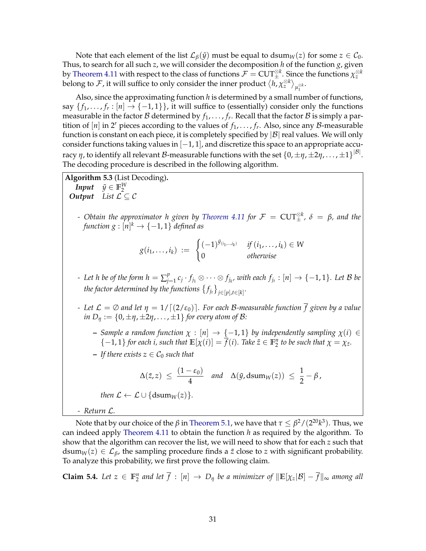Note that each element of the list  $\mathcal{L}_{\beta}(\tilde{y})$  must be equal to dsum<sub>*W*</sub>(*z*) for some  $z \in \mathcal{C}_0$ . Thus, to search for all such *z*, we will consider the decomposition *h* of the function *g*, given by [Theorem 4.11](#page-18-1) with respect to the class of functions  $\mathcal{F} =$  CUT $^{\otimes k}_{\pm}$ . Since the functions  $\chi_z^{\otimes k}$ belong to  ${\cal F}$ , it will suffice to only consider the inner product  $\big\langle h, \chi_z^{\otimes k} \big\rangle_{\mu_1^{\otimes k}}.$ 1

Also, since the approximating function *h* is determined by a small number of functions, say  $\{f_1,\ldots,f_r:[n]\to\{-1,1\}\}$ , it will suffice to (essentially) consider only the functions measurable in the factor  ${\cal B}$  determined by  $f_1,\ldots,f_r.$  Recall that the factor  ${\cal B}$  is simply a partition of  $[n]$  in 2<sup>*r*</sup> pieces according to the values of  $f_1, \ldots, f_r$ . Also, since any B-measurable function is constant on each piece, it is completely specified by  $|\mathcal{B}|$  real values. We will only consider functions taking values in [−1, 1], and discretize this space to an appropriate accuracy  $\eta$ , to identify all relevant  ${\cal B}$ -measurable functions with the set  $\{0,\pm\eta,\pm 2\eta,\ldots,\pm 1\}^{|{\cal B}|}.$ The decoding procedure is described in the following algorithm.

**Algorithm 5.3** (List Decoding)**.**

*Input*  $\tilde{y} \in \mathbb{F}_2^W$ <br>*Output List*  $\mathcal{L} \subseteq \mathcal{C}$ 

*- Obtain the approximator h given by [Theorem 4.11](#page-18-1) for* F = CUT⊗*<sup>k</sup>* <sup>±</sup> *, δ* = *β, and the function g* : [n]<sup>k</sup>  $\rightarrow$  { $-1,1$ } *defined as* 

$$
g(i_1,\ldots,i_k) := \begin{cases} (-1)^{\tilde{y}_{(i_1,\ldots,i_k)}} & \text{if } (i_1,\ldots,i_k) \in W \\ 0 & \text{otherwise} \end{cases}
$$

*-* Let h be of the form  $h = \sum_{i=1}^{p} h_i$  $f'_{j=1}$   $c_j \cdot f_{j_1} \otimes \cdots \otimes f_{j_{k'}}$  with each  $f_{j_t} : [n] \rightarrow \{-1,1\}.$  Let  ${\mathcal{B}}$  be the factor determined by the functions  $\{f_{j_t}\}_{j \in [p], t \in [k]}.$ 

- *-* Let  $\mathcal{L} = \emptyset$  and let  $\eta = 1/[(2/\epsilon_0)]$ . For each B-measurable function  $\overline{f}$  given by a value *in*  $D_{\eta} := \{0, \pm \eta, \pm 2\eta, \ldots, \pm 1\}$  *for every atom of*  $\beta$ *:* 
	- $-$  *Sample a random function*  $\chi$  : [n] → {−1,1} *by independently sampling*  $\chi$ (*i*) ∈  $\{(-1, 1\}$  *for each i, such that*  $\mathbb{E}[\chi(i)] = \overline{f}(i)$ *. Take*  $\tilde{z} \in \mathbb{F}_2^n$  *to be such that*  $\chi = \chi_{\tilde{z}}$ *.*
	- $\overline{\phantom{a}}$  **–** *If there exists*  $z \in C_0$  *such that*

$$
\Delta(\tilde{z},z) \leq \frac{(1-\varepsilon_0)}{4} \quad \text{and} \quad \Delta(\tilde{y},\mathrm{dsum}_W(z)) \leq \frac{1}{2}-\beta,
$$

*then*  $\mathcal{L} \leftarrow \mathcal{L} \cup \{ \text{dsum}_W(z) \}.$ 

*- Return* L*.*

Note that by our choice of the  $\beta$  in [Theorem 5.1,](#page-31-1) we have that  $\tau \leq \beta^2/(2^{20}k^3).$  Thus, we can indeed apply [Theorem 4.11](#page-18-1) to obtain the function *h* as required by the algorithm. To show that the algorithm can recover the list, we will need to show that for each *z* such that dsum<sub>*W*</sub>(*z*)  $\in$   $\mathcal{L}_{\beta}$ , the sampling procedure finds a *ž* close to *z* with significant probability. To analyze this probability, we first prove the following claim.

<span id="page-32-0"></span>**Claim 5.4.** Let  $z \in \mathbb{F}_2^n$  and let  $\overline{f}$  :  $[n] \to D_\eta$  be a minimizer of  $\|\mathbb{E}[\chi_z|\mathcal{B}] - \overline{f}\|_{\infty}$  among all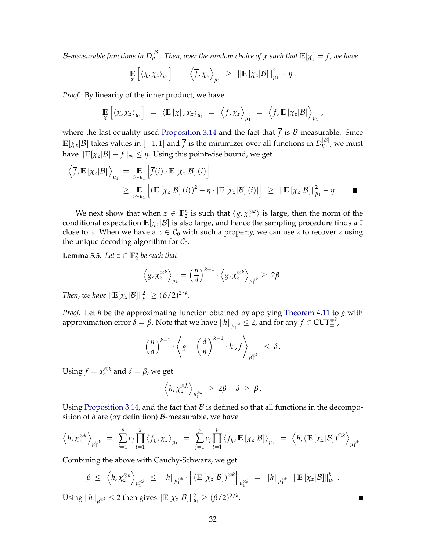B-measurable functions in  $D_{\eta}^{|B|}$ . Then, over the random choice of  $\chi$  such that  $\mathbb{E}[\chi]=\overline{f}$ , we have

$$
\mathop{\mathbb{E}}_{\chi}\left[\left\langle \chi,\chi_z\right\rangle_{\mu_1}\right] = \left\langle \overline{f},\chi_z\right\rangle_{\mu_1} \geq \|\mathop{\mathbb{E}}_{\chi_z}[\chi||\mathcal{B}]\|_{\mu_1}^2 - \eta.
$$

*Proof.* By linearity of the inner product, we have

$$
\mathop{\mathbb{E}}_{\chi} \left[ \langle \chi, \chi_z \rangle_{\mu_1} \right] = \langle \mathop{\mathbb{E}} [\chi], \chi_z \rangle_{\mu_1} = \langle \overline{f}, \chi_z \rangle_{\mu_1} = \langle \overline{f}, \mathop{\mathbb{E}} [\chi_z | \mathcal{B}] \rangle_{\mu_1},
$$

where the last equality used [Proposition 3.14](#page-11-2) and the fact that  $\overline{f}$  is  $\mathcal B$ -measurable. Since  $\mathbb{E}[\chi_z|\mathcal{B}]$  takes values in  $[-1,1]$  and  $\overline{f}$  is the minimizer over all functions in  $D^{|\mathcal{B}|}_{\eta}$ , we must have  $\|\mathbb{E}[\chi_z|\mathcal{B}] - \overline{f}\|_{\infty} \leq \eta$ . Using this pointwise bound, we get

$$
\langle \overline{f}, \mathbb{E} [\chi_z | \mathcal{B}] \rangle_{\mu_1} = \mathop{\mathbb{E}}_{i \sim \mu_1} \left[ \overline{f}(i) \cdot \mathbb{E} [\chi_z | \mathcal{B}] (i) \right]
$$
  
\n
$$
\geq \mathop{\mathbb{E}}_{i \sim \mu_1} \left[ \left( \mathbb{E} [\chi_z | \mathcal{B}] (i) \right)^2 - \eta \cdot \left| \mathbb{E} [\chi_z | \mathcal{B}] (i) \right| \right] \geq \|\mathbb{E} [\chi_z | \mathcal{B}] \|_{\mu_1}^2 - \eta.
$$

We next show that when  $z \in \mathbb{F}_2^n$  is such that  $\langle g, \chi_z^{\otimes k} \rangle$  is large, then the norm of the conditional expectation  $\mathbb{E}[\chi_z|\mathcal{B}]$  is also large, and hence the sampling procedure finds a  $\tilde{z}$ close to *z*. When we have a  $z \in C_0$  with such a property, we can use  $\tilde{z}$  to recover *z* using the unique decoding algorithm for  $C_0$ .

<span id="page-33-0"></span>**Lemma 5.5.** *Let*  $z \in \mathbb{F}_2^n$  *be such that* 

$$
\left\langle g, \chi_z^{\otimes k} \right\rangle_{\mu_k} = \left(\frac{n}{d}\right)^{k-1} \cdot \left\langle g, \chi_z^{\otimes k} \right\rangle_{\mu_1^{\otimes k}} \geq 2\beta.
$$

*Then, we have*  $\|\mathbb{E}[\chi_z|\mathcal{B}]\|_{\mu_1}^2 \geq (\beta/2)^{2/k}$ *.* 

*Proof.* Let *h* be the approximating function obtained by applying [Theorem 4.11](#page-18-1) to *g* with approximation error  $\tilde{\delta} = \beta$ . Note that we have  $\|h\|_{\mu_1^{\otimes k}} \leq 2$ , and for any  $f \in \mathrm{CUT}_\pm^{\otimes k}$ ,

$$
\left(\frac{n}{d}\right)^{k-1} \cdot \left\langle g - \left(\frac{d}{n}\right)^{k-1} \cdot h \cdot f \right\rangle_{\mu_1^{\otimes k}} \leq \delta.
$$

Using  $f = \chi_z^{\otimes k}$  and  $\delta = \beta$ , we get

$$
\left\langle h, \chi_z^{\otimes k} \right\rangle_{\mu_1^{\otimes k}} \ \geq \ 2\beta - \delta \ \geq \ \beta \, .
$$

Using [Proposition 3.14,](#page-11-2) and the fact that  $\beta$  is defined so that all functions in the decomposition of *h* are (by definition) B-measurable, we have

$$
\left\langle h, \chi_z^{\otimes k} \right\rangle_{\mu_1^{\otimes k}} = \sum_{j=1}^p c_j \prod_{t=1}^k \left\langle f_{j_t}, \chi_z \right\rangle_{\mu_1} = \sum_{j=1}^p c_j \prod_{t=1}^k \left\langle f_{j_t}, \mathbb{E} \left[ \chi_z | \mathcal{B} \right] \right\rangle_{\mu_1} = \left\langle h, \left( \mathbb{E} \left[ \chi_z | \mathcal{B} \right] \right)^{\otimes k} \right\rangle_{\mu_1^{\otimes k}}.
$$

Combining the above with Cauchy-Schwarz, we get

$$
\beta \leq \left\langle h, \chi_z^{\otimes k} \right\rangle_{\mu_1^{\otimes k}} \leq ||h||_{\mu_1^{\otimes k}} \cdot \left\| \left( \mathbb{E} \left[ \chi_z | \mathcal{B} \right] \right)^{\otimes k} \right\|_{\mu_1^{\otimes k}} = ||h||_{\mu_1^{\otimes k}} \cdot \left\| \mathbb{E} \left[ \chi_z | \mathcal{B} \right] \right\|_{\mu_1}^k.
$$

 $\blacksquare$ 

Using  $\|h\|_{\mu_1^{\otimes k}} \leq 2$  then gives  $\|\mathbb{E}[\chi_z|\mathcal{B}]\|_{\mu_1}^2 \geq (\beta/2)^{2/k}$ .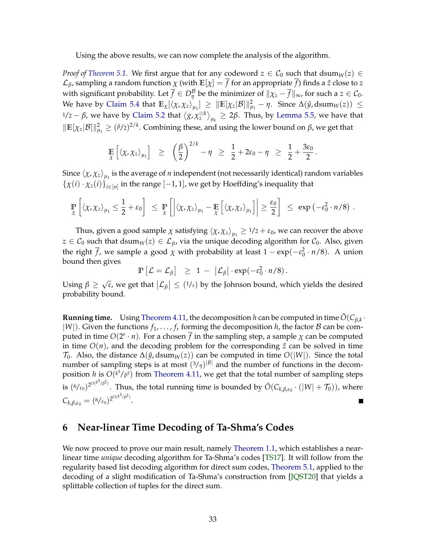<span id="page-34-1"></span>Using the above results, we can now complete the analysis of the algorithm.

*Proof of [Theorem 5.1.](#page-31-1)* We first argue that for any codeword  $z \in C_0$  such that dsum<sub>*W*</sub>(*z*) ∈  $\mathcal{L}_{\beta}$ , sampling a random function  $\chi$  (with  $\mathbb{E}[\chi] = \overline{f}$  for an appropriate  $\overline{f}$ ) finds a  $\tilde{z}$  close to  $z$ with significant probability. Let  $\overline{f} \in D_\eta^{\mathcal{B}}$  be the minimizer of  $\|\chi_z - \overline{f}\|_\infty$ , for such a  $z \in \mathcal{C}_0$ . We have by [Claim 5.4](#page-32-0) that  $\mathbb{E}_\chi[\langle \chi, \chi_z \rangle_{\mu_1}] \geq \|\mathbb{E}[\chi_z|\mathcal{B}]\|_{\mu_1}^2 - \eta$ . Since  $\Delta(\tilde{y}, \mathrm{dsum}_W(z)) \leq$ 1/2 – β, we have by [Claim 5.2](#page-31-2) that  $\langle g, \chi_z^{\otimes k} \rangle_{\mu_k} \geq 2\beta$ . Thus, by [Lemma 5.5,](#page-33-0) we have that  $\|\mathbb{E}[\chi_z|\mathcal{B}]\|_{\mu_1}^2 \ge (\frac{\beta}{2})^{2/k}$ . Combining these, and using the lower bound on  $\beta$ , we get that

$$
\mathop{\mathbb{E}}_{\chi}\left[\left\langle \chi,\chi_z\right\rangle_{\mu_1}\right] \;\geq\; \; \left(\frac{\beta}{2}\right)^{2/k} - \eta \;\geq\; \frac{1}{2} + 2\varepsilon_0 - \eta \;\geq\; \frac{1}{2} + \frac{3\varepsilon_0}{2}.
$$

Since  $\left<\chi,\chi_z\right>_{\mu_1}$  is the average of *n* independent (not necessarily identical) random variables  $\{\chi(i) \cdot \chi_z(i)\}_{i \in [n]}$  in the range  $[-1, 1]$ , we get by Hoeffding's inequality that

$$
\mathbb{P}_{\chi}\left[\left\langle \chi, \chi_z \right\rangle_{\mu_1} \leq \frac{1}{2} + \varepsilon_0\right] \leq \mathbb{P}_{\chi}\left[\left|\left\langle \chi, \chi_z \right\rangle_{\mu_1} - \mathbb{E}_{\chi}\left[\left\langle \chi, \chi_z \right\rangle_{\mu_1}\right]\right| \geq \frac{\varepsilon_0}{2}\right] \leq \exp(-\varepsilon_0^2 \cdot n/8) .
$$

Thus, given a good sample  $\chi$  satisfying  $\langle \chi, \chi_z \rangle_{\mu_1} \geq 1/2 + \varepsilon_0$ , we can recover the above  $z \in \mathcal{C}_0$  such that dsum<sub>*W*</sub>(*z*)  $\in \mathcal{L}_{\beta}$ , via the unique decoding algorithm for  $\mathcal{C}_0$ . Also, given the right  $\overline{f}$ , we sample a good  $\chi$  with probability at least  $1 - \exp(-\varepsilon_0^2 \cdot n/8)$ . A union bound then gives

$$
\mathbb{P}\left[\mathcal{L}=\mathcal{L}_{\beta}\right] \geq 1 - \left|\mathcal{L}_{\beta}\right| \cdot \exp(-\varepsilon_0^2 \cdot n/8).
$$

Using *β* ≥ √ *ε*, we get that  $|\mathcal{L}_{\beta}| \leq (1/\epsilon)$  by the Johnson bound, which yields the desired probability bound.

**Running time.** Using [Theorem 4.11,](#page-18-1) the decomposition *h* can be computed in time  $\tilde{O}(C_{\beta,k} \cdot \theta)$  $|W|$ ). Given the functions  $f_1, \ldots, f_r$  forming the decomposition *h*, the factor *B* can be computed in time  $O(2^r \cdot n)$ . For a chosen  $\overline{f}$  in the sampling step, a sample  $\chi$  can be computed in time  $O(n)$ , and the decoding problem for the corresponding  $\tilde{z}$  can be solved in time  $\mathcal{T}_0$ . Also, the distance  $\Delta(\tilde{y}, \text{dsum}_W(z))$  can be computed in time  $O(|W|)$ . Since the total number of sampling steps is at most  $(3/\eta)^{|B|}$  and the number of functions in the decomposition *h* is *O*(*<sup>k</sup>* <sup>3</sup>/*<sup>β</sup>* <sup>2</sup>) from [Theorem 4.11,](#page-18-1) we get that the total number of sampling steps is  $(6/\epsilon_0)^{2^{O(k^3/\beta^2)}}$ . Thus, the total running time is bounded by  $\tilde O(C_{k,\beta,\epsilon_0}\cdot(|W|+\mathcal{T}_0))$ , where  $C_{k,\beta,\varepsilon_0} = (6/\varepsilon_0)^{2^{O(k^3/\beta^2)}}$ .

### <span id="page-34-0"></span>**6 Near-linear Time Decoding of Ta-Shma's Codes**

We now proceed to prove our main result, namely [Theorem 1.1,](#page-2-2) which establishes a nearlinear time *unique* decoding algorithm for Ta-Shma's codes [\[TS17\]](#page-42-1). It will follow from the regularity based list decoding algorithm for direct sum codes, [Theorem 5.1,](#page-31-1) applied to the decoding of a slight modification of Ta-Shma's construction from [\[JQST20\]](#page-41-3) that yields a splittable collection of tuples for the direct sum.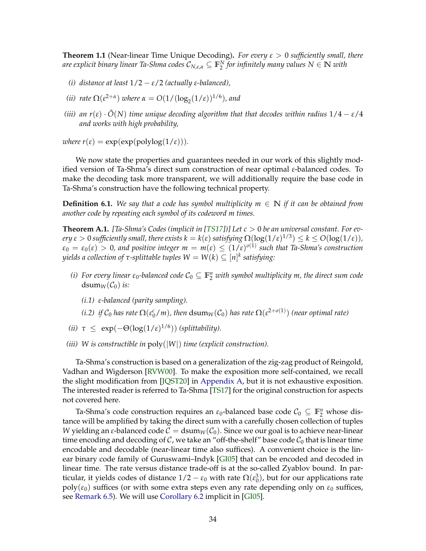<span id="page-35-1"></span>**Theorem 1.1** (Near-linear Time Unique Decoding)**.** *For every ε* > 0 *sufficiently small, there are explicit binary linear Ta-Shma codes* C*N*,*ε*,*<sup>α</sup>* ⊆ **F** *N* 2 *for infinitely many values N* ∈ **N** *with*

- *(i) distance at least*  $1/2 \varepsilon/2$  *(actually ε-balanced)*,
- *(ii) rate*  $\Omega(\varepsilon^{2+\alpha})$  *where*  $\alpha = O(1/(\log_2(1/\varepsilon))^{1/6})$ *, and*
- *(iii)* an  $r(\varepsilon) \cdot \tilde{O}(N)$  *time unique decoding algorithm that that decodes within radius*  $1/4 \varepsilon/4$ *and works with high probability,*

*where*  $r(\varepsilon) = \exp(\exp(\text{polylog}(1/\varepsilon)))$ *.* 

We now state the properties and guarantees needed in our work of this slightly modified version of Ta-Shma's direct sum construction of near optimal *ε*-balanced codes. To make the decoding task more transparent, we will additionally require the base code in Ta-Shma's construction have the following technical property.

<span id="page-35-0"></span>**Definition 6.1.** We say that a code has symbol multiplicity  $m \in \mathbb{N}$  if it can be obtained from *another code by repeating each symbol of its codeword m times.*

**Theorem A.1.** *[Ta-Shma's Codes (implicit in [\[TS17\]](#page-42-1))] Let c* > 0 *be an universal constant. For ev* $e$ ry  $\epsilon > 0$  sufficiently small, there exists  $k = k(\epsilon)$  satisfying  $\Omega(\log(1/\epsilon)^{1/3}) \leq k \leq O(\log(1/\epsilon))$ ,  $\varepsilon_0 = \varepsilon_0(\varepsilon) > 0$ , and positive integer  $m = m(\varepsilon) \leq (1/\varepsilon)^{o(1)}$  such that Ta-Shma's construction  $y$ ields a collection of  $\tau$ -splittable tuples  $W=W(k)\subseteq [n]^k$  satisfying:

- *(i)* For every linear  $\varepsilon_0$ -balanced code  $\mathcal{C}_0 \subseteq \mathbb{F}_2^n$  with symbol multiplicity m, the direct sum code dsum<sub>*W*</sub>( $C_0$ ) *is:* 
	- *(i.1) ε-balanced (parity sampling).*
	- *(i.2) if*  $C_0$  *has rate*  $\Omega(\varepsilon_0^c/m)$ *, then*  $dsum_W(C_0)$  *has rate*  $\Omega(\varepsilon^{2+o(1)})$  *(near optimal rate)*
- (*ii*)  $\tau \leq \exp(-\Theta(\log(1/\epsilon)^{1/6}))$  *(splittability).*
- *(iii) W is constructible in* poly(|*W*|) *time (explicit construction).*

Ta-Shma's construction is based on a generalization of the zig-zag product of Reingold, Vadhan and Wigderson [\[RVW00\]](#page-42-11). To make the exposition more self-contained, we recall the slight modification from [\[JQST20\]](#page-41-3) in [Appendix A,](#page-43-0) but it is not exhaustive exposition. The interested reader is referred to Ta-Shma [\[TS17\]](#page-42-1) for the original construction for aspects not covered here.

Ta-Shma's code construction requires an  $\varepsilon_0$ -balanced base code  $C_0 \subseteq \mathbb{F}_2^n$  whose distance will be amplified by taking the direct sum with a carefully chosen collection of tuples *W* yielding an *ε*-balanced code  $C = \text{dsum}_W(C_0)$ . Since we our goal is to achieve near-linear time encoding and decoding of  $C$ , we take an "off-the-shelf" base code  $C_0$  that is linear time encodable and decodable (near-linear time also suffices). A convenient choice is the linear binary code family of Guruswami–Indyk [\[GI05\]](#page-41-11) that can be encoded and decoded in linear time. The rate versus distance trade-off is at the so-called Zyablov bound. In particular, it yields codes of distance  $1/2 - \varepsilon_0$  with rate  $\Omega(\varepsilon_0^3)$ , but for our applications rate  $poly(\varepsilon_0)$  suffices (or with some extra steps even any rate depending only on  $\varepsilon_0$  suffices, see [Remark 6.5\)](#page-38-0). We will use [Corollary 6.2](#page-37-1) implicit in [\[GI05\]](#page-41-11).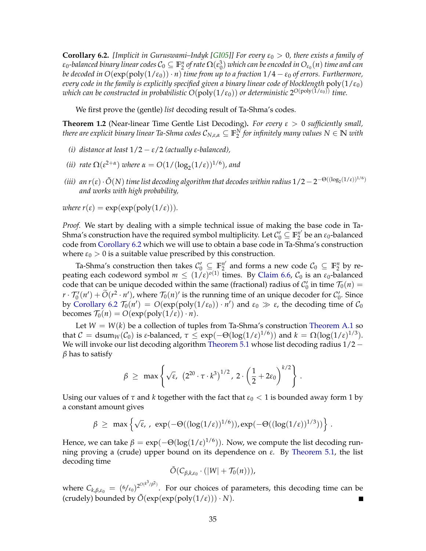<span id="page-36-0"></span>**Corollary 6.2.** *[Implicit in Guruswami–Indyk [\[GI05\]](#page-41-11)] For every*  $\varepsilon_0 > 0$ *, there exists a family of*  $\epsilon_0$ -balanced binary linear codes  $\mathcal{C}_0\subseteq\mathbb{F}_2^n$  of rate  $\Omega(\epsilon_0^3)$  which can be encoded in  $O_{\epsilon_0}(n)$  time and can *be decoded in*  $O(\exp(\text{poly}(1/\epsilon_0)) \cdot n)$  *time from up to a fraction*  $1/4 - \epsilon_0$  *of errors. Furthermore, every code in the family is explicitly specified given a binary linear code of blocklength*  $poly(1/\epsilon_0)$ *which can be constructed in probabilistic O*(poly(1/*ε*0)) *or deterministic* 2 *<sup>O</sup>*(poly(1/*ε*0)) *time.*

We first prove the (gentle) *list* decoding result of Ta-Shma's codes.

**Theorem 1.2** (Near-linear Time Gentle List Decoding)**.** *For every ε* > 0 *sufficiently small,*  $t$ here are explicit binary linear Ta-Shma codes  $\mathcal{C}_{N,\varepsilon,\alpha}\subseteq\mathbb{F}_2^N$  for infinitely many values  $N\in\mathbb{N}$  with

- *(i) distance at least* 1/2 − *ε*/2 *(actually ε-balanced),*
- *(ii) rate*  $\Omega(\varepsilon^{2+\alpha})$  *where*  $\alpha = O(1/(\log_2(1/\varepsilon))^{1/6})$ *, and*
- *(iii)* an r(ε) · Õ(N) time list decoding algorithm that decodes within radius 1/2 − 2<sup>−Θ((log<sub>2</sub>(1/ε))<sup>1/6</sup>)</sup> *and works with high probability,*

where 
$$
r(\varepsilon) = \exp(\exp(\text{poly}(1/\varepsilon))).
$$

*Proof.* We start by dealing with a simple technical issue of making the base code in Ta-Shma's construction have the required symbol multiplicity. Let  $\mathcal{C}_0' \subseteq \mathbb{F}_2^{n'}$  $\frac{n}{2}$  be an  $\varepsilon_0$ -balanced code from [Corollary 6.2](#page-37-1) which we will use to obtain a base code in Ta-Shma's construction where  $\varepsilon_0 > 0$  is a suitable value prescribed by this construction.

Ta-Shma's construction then takes  $\mathcal{C}'_0 \subseteq \mathbb{F}_2^{n'}$  $\mathcal{C}_2^{n'}$  and forms a new code  $\mathcal{C}_0 \subseteq \mathbb{F}_2^n$  by repeating each codeword symbol  $m \leq (1/\varepsilon)^{o(1)}$  times. By [Claim 6.6,](#page-38-1)  $C_0$  is an  $\varepsilon_0$ -balanced code that can be unique decoded within the same (fractional) radius of  $C'_0$  in time  $\mathcal{T}_0(n)$  =  $r \cdot T'_0(n') + \widetilde{O}(r^2 \cdot n')$ , where  $T_0(n)'$  is the running time of an unique decoder for  $C'_0$ . Since by [Corollary 6.2](#page-37-1)  $\mathcal{T}_0(n') = O(\exp(\text{poly}(1/\epsilon_0)) \cdot n')$  and  $\epsilon_0 \gg \epsilon$ , the decoding time of  $\mathcal{C}_0$ becomes  $T_0(n) = O(\exp(\text{poly}(1/\varepsilon)) \cdot n)$ .

Let  $W = W(k)$  be a collection of tuples from Ta-Shma's construction [Theorem A.1](#page-43-2) so that  $C = \text{dsum}_W(C_0)$  is *ε*-balanced,  $\tau \leq \exp(-\Theta(\log(1/\epsilon)^{1/6}))$  and  $k = \Omega(\log(1/\epsilon)^{1/3})$ . We will invoke our list decoding algorithm [Theorem 5.1](#page-31-1) whose list decoding radius  $1/2$ *β* has to satisfy

$$
\beta \geq \max \left\{ \sqrt{\epsilon}, \ \left( 2^{20} \cdot \tau \cdot k^3 \right)^{1/2}, \ 2 \cdot \left( \frac{1}{2} + 2 \epsilon_0 \right)^{k/2} \right\}.
$$

Using our values of  $\tau$  and  $k$  together with the fact that  $\varepsilon_0 < 1$  is bounded away form 1 by a constant amount gives

$$
\beta \ \geq \ \max \left\{ \sqrt{\epsilon}, \ , \ \exp(-\Theta((\log(1/\epsilon))^{1/6})), \exp(-\Theta((\log(1/\epsilon))^{1/3})) \right\} \, .
$$

Hence, we can take  $\beta = \exp(-\Theta(\log(1/\varepsilon)^{1/6}))$ . Now, we compute the list decoding running proving a (crude) upper bound on its dependence on *ε*. By [Theorem 5.1,](#page-31-1) the list decoding time

$$
\tilde{O}(C_{\beta,k,\varepsilon_0}\cdot(|W|+\mathcal{T}_0(n))),
$$

where  $C_{k,\beta,\varepsilon_0}\,=\,(6/\varepsilon_0)^{2^{O(k^3/\beta^2)}}.$  For our choices of parameters, this decoding time can be (crudely) bounded by  $\tilde{O}(\exp(\exp(\text{poly}(1/\epsilon))) \cdot N)$ . П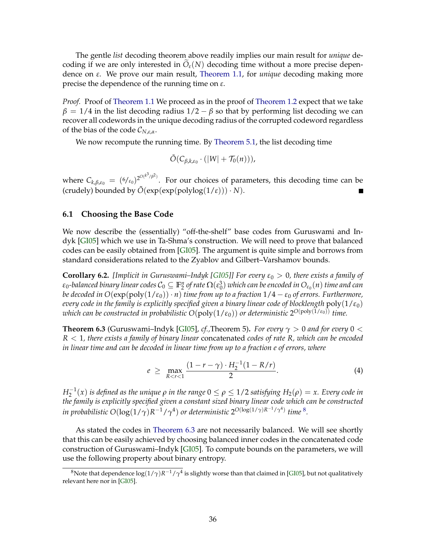<span id="page-37-6"></span>The gentle *list* decoding theorem above readily implies our main result for *unique* decoding if we are only interested in  $\tilde{O}_{\varepsilon}(N)$  decoding time without a more precise dependence on *ε*. We prove our main result, [Theorem 1.1,](#page-2-2) for *unique* decoding making more precise the dependence of the running time on *ε*.

*Proof.* Proof of [Theorem 1.1](#page-2-2) We proceed as in the proof of [Theorem 1.2](#page-2-1) expect that we take  $\beta = 1/4$  in the list decoding radius  $1/2 - \beta$  so that by performing list decoding we can recover all codewords in the unique decoding radius of the corrupted codeword regardless of the bias of the code C*N*,*ε*,*α*.

We now recompute the running time. By [Theorem 5.1,](#page-31-1) the list decoding time

$$
\tilde{O}(C_{\beta,k,\varepsilon_0}\cdot(|W|+\mathcal{T}_0(n))),
$$

where  $C_{k,\beta,\varepsilon_0}\,=\,(6/\varepsilon_0)^{2^{O(k^3/\beta^2)}}.$  For our choices of parameters, this decoding time can be (crudely) bounded by  $\tilde{O}(\exp(\exp(\text{polylog}(1/\varepsilon))) \cdot N)$ .  $\blacksquare$ 

#### <span id="page-37-0"></span>**6.1 Choosing the Base Code**

We now describe the (essentially) "off-the-shelf" base codes from Guruswami and Indyk [\[GI05\]](#page-41-11) which we use in Ta-Shma's construction. We will need to prove that balanced codes can be easily obtained from [\[GI05\]](#page-41-11). The argument is quite simple and borrows from standard considerations related to the Zyablov and Gilbert–Varshamov bounds.

<span id="page-37-1"></span>**Corollary 6.2.** *[Implicit in Guruswami–Indyk [\[GI05\]](#page-41-11)] For every*  $\varepsilon_0 > 0$ *, there exists a family of*  $\epsilon_0$ -balanced binary linear codes  $\mathcal{C}_0\subseteq\mathbb{F}_2^n$  of rate  $\Omega(\epsilon_0^3)$  which can be encoded in  $O_{\epsilon_0}(n)$  time and can *be decoded in*  $O(\exp(\text{poly}(1/\epsilon_0)) \cdot n)$  *time from up to a fraction*  $1/4 - \epsilon_0$  *of errors. Furthermore, every code in the family is explicitly specified given a binary linear code of blocklength*  $poly(1/\epsilon_0)$ *which can be constructed in probabilistic O*(poly(1/*ε*0)) *or deterministic* 2 *<sup>O</sup>*(poly(1/*ε*0)) *time.*

<span id="page-37-3"></span>**Theorem 6.3** (Guruswami–Indyk [\[GI05\]](#page-41-11), *cf.*,Theorem 5). *For every*  $\gamma > 0$  *and for every*  $0 <$ *R* < 1*, there exists a family of binary linear* concatenated *codes of rate R, which can be encoded in linear time and can be decoded in linear time from up to a fraction e of errors, where*

<span id="page-37-5"></span>
$$
e \geq \max_{R < r < 1} \frac{(1 - r - \gamma) \cdot H_2^{-1}(1 - R/r)}{2}.
$$
 (4)

 $H_2^{-1}(x)$  *is defined as the unique*  $ρ$  *in the range*  $0 ≤ ρ ≤ 1/2$  *satisfying*  $H_2(ρ) = x$ *. Every code in the family is explicitly specified given a constant sized binary linear code which can be constructed* in probabilistic  $O(\log(1/\gamma)R^{-1}/\gamma^4)$  or deterministic  $2^{O(\log(1/\gamma)R^{-1}/\gamma^4)}$  time  $^8$  $^8$ .

As stated the codes in [Theorem 6.3](#page-37-3) are not necessarily balanced. We will see shortly that this can be easily achieved by choosing balanced inner codes in the concatenated code construction of Guruswami–Indyk [\[GI05\]](#page-41-11). To compute bounds on the parameters, we will use the following property about binary entropy.

<span id="page-37-4"></span><span id="page-37-2"></span> $^8$ Note that dependence log $(1/\gamma)R^{-1}/\gamma^4$  is slightly worse than that claimed in [\[GI05\]](#page-41-11), but not qualitatively relevant here nor in [\[GI05\]](#page-41-11).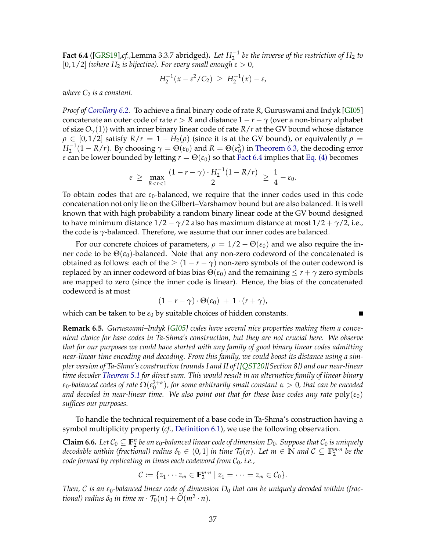<span id="page-38-2"></span>**Fact 6.4** ([\[GRS19\]](#page-41-13), $cf$ .,Lemma 3.3.7 abridged). Let  $H_2^{-1}$  be the inverse of the restriction of  $H_2$  to  $[0, 1/2]$  *(where*  $H_2$  *is bijective). For every small enough*  $\varepsilon > 0$ *,* 

$$
H_2^{-1}(x - \varepsilon^2 / C_2) \ge H_2^{-1}(x) - \varepsilon,
$$

*where*  $C_2$  *is a constant.* 

*Proof of [Corollary 6.2.](#page-37-1)* To achieve a final binary code of rate *R*, Guruswami and Indyk [\[GI05\]](#page-41-11) concatenate an outer code of rate  $r > R$  and distance  $1 - r - \gamma$  (over a non-binary alphabet of size *Oγ*(1)) with an inner binary linear code of rate *R*/*r* at the GV bound whose distance  $\rho \in [0, 1/2]$  satisfy  $R/r = 1 - H_2(\rho)$  (since it is at the GV bound), or equivalently  $\rho =$  $H_2^{-1}(1 - R/r)$ . By choosing  $\gamma = \Theta(\varepsilon_0)$  and  $R = \Theta(\varepsilon_0^3)$  in [Theorem 6.3,](#page-37-3) the decoding error *e* can be lower bounded by letting  $r = \Theta(\varepsilon_0)$  so that [Fact 6.4](#page-37-4) implies that [Eq. \(4\)](#page-37-5) becomes

$$
e \geq \max_{R < r < 1} \frac{(1 - r - \gamma) \cdot H_2^{-1}(1 - R/r)}{2} \geq \frac{1}{4} - \varepsilon_0.
$$

To obtain codes that are  $\varepsilon_0$ -balanced, we require that the inner codes used in this code concatenation not only lie on the Gilbert–Varshamov bound but are also balanced. It is well known that with high probability a random binary linear code at the GV bound designed to have minimum distance  $1/2 - \gamma/2$  also has maximum distance at most  $1/2 + \gamma/2$ , i.e., the code is *γ*-balanced. Therefore, we assume that our inner codes are balanced.

For our concrete choices of parameters,  $\rho = 1/2 - \Theta(\varepsilon_0)$  and we also require the inner code to be  $\Theta(\varepsilon_0)$ -balanced. Note that any non-zero codeword of the concatenated is obtained as follows: each of the  $\geq (1 - r - \gamma)$  non-zero symbols of the outer codeword is replaced by an inner codeword of bias bias  $\Theta(\varepsilon_0)$  and the remaining  $\leq r + \gamma$  zero symbols are mapped to zero (since the inner code is linear). Hence, the bias of the concatenated codeword is at most

$$
(1 - r - \gamma) \cdot \Theta(\varepsilon_0) + 1 \cdot (r + \gamma),
$$

which can be taken to be  $\varepsilon_0$  by suitable choices of hidden constants.

<span id="page-38-0"></span>**Remark 6.5.** *Guruswami–Indyk [\[GI05\]](#page-41-11) codes have several nice properties making them a convenient choice for base codes in Ta-Shma's construction, but they are not crucial here. We observe that for our purposes we could have started with any family of good binary linear codes admitting near-linear time encoding and decoding. From this family, we could boost its distance using a simpler version of Ta-Shma's construction (rounds I and II of [\[JQST20\]](#page-41-3)[Section 8]) and our near-linear time decoder [Theorem 5.1](#page-31-1) for direct sum. This would result in an alternative family of linear binary*  $\epsilon_0$ -balanced codes of rate  $\Omega(\epsilon_0^{2+\alpha})$ , for some arbitrarily small constant  $\alpha>0$ , that can be encoded *and decoded in near-linear time. We also point out that for these base codes any rate*  $poly(\varepsilon_0)$ *suffices our purposes.*

To handle the technical requirement of a base code in Ta-Shma's construction having a symbol multiplicity property (*cf.,* [Definition 6.1\)](#page-35-0), we use the following observation.

<span id="page-38-1"></span>**Claim 6.6.** Let  $C_0 \subseteq \mathbb{F}_2^n$  be an  $\varepsilon_0$ -balanced linear code of dimension  $D_0$ . Suppose that  $C_0$  is uniquely *decodable within (fractional) radius*  $\delta_0 \in (0,1]$  *in time*  $\mathcal{T}_0(n)$ *. Let*  $m \in \mathbb{N}$  *and*  $\mathcal{C} \subseteq \mathbb{F}_2^{m \cdot n}$  *be the code formed by replicating m times each codeword from*  $C_0$ *, i.e.,* 

$$
\mathcal{C} := \{z_1 \cdots z_m \in \mathbb{F}_2^{m \cdot n} \mid z_1 = \cdots = z_m \in \mathcal{C}_0\}.
$$

*Then,* C *is an ε*0*-balanced linear code of dimension D*<sup>0</sup> *that can be uniquely decoded within (fractional) radius*  $\delta_0$  *in time m*  $\cdot$   $\mathcal{T}_0(n) + \tilde{O}(m^2 \cdot n)$ *.*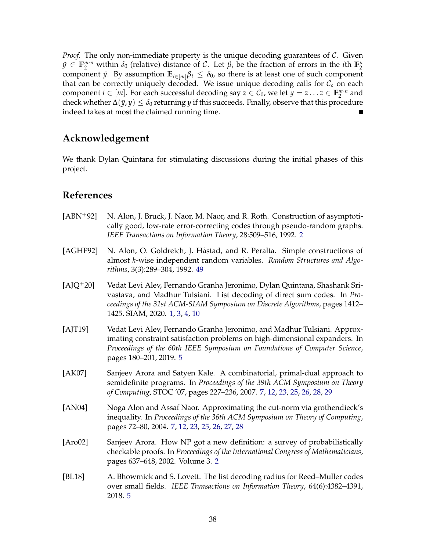*Proof.* The only non-immediate property is the unique decoding guarantees of C. Given  $\tilde{y} \in \mathbb{F}_2^{m \cdot n}$  within  $\delta_0$  (relative) distance of C. Let  $\beta_i$  be the fraction of errors in the *i*th  $\mathbb{F}_2^n$ component  $\tilde{y}$ . By assumption  $\mathbb{E}_{i \in [m]} \beta_i \leq \delta_0$ , so there is at least one of such component that can be correctly uniquely decoded. We issue unique decoding calls for C*<sup>o</sup>* on each component  $i \in [m]$ . For each successful decoding say  $z \in C_0$ , we let  $y = z \dots z \in \mathbb{F}_2^{m \cdot n}$  and check whether  $\Delta(\tilde{y}, y) \leq \delta_0$  returning *y* if this succeeds. Finally, observe that this procedure indeed takes at most the claimed running time.

# **Acknowledgement**

We thank Dylan Quintana for stimulating discussions during the initial phases of this project.

# **References**

- <span id="page-39-1"></span>[ABN<sup>+92]</sup> N. Alon, J. Bruck, J. Naor, M. Naor, and R. Roth. Construction of asymptotically good, low-rate error-correcting codes through pseudo-random graphs. *IEEE Transactions on Information Theory*, 28:509–516, 1992. [2](#page-3-1)
- <span id="page-39-7"></span>[AGHP92] N. Alon, O. Goldreich, J. Håstad, and R. Peralta. Simple constructions of almost *k*-wise independent random variables. *Random Structures and Algorithms*, 3(3):289–304, 1992. [49](#page-50-0)
- <span id="page-39-0"></span>[AJQ+20] Vedat Levi Alev, Fernando Granha Jeronimo, Dylan Quintana, Shashank Srivastava, and Madhur Tulsiani. List decoding of direct sum codes. In *Proceedings of the 31st ACM-SIAM Symposium on Discrete Algorithms*, pages 1412– 1425. SIAM, 2020. [1,](#page-0-0) [3,](#page-4-0) [4,](#page-5-1) [10](#page-11-3)
- <span id="page-39-4"></span>[AJT19] Vedat Levi Alev, Fernando Granha Jeronimo, and Madhur Tulsiani. Approximating constraint satisfaction problems on high-dimensional expanders. In *Proceedings of the 60th IEEE Symposium on Foundations of Computer Science*, pages 180–201, 2019. [5](#page-6-1)
- <span id="page-39-6"></span>[AK07] Sanjeev Arora and Satyen Kale. A combinatorial, primal-dual approach to semidefinite programs. In *Proceedings of the 39th ACM Symposium on Theory of Computing*, STOC '07, pages 227–236, 2007. [7,](#page-8-1) [12,](#page-13-3) [23,](#page-24-0) [25,](#page-26-3) [26,](#page-27-2) [28,](#page-29-2) [29](#page-30-1)
- <span id="page-39-5"></span>[AN04] Noga Alon and Assaf Naor. Approximating the cut-norm via grothendieck's inequality. In *Proceedings of the 36th ACM Symposium on Theory of Computing*, pages 72–80, 2004. [7,](#page-8-1) [12,](#page-13-3) [23,](#page-24-0) [25,](#page-26-3) [26,](#page-27-2) [27,](#page-28-3) [28](#page-29-2)
- <span id="page-39-2"></span>[Aro02] Sanjeev Arora. How NP got a new definition: a survey of probabilistically checkable proofs. In *Proceedings of the International Congress of Mathematicians*, pages 637–648, 2002. Volume 3. [2](#page-3-1)
- <span id="page-39-3"></span>[BL18] A. Bhowmick and S. Lovett. The list decoding radius for Reed–Muller codes over small fields. *IEEE Transactions on Information Theory*, 64(6):4382–4391, 2018. [5](#page-6-1)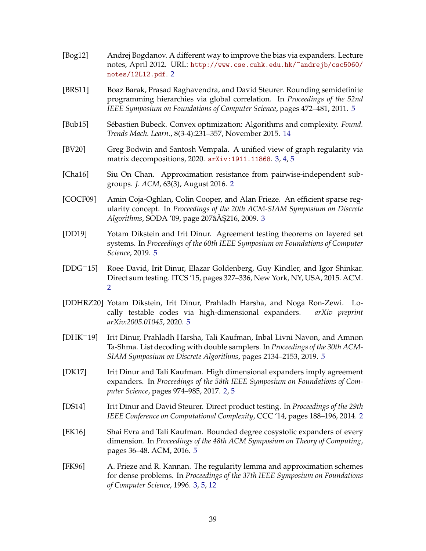- <span id="page-40-4"></span>[Bog12] Andrej Bogdanov. A different way to improve the bias via expanders. Lecture notes, April 2012. URL: [http://www.cse.cuhk.edu.hk/~andrejb/csc5060/](http://www.cse.cuhk.edu.hk/~andrejb/csc5060/notes/12L12.pdf) [notes/12L12.pdf](http://www.cse.cuhk.edu.hk/~andrejb/csc5060/notes/12L12.pdf). [2](#page-3-1)
- <span id="page-40-8"></span>[BRS11] Boaz Barak, Prasad Raghavendra, and David Steurer. Rounding semidefinite programming hierarchies via global correlation. In *Proceedings of the 52nd IEEE Symposium on Foundations of Computer Science*, pages 472–481, 2011. [5](#page-6-1)
- <span id="page-40-13"></span>[Bub15] Sébastien Bubeck. Convex optimization: Algorithms and complexity. *Found. Trends Mach. Learn.*, 8(3-4):231–357, November 2015. [14](#page-15-1)
- <span id="page-40-6"></span>[BV20] Greg Bodwin and Santosh Vempala. A unified view of graph regularity via matrix decompositions, 2020. [arXiv:1911.11868](http://arxiv.org/abs/1911.11868). [3,](#page-4-0) [4,](#page-5-1) [5](#page-6-1)
- <span id="page-40-2"></span>[Cha16] Siu On Chan. Approximation resistance from pairwise-independent subgroups. *J. ACM*, 63(3), August 2016. [2](#page-3-1)
- <span id="page-40-5"></span>[COCF09] Amin Coja-Oghlan, Colin Cooper, and Alan Frieze. An efficient sparse regularity concept. In *Proceedings of the 20th ACM-SIAM Symposium on Discrete Algorithms, SODA '09, page 207âA § 216, 2009. [3](#page-4-0)*
- <span id="page-40-12"></span>[DD19] Yotam Dikstein and Irit Dinur. Agreement testing theorems on layered set systems. In *Proceedings of the 60th IEEE Symposium on Foundations of Computer Science*, 2019. [5](#page-6-1)
- <span id="page-40-1"></span>[DDG+15] Roee David, Irit Dinur, Elazar Goldenberg, Guy Kindler, and Igor Shinkar. Direct sum testing. ITCS '15, pages 327–336, New York, NY, USA, 2015. ACM. [2](#page-3-1)
- <span id="page-40-11"></span>[DDHRZ20] Yotam Dikstein, Irit Dinur, Prahladh Harsha, and Noga Ron-Zewi. Locally testable codes via high-dimensional expanders. *arXiv preprint arXiv:2005.01045*, 2020. [5](#page-6-1)
- <span id="page-40-9"></span>[DHK+19] Irit Dinur, Prahladh Harsha, Tali Kaufman, Inbal Livni Navon, and Amnon Ta-Shma. List decoding with double samplers. In *Proceedings of the 30th ACM-SIAM Symposium on Discrete Algorithms*, pages 2134–2153, 2019. [5](#page-6-1)
- <span id="page-40-3"></span>[DK17] Irit Dinur and Tali Kaufman. High dimensional expanders imply agreement expanders. In *Proceedings of the 58th IEEE Symposium on Foundations of Computer Science*, pages 974–985, 2017. [2,](#page-3-1) [5](#page-6-1)
- <span id="page-40-0"></span>[DS14] Irit Dinur and David Steurer. Direct product testing. In *Proceedings of the 29th IEEE Conference on Computational Complexity*, CCC '14, pages 188–196, 2014. [2](#page-3-1)
- <span id="page-40-10"></span>[EK16] Shai Evra and Tali Kaufman. Bounded degree cosystolic expanders of every dimension. In *Proceedings of the 48th ACM Symposium on Theory of Computing*, pages 36–48. ACM, 2016. [5](#page-6-1)
- <span id="page-40-7"></span>[FK96] A. Frieze and R. Kannan. The regularity lemma and approximation schemes for dense problems. In *Proceedings of the 37th IEEE Symposium on Foundations of Computer Science*, 1996. [3,](#page-4-0) [5,](#page-6-1) [12](#page-13-3)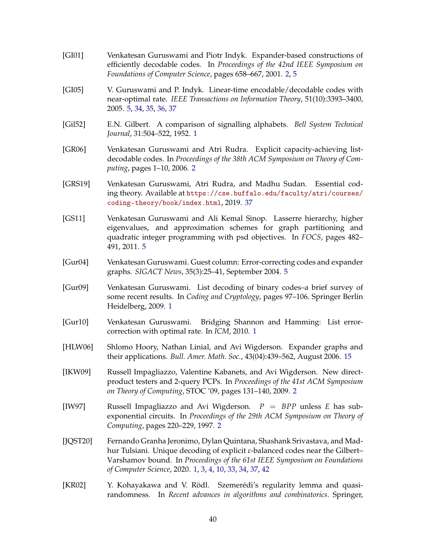- <span id="page-41-6"></span>[GI01] Venkatesan Guruswami and Piotr Indyk. Expander-based constructions of efficiently decodable codes. In *Proceedings of the 42nd IEEE Symposium on Foundations of Computer Science*, pages 658–667, 2001. [2,](#page-3-1) [5](#page-6-1)
- <span id="page-41-11"></span>[GI05] V. Guruswami and P. Indyk. Linear-time encodable/decodable codes with near-optimal rate. *IEEE Transactions on Information Theory*, 51(10):3393–3400, 2005. [5,](#page-6-1) [34,](#page-35-1) [35,](#page-36-0) [36,](#page-37-6) [37](#page-38-2)
- <span id="page-41-2"></span>[Gil52] E.N. Gilbert. A comparison of signalling alphabets. *Bell System Technical Journal*, 31:504–522, 1952. [1](#page-0-0)
- <span id="page-41-4"></span>[GR06] Venkatesan Guruswami and Atri Rudra. Explicit capacity-achieving listdecodable codes. In *Proceedings of the 38th ACM Symposium on Theory of Computing*, pages 1–10, 2006. [2](#page-3-1)
- <span id="page-41-13"></span>[GRS19] Venkatesan Guruswami, Atri Rudra, and Madhu Sudan. Essential coding theory. Available at [https://cse.buffalo.edu/faculty/atri/courses/](https://cse.buffalo.edu/faculty/atri/courses/coding-theory/book/index.html) [coding-theory/book/index.html](https://cse.buffalo.edu/faculty/atri/courses/coding-theory/book/index.html), 2019. [37](#page-38-2)
- <span id="page-41-9"></span>[GS11] Venkatesan Guruswami and Ali Kemal Sinop. Lasserre hierarchy, higher eigenvalues, and approximation schemes for graph partitioning and quadratic integer programming with psd objectives. In *FOCS*, pages 482– 491, 2011. [5](#page-6-1)
- <span id="page-41-10"></span>[Gur04] Venkatesan Guruswami. Guest column: Error-correcting codes and expander graphs. *SIGACT News*, 35(3):25–41, September 2004. [5](#page-6-1)
- <span id="page-41-1"></span>[Gur09] Venkatesan Guruswami. List decoding of binary codes–a brief survey of some recent results. In *Coding and Cryptology*, pages 97–106. Springer Berlin Heidelberg, 2009. [1](#page-0-0)
- <span id="page-41-0"></span>[Gur10] Venkatesan Guruswami. Bridging Shannon and Hamming: List errorcorrection with optimal rate. In *ICM*, 2010. [1](#page-0-0)
- <span id="page-41-12"></span>[HLW06] Shlomo Hoory, Nathan Linial, and Avi Wigderson. Expander graphs and their applications. *Bull. Amer. Math. Soc.*, 43(04):439–562, August 2006. [15](#page-16-3)
- <span id="page-41-7"></span>[IKW09] Russell Impagliazzo, Valentine Kabanets, and Avi Wigderson. New directproduct testers and 2-query PCPs. In *Proceedings of the 41st ACM Symposium on Theory of Computing*, STOC '09, pages 131–140, 2009. [2](#page-3-1)
- <span id="page-41-5"></span>[IW97] Russell Impagliazzo and Avi Wigderson. *P* = *BPP* unless *E* has subexponential circuits. In *Proceedings of the 29th ACM Symposium on Theory of Computing*, pages 220–229, 1997. [2](#page-3-1)
- <span id="page-41-3"></span>[JQST20] Fernando Granha Jeronimo, Dylan Quintana, Shashank Srivastava, and Madhur Tulsiani. Unique decoding of explicit *ε*-balanced codes near the Gilbert– Varshamov bound. In *Proceedings of the 61st IEEE Symposium on Foundations of Computer Science*, 2020. [1,](#page-0-0) [3,](#page-4-0) [4,](#page-5-1) [10,](#page-11-3) [33,](#page-34-1) [34,](#page-35-1) [37,](#page-38-2) [42](#page-43-3)
- <span id="page-41-8"></span>[KR02] Y. Kohayakawa and V. Rödl. Szemerédi's regularity lemma and quasirandomness. In *Recent advances in algorithms and combinatorics*. Springer,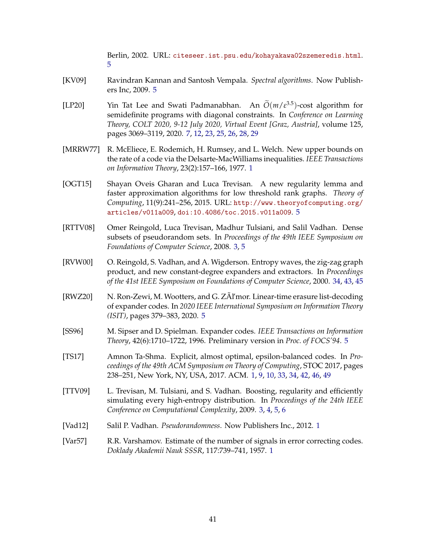Berlin, 2002. URL: <citeseer.ist.psu.edu/kohayakawa02szemeredis.html>. [5](#page-6-1)

- <span id="page-42-6"></span>[KV09] Ravindran Kannan and Santosh Vempala. *Spectral algorithms*. Now Publishers Inc, 2009. [5](#page-6-1)
- <span id="page-42-10"></span>[LP20] Yin Tat Lee and Swati Padmanabhan. An  $\tilde{O}(m/\varepsilon^{3.5})$ -cost algorithm for semidefinite programs with diagonal constraints. In *Conference on Learning Theory, COLT 2020, 9-12 July 2020, Virtual Event [Graz, Austria]*, volume 125, pages 3069–3119, 2020. [7,](#page-8-1) [12,](#page-13-3) [23,](#page-24-0) [25,](#page-26-3) [26,](#page-27-2) [28,](#page-29-2) [29](#page-30-1)
- <span id="page-42-3"></span>[MRRW77] R. McEliece, E. Rodemich, H. Rumsey, and L. Welch. New upper bounds on the rate of a code via the Delsarte-MacWilliams inequalities. *IEEE Transactions on Information Theory*, 23(2):157–166, 1977. [1](#page-0-0)
- <span id="page-42-7"></span>[OGT15] Shayan Oveis Gharan and Luca Trevisan. A new regularity lemma and faster approximation algorithms for low threshold rank graphs. *Theory of Computing*, 11(9):241–256, 2015. URL: [http://www.theoryofcomputing.org/](http://www.theoryofcomputing.org/articles/v011a009) [articles/v011a009](http://www.theoryofcomputing.org/articles/v011a009), [doi:10.4086/toc.2015.v011a009](http://dx.doi.org/10.4086/toc.2015.v011a009). [5](#page-6-1)
- <span id="page-42-4"></span>[RTTV08] Omer Reingold, Luca Trevisan, Madhur Tulsiani, and Salil Vadhan. Dense subsets of pseudorandom sets. In *Proceedings of the 49th IEEE Symposium on Foundations of Computer Science*, 2008. [3,](#page-4-0) [5](#page-6-1)
- <span id="page-42-11"></span>[RVW00] O. Reingold, S. Vadhan, and A. Wigderson. Entropy waves, the zig-zag graph product, and new constant-degree expanders and extractors. In *Proceedings of the 41st IEEE Symposium on Foundations of Computer Science*, 2000. [34,](#page-35-1) [43,](#page-44-0) [45](#page-46-2)
- <span id="page-42-8"></span>[RWZ20] N. Ron-Zewi, M. Wootters, and G. ZÃl'mor. Linear-time erasure list-decoding of expander codes. In *2020 IEEE International Symposium on Information Theory (ISIT)*, pages 379–383, 2020. [5](#page-6-1)
- <span id="page-42-9"></span>[SS96] M. Sipser and D. Spielman. Expander codes. *IEEE Transactions on Information Theory*, 42(6):1710–1722, 1996. Preliminary version in *Proc. of FOCS'94*. [5](#page-6-1)
- <span id="page-42-1"></span>[TS17] Amnon Ta-Shma. Explicit, almost optimal, epsilon-balanced codes. In *Proceedings of the 49th ACM Symposium on Theory of Computing*, STOC 2017, pages 238–251, New York, NY, USA, 2017. ACM. [1,](#page-0-0) [9,](#page-10-2) [10,](#page-11-3) [33,](#page-34-1) [34,](#page-35-1) [42,](#page-43-3) [46,](#page-47-1) [49](#page-50-0)
- <span id="page-42-5"></span>[TTV09] L. Trevisan, M. Tulsiani, and S. Vadhan. Boosting, regularity and efficiently simulating every high-entropy distribution. In *Proceedings of the 24th IEEE Conference on Computational Complexity*, 2009. [3,](#page-4-0) [4,](#page-5-1) [5,](#page-6-1) [6](#page-7-0)
- <span id="page-42-0"></span>[Vad12] Salil P. Vadhan. *Pseudorandomness*. Now Publishers Inc., 2012. [1](#page-0-0)
- <span id="page-42-2"></span>[Var57] R.R. Varshamov. Estimate of the number of signals in error correcting codes. *Doklady Akademii Nauk SSSR*, 117:739–741, 1957. [1](#page-0-0)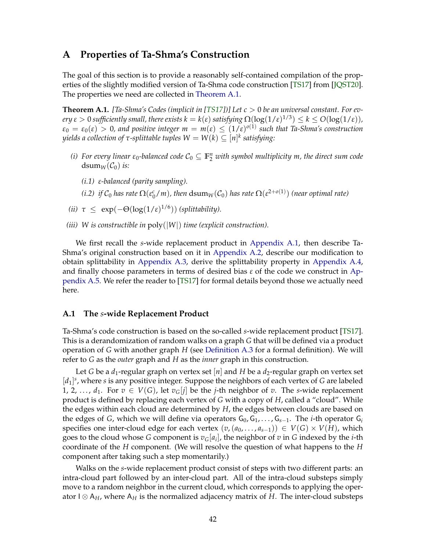## <span id="page-43-3"></span><span id="page-43-0"></span>**A Properties of Ta-Shma's Construction**

The goal of this section is to provide a reasonably self-contained compilation of the properties of the slightly modified version of Ta-Shma code construction [\[TS17\]](#page-42-1) from [\[JQST20\]](#page-41-3). The properties we need are collected in [Theorem A.1.](#page-43-2)

<span id="page-43-2"></span>**Theorem A.1.** [Ta-Shma's Codes (implicit in [\[TS17\]](#page-42-1))] Let  $c > 0$  be an universal constant. For ev $e$ ry  $\varepsilon >0$  sufficiently small, there exists  $k=k(\varepsilon)$  satisfying  $\Omega(\log(1/\varepsilon)^{1/3})\leq k\leq O(\log(1/\varepsilon))$ ,  $\varepsilon_0 = \varepsilon_0(\varepsilon) > 0$ , and positive integer  $m = m(\varepsilon) \leq (1/\varepsilon)^{o(1)}$  such that Ta-Shma's construction  $y$ ields a collection of  $\tau$ -splittable tuples  $W=W(k)\subseteq [n]^k$  satisfying:

- *(i)* For every linear  $\varepsilon_0$ -balanced code  $\mathcal{C}_0 \subseteq \mathbb{F}_2^n$  with symbol multiplicity m, the direct sum code dsum<sub>*W*</sub>( $C_0$ ) *is:* 
	- *(i.1) ε-balanced (parity sampling).*
	- *(i.2) if*  $C_0$  *has rate*  $\Omega(\epsilon_0^c/m)$ *, then*  $dsum_W(C_0)$  *has rate*  $\Omega(\epsilon^{2+o(1)})$  *(near optimal rate)*
- (*ii*)  $\tau \leq \exp(-\Theta(\log(1/\epsilon)^{1/6}))$  *(splittability).*
- *(iii) W is constructible in* poly(|*W*|) *time (explicit construction).*

We first recall the *s*-wide replacement product in [Appendix A.1,](#page-43-1) then describe Ta-Shma's original construction based on it in [Appendix A.2,](#page-46-0) describe our modification to obtain splittability in [Appendix A.3,](#page-46-1) derive the splittability property in [Appendix A.4,](#page-48-0) and finally choose parameters in terms of desired bias *ε* of the code we construct in [Ap](#page-49-0)[pendix A.5.](#page-49-0) We refer the reader to [\[TS17\]](#page-42-1) for formal details beyond those we actually need here.

#### <span id="page-43-1"></span>**A.1 The** *s***-wide Replacement Product**

Ta-Shma's code construction is based on the so-called *s*-wide replacement product [\[TS17\]](#page-42-1). This is a derandomization of random walks on a graph *G* that will be defined via a product operation of *G* with another graph *H* (see [Definition A.3](#page-44-1) for a formal definition). We will refer to *G* as the *outer* graph and *H* as the *inner* graph in this construction.

Let *G* be a  $d_1$ -regular graph on vertex set [n] and H be a  $d_2$ -regular graph on vertex set [*d*1] *s* , where *s* is any positive integer. Suppose the neighbors of each vertex of *G* are labeled 1, 2, ...,  $d_1$ . For  $v \in V(G)$ , let  $v_G[j]$  be the *j*-th neighbor of *v*. The *s*-wide replacement product is defined by replacing each vertex of *G* with a copy of *H*, called a "cloud". While the edges within each cloud are determined by *H*, the edges between clouds are based on the edges of *G*, which we will define via operators  $G_0, G_1, \ldots, G_{s-1}$ . The *i*-th operator  $G_i$ specifies one inter-cloud edge for each vertex  $(v, (a_0, \ldots, a_{s-1})) \in V(G) \times V(H)$ , which goes to the cloud whose *G* component is  $v_G[a_i]$ , the neighbor of  $v$  in *G* indexed by the *i*-th coordinate of the *H* component. (We will resolve the question of what happens to the *H* component after taking such a step momentarily.)

Walks on the *s*-wide replacement product consist of steps with two different parts: an intra-cloud part followed by an inter-cloud part. All of the intra-cloud substeps simply move to a random neighbor in the current cloud, which corresponds to applying the operator I ⊗ A*H*, where A*<sup>H</sup>* is the normalized adjacency matrix of *H*. The inter-cloud substeps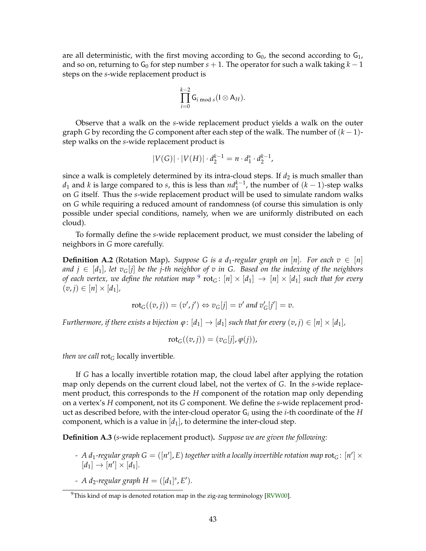<span id="page-44-0"></span>are all deterministic, with the first moving according to  $G_0$ , the second according to  $G_1$ , and so on, returning to  $G_0$  for step number  $s + 1$ . The operator for such a walk taking  $k - 1$ steps on the *s*-wide replacement product is

$$
\prod_{i=0}^{k-2} \mathsf{G}_{i \bmod s}(\mathsf{I} \otimes \mathsf{A}_H).
$$

Observe that a walk on the *s*-wide replacement product yields a walk on the outer graph *G* by recording the *G* component after each step of the walk. The number of (*k* − 1) step walks on the *s*-wide replacement product is

$$
|V(G)| \cdot |V(H)| \cdot d_2^{k-1} = n \cdot d_1^s \cdot d_2^{k-1},
$$

since a walk is completely determined by its intra-cloud steps. If  $d_2$  is much smaller than *d*<sub>1</sub> and *k* is large compared to *s*, this is less than  $nd_1^{k-1}$ , the number of  $(k − 1)$ -step walks on *G* itself. Thus the *s*-wide replacement product will be used to simulate random walks on *G* while requiring a reduced amount of randomness (of course this simulation is only possible under special conditions, namely, when we are uniformly distributed on each cloud).

To formally define the *s*-wide replacement product, we must consider the labeling of neighbors in *G* more carefully.

**Definition A.2** (Rotation Map). *Suppose G is a d*<sub>1</sub>-regular graph on [n]. For each  $v \in [n]$ *and*  $j \in [d_1]$ , let  $v_G[j]$  be the *j*-th neighbor of v in G. Based on the indexing of the neighbors *of each vertex, we define the rotation map*  $^9$  $^9$   $\rm rot_G\colon [n]\times[d_1]\to [n]\times[d_1]$  *such that for every*  $(v, j) \in [n] \times [d_1]$ 

$$
rot_G((v,j)) = (v',j') \Leftrightarrow v_G[j] = v' \text{ and } v'_G[j'] = v.
$$

*Furthermore, if there exists a bijection*  $\varphi$ :  $[d_1] \rightarrow [d_1]$  *such that for every*  $(v, j) \in [n] \times [d_1]$ *,* 

$$
rot_G((v,j)) = (v_G[j], \varphi(j)),
$$

*then we call* rot*<sup>G</sup>* locally invertible*.*

If *G* has a locally invertible rotation map, the cloud label after applying the rotation map only depends on the current cloud label, not the vertex of *G*. In the *s*-wide replacement product, this corresponds to the *H* component of the rotation map only depending on a vertex's *H* component, not its *G* component. We define the *s*-wide replacement product as described before, with the inter-cloud operator G*<sup>i</sup>* using the *i*-th coordinate of the *H* component, which is a value in  $[d_1]$ , to determine the inter-cloud step.

<span id="page-44-1"></span>**Definition A.3** (*s*-wide replacement product)**.** *Suppose we are given the following:*

- A d<sub>1</sub>-regular graph  $G = ([n'], E)$  together with a locally invertible rotation map  $\mathrm{rot}_G \colon [n'] \times$  $[d_1] \rightarrow [n'] \times [d_1].$
- *- A d*<sub>2</sub>*-regular graph*  $H = ([d_1]^s, E').$

<span id="page-44-2"></span><sup>&</sup>lt;sup>9</sup>This kind of map is denoted rotation map in the zig-zag terminology [\[RVW00\]](#page-42-11).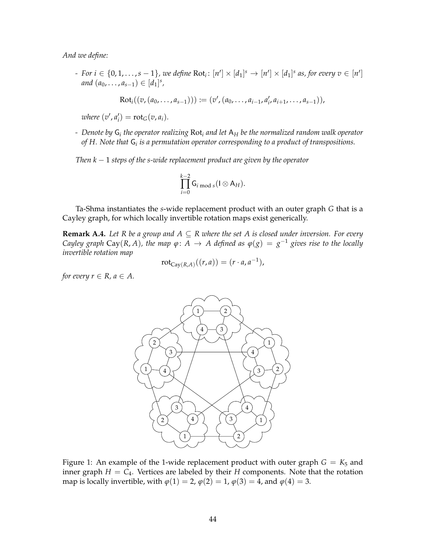*And we define:*

*- For i* ∈ {0, 1, . . . , *s* − 1}, we define Rot<sub>i</sub>:  $[n'] \times [d_1]^s$   $\rightarrow$   $[n'] \times [d_1]^s$  as, for every  $v \in [n']$ *and*  $(a_0, \ldots, a_{s-1}) \in [d_1]^s$ ,

$$
Rot_i((v, (a_0, ..., a_{s-1}))) := (v', (a_0, ..., a_{i-1}, a'_i, a_{i+1}, ..., a_{s-1})),
$$

 $where (v', a'_i) = rot_G(v, a_i).$ 

*- Denote by* G*<sup>i</sup> the operator realizing* Rot*<sup>i</sup> and let* A*<sup>H</sup> be the normalized random walk operator of H. Note that* G*<sup>i</sup> is a permutation operator corresponding to a product of transpositions.*

*Then k* − 1 *steps of the s-wide replacement product are given by the operator*

$$
\prod_{i=0}^{k-2} \mathsf{G}_{i \bmod s}(\mathsf{I} \otimes \mathsf{A}_H).
$$

Ta-Shma instantiates the *s*-wide replacement product with an outer graph *G* that is a Cayley graph, for which locally invertible rotation maps exist generically.

**Remark A.4.** Let R be a group and  $A \subseteq R$  where the set A is closed under inversion. For every *Cayley graph* Cay(*R*, *A*), the map  $\varphi$ : *A*  $\rightarrow$  *A* defined as  $\varphi$ (*g*) = *g*<sup>-1</sup> *gives rise to the locally invertible rotation map*

$$
rot_{Cay(R,A)}((r,a)) = (r \cdot a, a^{-1}),
$$

*for every*  $r \in R$ *, a*  $\in A$ *.* 



Figure 1: An example of the 1-wide replacement product with outer graph  $G = K_5$  and inner graph  $H = C_4$ . Vertices are labeled by their *H* components. Note that the rotation map is locally invertible, with  $\varphi(1) = 2$ ,  $\varphi(2) = 1$ ,  $\varphi(3) = 4$ , and  $\varphi(4) = 3$ .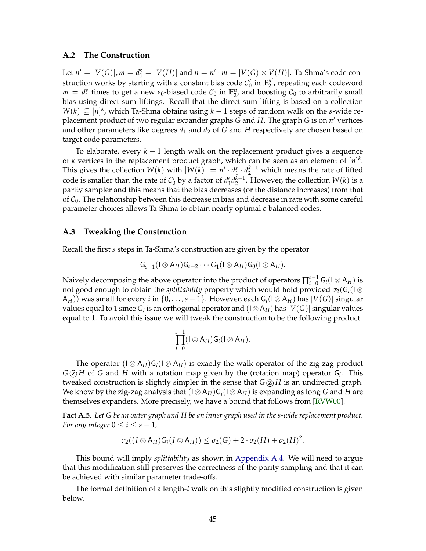#### <span id="page-46-2"></span><span id="page-46-0"></span>**A.2 The Construction**

Let  $n' = |V(G)|$ ,  $m = d_1^s = |V(H)|$  and  $n = n' \cdot m = |V(G) \times V(H)|$ . Ta-Shma's code construction works by starting with a constant bias code  $C'_0$  in  $\mathbb{F}_2^{n'}$  $n^{\prime\prime}$ , repeating each codeword  $m = d_1^s$  times to get a new  $\varepsilon_0$ -biased code  $C_0$  in  $\mathbb{F}_2^n$ , and boosting  $C_0$  to arbitrarily small bias using direct sum liftings. Recall that the direct sum lifting is based on a collection *W*(*k*) ⊆ [*n*]<sup>*k*</sup>, which Ta-Shma obtains using *k* − 1 steps of random walk on the *s*-wide replacement product of two regular expander graphs *G* and *H*. The graph *G* is on *n'* vertices and other parameters like degrees  $d_1$  and  $d_2$  of G and H respectively are chosen based on target code parameters.

To elaborate, every *k* − 1 length walk on the replacement product gives a sequence of *k* vertices in the replacement product graph, which can be seen as an element of  $[n]^k$ . This gives the collection  $W(k)$  with  $|W(k)| = n' \cdot d_1^s \cdot d_2^{k-1}$  which means the rate of lifted code is smaller than the rate of  $C'_0$  by a factor of  $d_1^s d_2^{k-1}$ . However, the collection  $W(k)$  is a parity sampler and this means that the bias decreases (or the distance increases) from that of  $C_0$ . The relationship between this decrease in bias and decrease in rate with some careful parameter choices allows Ta-Shma to obtain nearly optimal *ε*-balanced codes.

#### <span id="page-46-1"></span>**A.3 Tweaking the Construction**

Recall the first *s* steps in Ta-Shma's construction are given by the operator

$$
\mathsf{G}_{s-1}(\mathsf{I} \otimes \mathsf{A}_H)\mathsf{G}_{s-2}\cdots \mathsf{G}_1(\mathsf{I} \otimes \mathsf{A}_H)\mathsf{G}_0(\mathsf{I} \otimes \mathsf{A}_H).
$$

Naively decomposing the above operator into the product of operators  $\prod_{i=0}^{s-1} \mathsf{G}_i(\mathsf{I} \otimes \mathsf{A}_H)$  is not good enough to obtain the *splittability* property which would hold provided *σ*2(G*i*(I ⊗  $A_H$ )) was small for every *i* in  $\{0,\ldots,s-1\}$ . However, each  $G_i(1\otimes A_H)$  has  $|V(G)|$  singular values equal to 1 since  $G_i$  is an orthogonal operator and  $(\mathsf{I}\otimes \mathsf{A}_H)$  has  $|V(G)|$  singular values equal to 1. To avoid this issue we will tweak the construction to be the following product

$$
\prod_{i=0}^{s-1}(I\otimes A_H)G_i(I\otimes A_H).
$$

The operator  $(I \otimes A_H)G_i(I \otimes A_H)$  is exactly the walk operator of the zig-zag product  $G \textcircled{z} H$  of *G* and *H* with a rotation map given by the (rotation map) operator  $G_i$ . This tweaked construction is slightly simpler in the sense that  $G(2)$  *H* is an undirected graph. We know by the zig-zag analysis that  $(I \otimes A_H)G_i(I \otimes A_H)$  is expanding as long *G* and *H* are themselves expanders. More precisely, we have a bound that follows from [\[RVW00\]](#page-42-11).

<span id="page-46-3"></span>**Fact A.5.** *Let G be an outer graph and H be an inner graph used in the s-wide replacement product. For any integer*  $0 \le i \le s - 1$ *,* 

$$
\sigma_2((I\otimes A_H)G_i(I\otimes A_H))\leq \sigma_2(G)+2\cdot \sigma_2(H)+\sigma_2(H)^2.
$$

This bound will imply *splittability* as shown in [Appendix A.4.](#page-48-0) We will need to argue that this modification still preserves the correctness of the parity sampling and that it can be achieved with similar parameter trade-offs.

The formal definition of a length-*t* walk on this slightly modified construction is given below.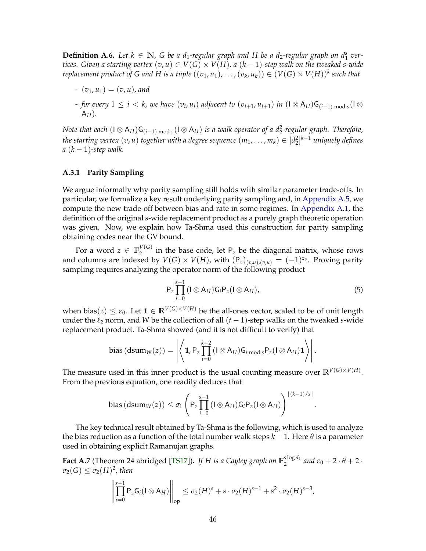<span id="page-47-1"></span>**Definition A.6.** Let  $k \in \mathbb{N}$ , G be a d<sub>1</sub>-regular graph and H be a d<sub>2</sub>-regular graph on d<sup>s</sup><sub>1</sub> ver*tices. Given a starting vertex*  $(v, u) \in V(G) \times V(H)$ , a  $(k - 1)$ -step walk on the tweaked s-wide  $f$  replacement product of G and H is a tuple  $((v_1,u_1),\ldots,(v_k,u_k))\in (V(G)\times V(H))^k$  such that

- *-*  $(v_1, u_1) = (v, u)$ , and
- *− for every*  $1 ≤ i < k$ , we have  $(v_i, u_i)$  adjacent to  $(v_{i+1}, u_{i+1})$  in  $(I ⊗ A_H)G_{(i-1) \bmod s}(I ⊗ I)$ A*H*)*.*

*Note that each*  $(\text{I} \otimes A_H)G_{(i-1) \text{ mod } s}(\text{I} \otimes A_H)$  *is a walk operator of a d*<sup>2</sup>-regular graph. *Therefore, the starting vertex*  $(v, u)$  *together with a degree sequence*  $(m_1, \ldots, m_k) \in [d_2^2]^{k-1}$  *uniquely defines*  $a (k-1)$ -step walk.

#### <span id="page-47-0"></span>**A.3.1 Parity Sampling**

We argue informally why parity sampling still holds with similar parameter trade-offs. In particular, we formalize a key result underlying parity sampling and, in [Appendix A.5,](#page-49-0) we compute the new trade-off between bias and rate in some regimes. In [Appendix A.1,](#page-43-1) the definition of the original *s*-wide replacement product as a purely graph theoretic operation was given. Now, we explain how Ta-Shma used this construction for parity sampling obtaining codes near the GV bound.

For a word  $z \in \mathbb{F}_2^{V(G)}$  $\frac{1}{2}$  in the base code, let P<sub>z</sub> be the diagonal matrix, whose rows and columns are indexed by  $V(G) \times V(H)$ , with  $(P_z)_{(v,u),(v,u)} = (-1)^{z_v}$ . Proving parity sampling requires analyzing the operator norm of the following product

$$
P_z \prod_{i=0}^{s-1} (I \otimes A_H) G_i P_z (I \otimes A_H), \qquad (5)
$$

.

when bias( $z$ )  $\leq \varepsilon_0$ . Let  $\mathbf{1} \in \mathbb{R}^{V(G)\times V(H)}$  be the all-ones vector, scaled to be of unit length under the  $\ell_2$  norm, and *W* be the collection of all  $(t - 1)$ -step walks on the tweaked *s*-wide replacement product. Ta-Shma showed (and it is not difficult to verify) that

bias 
$$
(dsum_W(z)) = \left| \left\langle \mathbf{1}, P_z \prod_{i=0}^{k-2} (I \otimes A_H) G_{i \bmod s} P_z (I \otimes A_H) \mathbf{1} \right\rangle \right|.
$$

The measure used in this inner product is the usual counting measure over  $\mathbb{R}^{V(G)\times V(H)}$ . From the previous equation, one readily deduces that

bias 
$$
(dsum_W(z)) \leq \sigma_1 \left( P_z \prod_{i=0}^{s-1} (I \otimes A_H) G_i P_z (I \otimes A_H) \right)^{\lfloor (k-1)/s \rfloor}
$$

The key technical result obtained by Ta-Shma is the following, which is used to analyze the bias reduction as a function of the total number walk steps  $k - 1$ . Here  $\theta$  is a parameter used in obtaining explicit Ramanujan graphs.

<span id="page-47-2"></span>**Fact A.7** (Theorem 24 abridged [\[TS17\]](#page-42-1)). If H is a Cayley graph on  $\mathbb{F}_2^{\text{slog}d_1}$  $\frac{\log u_1}{2}$  and  $\varepsilon_0 + 2 \cdot \theta + 2 \cdot$  $\sigma_2(G) \leq \sigma_2(H)^2$ , then

$$
\left\|\prod_{i=0}^{s-1} P_z G_i (I \otimes A_H)\right\|_{op} \leq \sigma_2(H)^s + s \cdot \sigma_2(H)^{s-1} + s^2 \cdot \sigma_2(H)^{s-3},
$$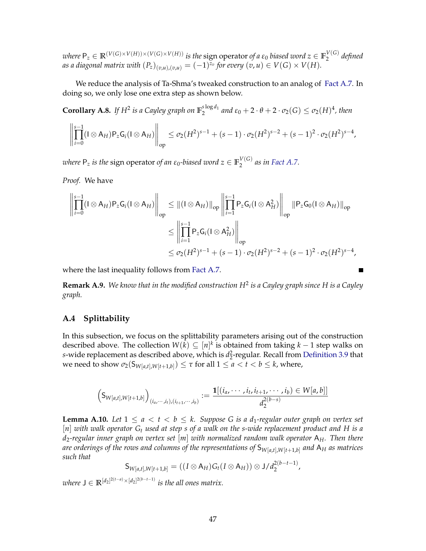$\mathcal{W}$  where  $\mathsf{P}_z\in\mathbb{R}^{(V(G)\times V(H))\times (V(G)\times V(H))}$  is the sign operator of a  $\varepsilon_0$  biased word  $z\in\mathbb{F}_2^{V(G)}$ 2 *defined as a diagonal matrix with*  $(P_z)_{(v,u),(v,u)} = (-1)^{z_v}$  *for every*  $(v,u) \in V(G) \times V(H)$ *.* 

We reduce the analysis of Ta-Shma's tweaked construction to an analog of [Fact A.7.](#page-47-2) In doing so, we only lose one extra step as shown below.

<span id="page-48-2"></span>**Corollary A.8.** If  $H^2$  is a Cayley graph on  $\mathbb{F}_2^{\text{s log } d_1}$  $\frac{\log a_1}{2}$  and  $\varepsilon_0 + 2 \cdot \theta + 2 \cdot \sigma_2(G) \leq \sigma_2(H)^4$ , then

$$
\left\| \prod_{i=0}^{s-1} (I \otimes A_H) P_z G_i (I \otimes A_H) \right\|_{op} \leq \sigma_2 (H^2)^{s-1} + (s-1) \cdot \sigma_2 (H^2)^{s-2} + (s-1)^2 \cdot \sigma_2 (H^2)^{s-4},
$$

*where*  $\mathsf{P}_z$  *is the sign operator of an*  $\varepsilon_0$ *-biased word*  $z \in \mathbb{F}_2^{V(G)}$  $\int_{2}^{V(G)}$  as in [Fact A.7.](#page-47-2)

*Proof.* We have

$$
\left\| \prod_{i=0}^{s-1} (I \otimes A_H) P_z G_i (I \otimes A_H) \right\|_{op} \leq \| (I \otimes A_H) \|_{op} \left\| \prod_{i=1}^{s-1} P_z G_i (I \otimes A_H^2) \right\|_{op} \| P_z G_0 (I \otimes A_H) \|_{op}
$$
  

$$
\leq \left\| \prod_{i=1}^{s-1} P_z G_i (I \otimes A_H^2) \right\|_{op}
$$
  

$$
\leq \sigma_2 (H^2)^{s-1} + (s-1) \cdot \sigma_2 (H^2)^{s-2} + (s-1)^2 \cdot \sigma_2 (H^2)^{s-4},
$$

where the last inequality follows from [Fact A.7.](#page-47-2)

**Remark A.9.** *We know that in the modified construction H*<sup>2</sup> *is a Cayley graph since H is a Cayley graph.*

 $\blacksquare$ 

#### <span id="page-48-0"></span>**A.4 Splittability**

In this subsection, we focus on the splittability parameters arising out of the construction described above. The collection  $W(k) \subseteq [n]^k$  is obtained from taking  $k-1$  step walks on *s*-wide replacement as described above, which is  $d_2^2$ -regular. Recall from [Definition 3.9](#page-11-1) that  $\mathsf{w}$ e need to show  $\sigma_2(\mathsf{S}_{W[a,t],W[t+1,b]}) \leq \tau$  for all  $1 \leq a < t < b \leq k$ , where,

$$
\left(S_{W[a,t],W[t+1,b]}\right)_{(i_a,\dots,i_t),(i_{t+1},\dots,i_b)} := \frac{\mathbf{1}[(i_a,\dots,i_t,i_{t+1},\dots,i_b) \in W[a,b]]}{d_2^{2(b-s)}}
$$

<span id="page-48-1"></span>**Lemma A.10.** *Let*  $1 \le a < t < b \le k$ . Suppose G is a  $d_1$ -regular outer graph on vertex set [*n*] *with walk operator G<sup>t</sup> used at step s of a walk on the s-wide replacement product and H is a d*2*-regular inner graph on vertex set* [*m*] *with normalized random walk operator* A*H. Then there are orderings of the rows and columns of the representations of* S*W*[*a*,*t*],*W*[*t*+1,*b*] *and* A*<sup>H</sup> as matrices such that*

$$
\mathsf{S}_{W[a,t],W[t+1,b]} = ((I \otimes \mathsf{A}_H)G_t(I \otimes \mathsf{A}_H)) \otimes \mathsf{J}/d_2^{2(b-t-1)},
$$

 $\mathbf{w}$ *here*  $\mathbf{J} \in \mathbb{R}^{[d_2]^{2(t-a)} \times [d_2]^{2(b-t-1)}}$  is the all ones matrix.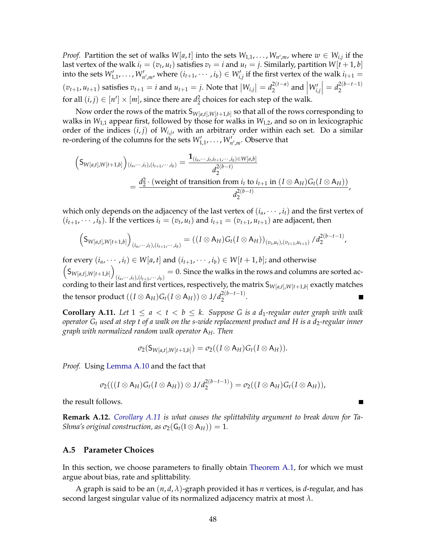*Proof.* Partition the set of walks  $W[a, t]$  into the sets  $W_{1,1}, \ldots, W_{n',m}$ , where  $w \in W_{i,j}$  if the last vertex of the walk  $i_t = (v_t, u_t)$  satisfies  $v_t = i$  and  $u_t = j$ . Similarly, partition  $W[t + 1, b]$ into the sets  $W'_{1,1}, \ldots, W'_{n',m}$ , where  $(i_{t+1}, \cdots, i_b) \in W'_{i,j}$  if the first vertex of the walk  $i_{t+1} =$  $(v_{t+1}, u_{t+1})$  satisfies  $v_{t+1} = i$  and  $u_{t+1} = j$ . Note that  $|W_{i,j}| = d_2^{2(t-a)}$  $\int_{2}^{2(t-a)}$  and  $\left|W'_{i,j}\right|$  $= d_2^{2(b-t-1)}$ 2 for all  $(i, j) \in [n'] \times [m]$ , since there are  $d_2^2$  choices for each step of the walk.

Now order the rows of the matrix  $\mathsf{S}_{W[a,t],W[t+1,b]}$  so that all of the rows corresponding to walks in  $W_{1,1}$  appear first, followed by those for walks in  $W_{1,2}$ , and so on in lexicographic order of the indices (*i*, *j*) of *Wi*,*<sup>j</sup>* , with an arbitrary order within each set. Do a similar re-ordering of the columns for the sets  $W'_{1,1}, \ldots, W'_{n',m}$ . Observe that

$$
\left(S_{W[a,t],W[t+1,b]}\right)_{(i_a,\cdots,i_t),(i_{t+1},\cdots,i_b)} = \frac{\mathbf{1}_{(i_a,\cdots,i_t,i_{t+1},\cdots,i_b)\in W[a,b]}}{d_2^{2(b-t)}} \n= \frac{d_2^2 \cdot (\text{weight of transition from } i_t \text{ to } i_{t+1} \text{ in } (I \otimes A_H)G_t(I \otimes A_H))}{d_2^{2(b-t)}},
$$

which only depends on the adjacency of the last vertex of  $(i_a, \dots, i_t)$  and the first vertex of  $(i_{t+1}, \dots, i_b)$ . If the vertices  $i_t = (v_t, u_t)$  and  $i_{t+1} = (v_{t+1}, u_{t+1})$  are adjacent, then

$$
\left(\mathsf{S}_{W[a,t],W[t+1,b]}\right)_{(i_a,\cdots,i_t),(i_{t+1},\cdots,i_b)} = \left((I \otimes A_H)G_t(I \otimes A_H)\right)_{(v_t,u_t),(v_{t+1},u_{t+1})}/d_2^{2(b-t-1)},
$$

for every  $(i_a, \dots, i_t) \in W[a, t]$  and  $(i_{t+1}, \dots, i_b) \in W[t+1, b]$ ; and otherwise  $(S_{W[a,t],W[t+1,b]})$  $(i_a, \dots, i_t)$ ,  $(i_{t+1}, \dots, i_b)$  = 0. Since the walks in the rows and columns are sorted according to their last and first vertices, respectively, the matrix  $\mathsf{S}_{W[a,t],W[t+1,b]}$  exactly matches the tensor product  $((I \otimes {\mathsf{A}}_H) \mathsf{G}_t(I \otimes {\mathsf{A}}_H)) \otimes \mathsf{J} / d_2^{2(b-t-1)}$  $2^{(\nu - \nu + 1)}$ . ۰

<span id="page-49-1"></span>**Corollary A.11.** Let  $1 \le a < t < b \le k$ . Suppose G is a d<sub>1</sub>-regular outer graph with walk *operator*  $G_t$  *used at step t of a walk on the s-wide replacement product and H is a d<sub>2</sub>-regular inner graph with normalized random walk operator* A*H. Then*

$$
\sigma_2(S_{W[a,t],W[t+1,b]})=\sigma_2((I\otimes A_H)G_t(I\otimes A_H)).
$$

*Proof.* Using [Lemma A.10](#page-48-1) and the fact that

$$
\sigma_2(((I\otimes A_H)G_t(I\otimes A_H))\otimes J/d_2^{2(b-t-1)})=\sigma_2((I\otimes A_H)G_t(I\otimes A_H)),
$$

the result follows.

**Remark A.12.** *[Corollary A.11](#page-49-1) is what causes the splittability argument to break down for Ta-Shma's original construction, as*  $\sigma_2(G_t(I \otimes A_H)) = 1$ .

#### <span id="page-49-0"></span>**A.5 Parameter Choices**

In this section, we choose parameters to finally obtain [Theorem A.1,](#page-43-2) for which we must argue about bias, rate and splittability.

A graph is said to be an (*n*, *d*, *λ*)-graph provided it has *n* vertices, is *d*-regular, and has second largest singular value of its normalized adjacency matrix at most *λ*.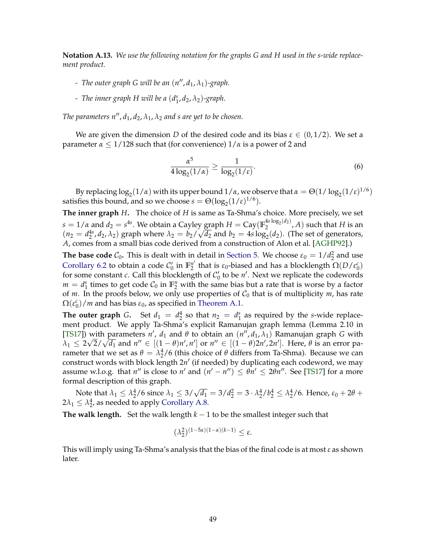<span id="page-50-0"></span>**Notation A.13.** *We use the following notation for the graphs G and H used in the s-wide replacement product.*

- *- The outer graph G will be an*  $(n'', d_1, \lambda_1)$ *-graph.*
- *- The inner graph H will be a* (*d s* 1 , *d*2, *λ*2)*-graph.*

*The parameters n'',*  $d_1$ ,  $d_2$ ,  $\lambda_1$ ,  $\lambda_2$  and s are yet to be chosen.

We are given the dimension *D* of the desired code and its bias  $\varepsilon \in (0,1/2)$ . We set a parameter  $\alpha \leq 1/128$  such that (for convenience)  $1/\alpha$  is a power of 2 and

<span id="page-50-1"></span>
$$
\frac{\alpha^5}{4\log_2(1/\alpha)} \ge \frac{1}{\log_2(1/\varepsilon)}.\tag{6}
$$

By replacing  $\log_2(1/\alpha)$  with its upper bound  $1/\alpha$ , we observe that  $\alpha = \Theta(1/\log_2(1/\epsilon)^{1/6})$ satisfies this bound, and so we choose  $s = \Theta(\log_2(1/\epsilon)^{1/6})$ .

**The inner graph** *H***.** The choice of *H* is same as Ta-Shma's choice. More precisely, we set  $s = 1/\alpha$  and  $d_2 = s^{4s}$ . We obtain a Cayley graph  $H = \text{Cay}(\mathbb{F}_2^{4s\log_2(d_2)})$  $\binom{48}{2}$   $\binom{42}{2}$ , A) such that H is an  $(n_2 = d_2^{4s}, d_2, \lambda_2)$  graph where  $\lambda_2 = b_2/$ √  $\overline{d_2}$  and  $b_2 = 4s \log_2(d_2)$ . (The set of generators, *A*, comes from a small bias code derived from a construction of Alon et al. [\[AGHP92\]](#page-39-7).)

**The base code**  $C_0$ . This is dealt with in detail in [Section 5.](#page-31-0) We choose  $\varepsilon_0 = 1/d_2^2$  and use [Corollary 6.2](#page-37-1) to obtain a code  $C'_0$  in  $\mathbb{F}_2^{n'}$  $\frac{n'}{2}$  that is *ε*<sub>0</sub>-biased and has a blocklength  $\Omega(D/\varepsilon_0^c)$ for some constant *c*. Call this blocklength of  $C'_0$  to be *n'*. Next we replicate the codewords  $m = d_1^s$  times to get code  $C_0$  in  $\mathbb{F}_2^n$  with the same bias but a rate that is worse by a factor of *m*. In the proofs below, we only use properties of  $C_0$  that is of multiplicity *m*, has rate  $\Omega(\varepsilon_0^c)/m$  and has bias  $\varepsilon_0$ , as specified in [Theorem A.1.](#page-43-2)

**The outer graph** *G***.** Set  $d_1 = d_2^4$  so that  $n_2 = d_1^s$  as required by the *s*-wide replacement product. We apply Ta-Shma's explicit Ramanujan graph lemma (Lemma 2.10 in [\[TS17\]](#page-42-1)) with parameters *n'*,  $d_1$  and  $\theta$  to obtain an  $(n''$ ,  $d_1$ ,  $\lambda_1$ ) Ramanujan graph *G* with  $\lambda_1 \leq 2\sqrt{2}/\sqrt{d_1}$  and *n*<sup>*n*</sup>  $\in$   $[(1 - \theta)n', n']$  or  $n'' \in$   $[(1 - \theta)2n', 2n']$ . Here,  $\theta$  is an error parameter that we set as  $θ = λ<sub>2</sub><sup>4</sup>/6$  (this choice of  $θ$  differs from Ta-Shma). Because we can construct words with block length 2n' (if needed) by duplicating each codeword, we may assume w.l.o.g. that  $n''$  is close to  $n'$  and  $(n' - n'') \leq \theta n' \leq 2\theta n''$ . See [\[TS17\]](#page-42-1) for a more formal description of this graph.

Note that  $\lambda_1 \leq \lambda_2^4/6$  since  $\lambda_1 \leq 3/\sqrt{d_1} = 3/d_2^2 = 3 \cdot \lambda_2^4/b_2^4 \leq \lambda_2^4/6$ . Hence,  $\varepsilon_0 + 2\theta +$  $2\lambda_1 \leq \lambda_2^4$ , as needed to apply [Corollary A.8.](#page-48-2)

**The walk length.** Set the walk length  $k - 1$  to be the smallest integer such that

$$
(\lambda_2^2)^{(1-5\alpha)(1-\alpha)(k-1)} \leq \varepsilon.
$$

This will imply using Ta-Shma's analysis that the bias of the final code is at most *ε* as shown later.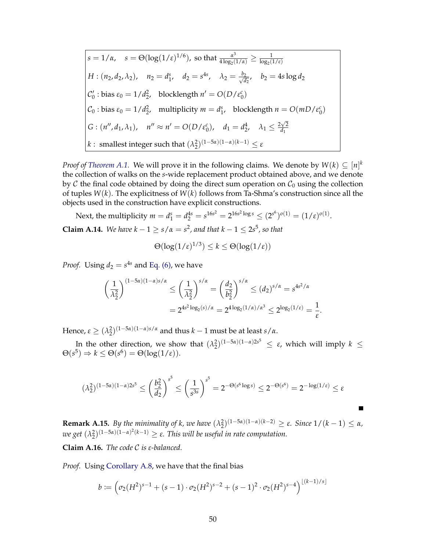$$
s = 1/\alpha, \quad s = \Theta(\log(1/\epsilon)^{1/6}), \text{ so that } \frac{\alpha^3}{4\log_2(1/\alpha)} \ge \frac{1}{\log_2(1/\epsilon)}
$$
  
\n
$$
H: (n_2, d_2, \lambda_2), \quad n_2 = d_1^s, \quad d_2 = s^{4s}, \quad \lambda_2 = \frac{b_2}{\sqrt{d_2}}, \quad b_2 = 4s \log d_2
$$
  
\n
$$
C'_0: \text{bias } \epsilon_0 = 1/d_2^2, \quad \text{blocklength } n' = O(D/\epsilon_0^c)
$$
  
\n
$$
C_0: \text{bias } \epsilon_0 = 1/d_2^2, \quad \text{multiplicity } m = d_1^s, \quad \text{blocklength } n = O(mD/\epsilon_0^c)
$$
  
\n
$$
G: (n'', d_1, \lambda_1), \quad n'' \approx n' = O(D/\epsilon_0^c), \quad d_1 = d_2^4, \quad \lambda_1 \le \frac{2\sqrt{2}}{d_1}
$$
  
\n
$$
k: \text{ smallest integer such that } (\lambda_2^2)^{(1-5\alpha)(1-\alpha)(k-1)} \le \epsilon
$$

*Proof of [Theorem A.1.](#page-43-2)* We will prove it in the following claims. We denote by  $W(k) \subseteq [n]^k$ the collection of walks on the *s*-wide replacement product obtained above, and we denote by C the final code obtained by doing the direct sum operation on  $\mathcal{C}_0$  using the collection of tuples *W*(*k*). The explicitness of *W*(*k*) follows from Ta-Shma's construction since all the objects used in the construction have explicit constructions.

<span id="page-51-0"></span>Next, the multiplicity  $m = d_1^s = d_2^{4s} = s^{16s^2} = 2^{16s^2 \log s} \le (2^{s^6})^{o(1)} = (1/\epsilon)^{o(1)}$ . **Claim A.14.** *We have*  $k - 1 \ge s/\alpha = s^2$ , and that  $k - 1 \le 2s^5$ , so that

$$
\Theta(\log(1/\varepsilon)^{1/3}) \le k \le \Theta(\log(1/\varepsilon))
$$

*Proof.* Using  $d_2 = s^{4s}$  and [Eq. \(6\),](#page-50-1) we have

$$
\left(\frac{1}{\lambda_2^2}\right)^{(1-5\alpha)(1-\alpha)s/\alpha} \le \left(\frac{1}{\lambda_2^2}\right)^{s/\alpha} = \left(\frac{d_2}{b_2^2}\right)^{s/\alpha} \le (d_2)^{s/\alpha} = s^{4s^2/\alpha}
$$

$$
= 2^{4s^2 \log_2(s)/\alpha} = 2^{4\log_2(1/\alpha)/\alpha^3} \le 2^{\log_2(1/\varepsilon)} = \frac{1}{\varepsilon}.
$$

Hence,  $\varepsilon \geq (\lambda_2^2)^{(1-5\alpha)(1-\alpha)s/\alpha}$  and thus  $k-1$  must be at least  $s/\alpha$ .

In the other direction, we show that  $(\lambda_2^2)^{(1-5\alpha)(1-\alpha)2s^5} \leq \varepsilon$ , which will imply  $k \leq$  $\Theta(s^5) \Rightarrow k \leq \Theta(s^6) = \Theta(\log(1/\varepsilon)).$ 

$$
(\lambda_2^2)^{(1-5\alpha)(1-\alpha)2s^5} \leq \left(\frac{b_2^2}{d_2}\right)^{s^5} \leq \left(\frac{1}{s^{3s}}\right)^{s^5} = 2^{-\Theta(s^6 \log s)} \leq 2^{-\Theta(s^6)} = 2^{-\log(1/\epsilon)} \leq \epsilon
$$

<span id="page-51-1"></span>**Remark A.15.** By the minimality of k, we have  $(\lambda_2^2)^{(1-5\alpha)(1-\alpha)(k-2)} \geq \varepsilon$ . Since  $1/(k-1) \leq \alpha$ , *we get*  $(λ<sub>2</sub><sup>2</sup>)(1-5α)(1-α)<sup>2</sup>(k-1) ≥ ε$ *. This will be useful in rate computation.* 

**Claim A.16.** *The code* C *is ε-balanced.*

*Proof.* Using [Corollary A.8,](#page-48-2) we have that the final bias

$$
b := \left(\sigma_2(H^2)^{s-1} + (s-1)\cdot \sigma_2(H^2)^{s-2} + (s-1)^2\cdot \sigma_2(H^2)^{s-4}\right)^{\lfloor (k-1)/s \rfloor}
$$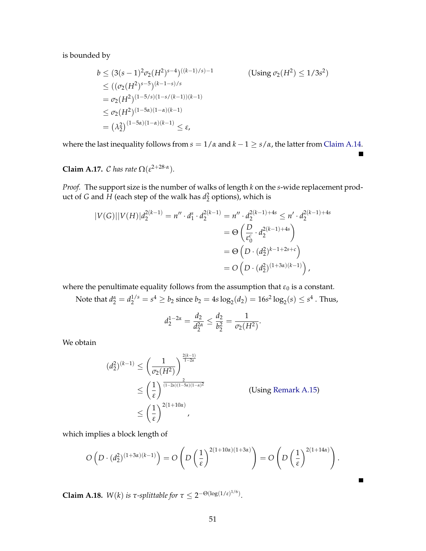is bounded by

$$
b \le (3(s-1)^2 \sigma_2(H^2)^{s-4})^{((k-1)/s)-1}
$$
 (Using  $\sigma_2(H^2) \le 1/3s^2$ )  
\n
$$
\le ((\sigma_2(H^2)^{s-5})^{(k-1-s)/s}
$$
  
\n
$$
= \sigma_2(H^2)^{(1-5/s)(1-s/(k-1))(k-1)}
$$
  
\n
$$
\le \sigma_2(H^2)^{(1-5\alpha)(1-\alpha)(k-1)}
$$
  
\n
$$
= (\lambda_2^2)^{(1-5\alpha)(1-\alpha)(k-1)} \le \varepsilon,
$$

where the last inequality follows from  $s = 1/\alpha$  and  $k - 1 \ge s/\alpha$ , the latter from [Claim A.14.](#page-51-0)

 $\blacksquare$ 

 $\blacksquare$ 

**Claim A.17.** C has rate  $\Omega(\varepsilon^{2+28\cdot\alpha})$ .

*Proof.* The support size is the number of walks of length *k* on the *s*-wide replacement product of *G* and *H* (each step of the walk has  $d_2^2$  options), which is

$$
|V(G)||V(H)|d_2^{2(k-1)} = n'' \cdot d_1^s \cdot d_2^{2(k-1)} = n'' \cdot d_2^{2(k-1)+4s} \le n' \cdot d_2^{2(k-1)+4s}
$$
  
=  $\Theta\left(\frac{D}{\varepsilon_0^c} \cdot d_2^{2(k-1)+4s}\right)$   
=  $\Theta\left(D \cdot (d_2^2)^{k-1+2s+c}\right)$   
=  $O\left(D \cdot (d_2^2)^{(1+3\alpha)(k-1)}\right),$ 

where the penultimate equality follows from the assumption that  $\varepsilon_0$  is a constant.

Note that  $d_2^{\alpha} = d_2^{1/s} = s^4 \ge b_2$  since  $b_2 = 4s \log_2(d_2) = 16s^2 \log_2(s) \le s^4$  . Thus,

$$
d_2^{1-2\alpha} = \frac{d_2}{d_2^{2\alpha}} \le \frac{d_2}{b_2^2} = \frac{1}{\sigma_2(H^2)}.
$$

We obtain

$$
(d_2^2)^{(k-1)} \le \left(\frac{1}{\sigma_2(H^2)}\right)^{\frac{2(k-1)}{1-2\alpha}}
$$
  
 
$$
\le \left(\frac{1}{\epsilon}\right)^{\frac{2(1-2\alpha)(1-\alpha)^2}{(1-2\alpha)(1-\alpha)^2}}
$$
 (Using Remark A.15)  
 
$$
\le \left(\frac{1}{\epsilon}\right)^{2(1+10\alpha)}
$$

which implies a block length of

$$
O\left(D \cdot (d_2^2)^{(1+3\alpha)(k-1)}\right) = O\left(D\left(\frac{1}{\varepsilon}\right)^{2(1+10\alpha)(1+3\alpha)}\right) = O\left(D\left(\frac{1}{\varepsilon}\right)^{2(1+14\alpha)}\right).
$$

**Claim A.18.** *W*(*k*) *is τ-splittable for*  $\tau \leq 2^{-\Theta(\log(1/\epsilon)^{1/6})}$ *.*